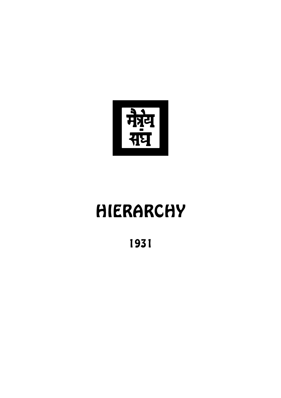

## HIERARCHY

1931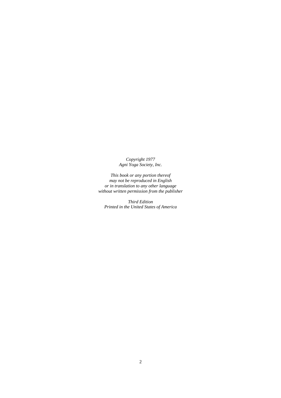*Copyright 1977 Agni Yoga Society, Inc.*

*This book or any portion thereof may not be reproduced in English or in translation to any other language without written permission from the publisher*

*Third Edition Printed in the United States of America*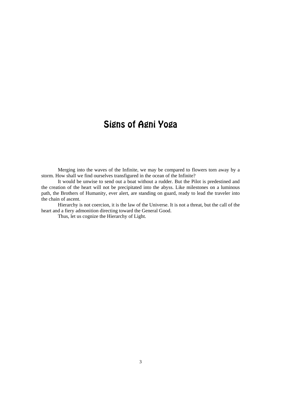## Signs of Agni Yoga

 Merging into the waves of the Infinite, we may be compared to flowers torn away by a storm. How shall we find ourselves transfigured in the ocean of the Infinite?

 It would be unwise to send out a boat without a rudder. But the Pilot is predestined and the creation of the heart will not be precipitated into the abyss. Like milestones on a luminous path, the Brothers of Humanity, ever alert, are standing on guard, ready to lead the traveler into the chain of ascent.

 Hierarchy is not coercion, it is the law of the Universe. It is not a threat, but the call of the heart and a fiery admonition directing toward the General Good.

Thus, let us cognize the Hierarchy of Light.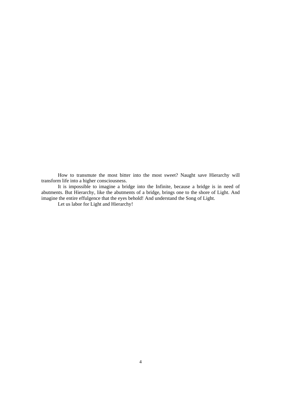How to transmute the most bitter into the most sweet? Naught save Hierarchy will transform life into a higher consciousness.

 It is impossible to imagine a bridge into the Infinite, because a bridge is in need of abutments. But Hierarchy, like the abutments of a bridge, brings one to the shore of Light. And imagine the entire effulgence that the eyes behold! And understand the Song of Light.

Let us labor for Light and Hierarchy!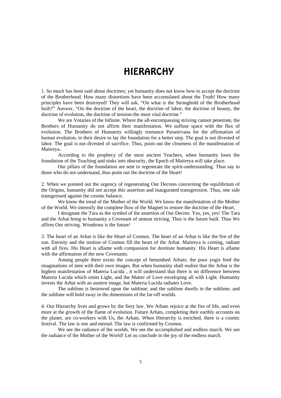## **HIERARCHY**

1. So much has been said about doctrines; yet humanity does not know how to accept the doctrine of the Brotherhood. How many distortions have been accumulated about the Truth! How many principles have been destroyed! They will ask, "On what is the Stronghold of the Brotherhood built?" Answer, "On the doctrine of the heart, the doctrine of labor, the doctrine of beauty, the doctrine of evolution, the doctrine of tension-the most vital doctrine."

 We are Votaries of the Infinite. Where the all-encompassing striving cannot penetrate, the Brothers of Humanity do not affirm their manifestation. We suffuse space with the flux of evolution. The Brothers of Humanity willingly renounce Paranirvana for the affirmation of human evolution, in their desire to lay the foundation for a better step. The goal is not divested of labor. The goal is not divested of sacrifice. Thus, point out the closeness of the manifestation of Maitreya.

 According to the prophecy of the most ancient Teachers, when humanity loses the foundation of the Teaching and sinks into obscurity, the Epoch of Maitreya will take place.

 Our pillars of the foundation are sent to regenerate the spirit-understanding. Thus say to those who do not understand, thus point out the doctrine of the Heart!

2. When we pointed out the urgency of regenerating Our Decrees concerning the equilibrium of the Origins, humanity did not accept this assertion and inaugurated transgression. Thus, one side transgressed against the cosmic balance.

 We know the tread of the Mother of the World. We know the manifestation of the Mother of the World. We intensify the complete flow of the Magnet to restore the doctrine of the Heart.

 I designate the Tara as the symbol of the assertion of Our Decree. Yes, yes, yes! The Tara and the Arhat bring to humanity a Covenant of utmost striving. Thus is the future built. Thus We affirm Our striving. Wondrous is the future!

3. The heart of an Arhat is like the Heart of Cosmos. The heart of an Arhat is like the fire of the sun. Eternity and the motion of Cosmos fill the heart of the Arhat. Maitreya is coming, radiant with all fires. His Heart is aflame with compassion for destitute humanity. His Heart is aflame with the affirmation of the new Covenants.

 Among people there exists the concept of benumbed Arhats; the poor yogis feed the imaginations of men with their own images. But when humanity shall realize that the Arhat is the highest manifestation of Materia Lucida , it will understand that there is no difference between Materia Lucida which emits Light, and the Matter of Love enveloping all with Light. Humanity invests the Arhat with an austere image, but Materia Lucida radiates Love.

 The sublime is bestowed upon the sublime; and the sublime dwells in the sublime; and the sublime will hold sway in the dimensions of the far-off worlds.

4. Our Hierarchy lives and grows by the fiery law. We Arhats rejoice at the fire of life, and even more at the growth of the flame of evolution. Future Arhats, completing their earthly accounts on the planet, are co-workers with Us, the Arhats. When Hierarchy is enriched, there is a cosmic festival. The law is one and eternal. The law is confirmed by Cosmos.

 We see the radiance of the worlds. We see the accomplished and endless march. We see the radiance of the Mother of the World! Let us conclude in the joy of the endless march.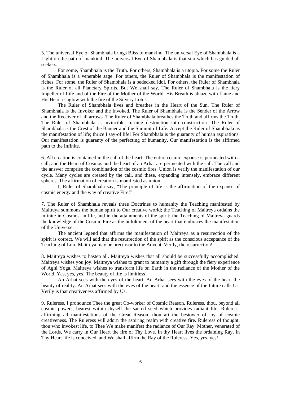5. The universal Eye of Shambhala brings Bliss to mankind. The universal Eye of Shambhala is a Light on the path of mankind. The universal Eye of Shambhala is that star which has guided all seekers.

 For some, Shambhala is the Truth. For others, Shambhala is a utopia. For some the Ruler of Shambhala is a venerable sage. For others, the Ruler of Shambhala is the manifestation of riches. For some, the Ruler of Shambhala is a bedecked idol. For others, the Ruler of Shambhala is the Ruler of all Planetary Spirits. But We shall say, The Ruler of Shambhala is the fiery Impeller of Life and of the Fire of the Mother of the World. His Breath is ablaze with flame and His Heart is aglow with the fire of the Silvery Lotus.

 The Ruler of Shambhala lives and breathes in the Heart of the Sun. The Ruler of Shambhala is the Invoker and the Invoked. The Ruler of Shambhala is the Sender of the Arrow and the Receiver of all arrows. The Ruler of Shambhala breathes the Truth and affirms the Truth. The Ruler of Shambhala is invincible, turning destruction into construction. The Ruler of Shambhala is the Crest of the Banner and the Summit of Life. Accept the Ruler of Shambhala as the manifestation of life; thrice I say-of life! For Shambhala is the guaranty of human aspirations. Our manifestation is guaranty of the perfecting of humanity. Our manifestation is the affirmed path to the Infinite.

6. All creation is contained in the call of the heart. The entire cosmic expanse is permeated with a call, and the Heart of Cosmos and the heart of an Arhat are permeated with the call. The call and the answer comprise the combination of the cosmic fires. Union is verily the manifestation of our cycle. Many cycles are created by the call, and these, expanding intensely, embrace different spheres. The affirmation of creation is manifested as union.

 I, Ruler of Shambhala say, "The principle of life is the affirmation of the expanse of cosmic energy and the way of creative Fire!"

7. The Ruler of Shambhala reveals three Doctrines to humanity the Teaching manifested by Maitreya summons the human spirit to Our creative world; the Teaching of Maitreya ordains the infinite in Cosmos, in life, and in the attainments of the spirit; the Teaching of Maitreya guards the knowledge of the Cosmic Fire as the unfoldment of the heart that embraces the manifestation of the Universe.

 The ancient legend that affirms the manifestation of Maitreya as a resurrection of the spirit is correct. We will add that the resurrection of the spirit as the conscious acceptance of the Teaching of Lord Maitreya may be precursor to the Advent. Verily, the resurrection!

8. Maitreya wishes to hasten all. Maitreya wishes that all should be successfully accomplished. Maitreya wishes you joy. Maitreya wishes to grant to humanity a gift through the fiery experience of Agni Yoga. Maitreya wishes to transform life on Earth in the radiance of the Mother of the World. Yes, yes, yes! The beauty of life is limitless!

 An Arhat sees with the eyes of the heart. An Arhat sees with the eyes of the heart the beauty of reality. An Arhat sees with the eyes of the heart, and the essence of the future calls Us. Verily is that creativeness affirmed by Us.

9. Ruleress, I pronounce Thee the great Co-worker of Cosmic Reason. Ruleress, thou, beyond all cosmic powers, bearest within thyself the sacred seed which provides radiant life. Ruleress, affirming all manifestations of the Great Reason, thou art the bestower of joy of cosmic creativeness. The Ruleress will adorn the aspiring realm with creative fire. Ruleress of thought, thou who invokest life, to Thee We make manifest the radiance of Our Ray. Mother, venerated of the Lords, We carry in Our Heart the fire of Thy Love. In thy Heart lives the ordaining Ray. In Thy Heart life is conceived, and We shall affirm the Ray of the Ruleress. Yes, yes, yes!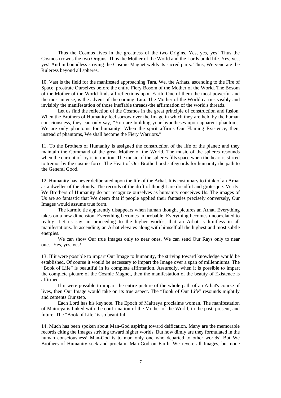Thus the Cosmos lives in the greatness of the two Origins. Yes, yes, yes! Thus the Cosmos crowns the two Origins. Thus the Mother of the World and the Lords build life. Yes, yes, yes! And in boundless striving the Cosmic Magnet welds its sacred parts. Thus, We venerate the Ruleress beyond all spheres.

10. Vast is the field for the manifested approaching Tara. We, the Arhats, ascending to the Fire of Space, prostrate Ourselves before the entire Fiery Bosom of the Mother of the World. The Bosom of the Mother of the World finds all reflections upon Earth. One of them the most powerful and the most intense, is the advent of the coming Tara. The Mother of the World carries visibly and invisibly the manifestation of those ineffable threads-the affirmation of the world's threads.

 Let us find the reflection of the Cosmos in the great principle of construction and fusion. When the Brothers of Humanity feel sorrow over the Image in which they are held by the human consciousness, they can only say, "You are building your hypotheses upon apparent phantoms. We are only phantoms for humanity! When the spirit affirms Our Flaming Existence, then, instead of phantoms, We shall become the Fiery Warriors."

11. To the Brothers of Humanity is assigned the construction of the life of the planet; and they maintain the Command of the great Mother of the World. The music of the spheres resounds when the current of joy is in motion. The music of the spheres fills space when the heart is stirred to tremor by the cosmic force. The Heart of Our Brotherhood safeguards for humanity the path to the General Good.

12. Humanity has never deliberated upon the life of the Arhat. It is customary to think of an Arhat as a dweller of the clouds. The records of the drift of thought are dreadful and grotesque. Verily, We Brothers of Humanity do not recognize ourselves as humanity conceives Us. The images of Us are so fantastic that We deem that if people applied their fantasies precisely conversely, Our Images would assume true form.

 The karmic tie apparently disappears when human thought pictures an Arhat. Everything takes on a new dimension. Everything becomes improbable. Everything becomes uncorrelated to reality. Let us say, in proceeding to the higher worlds, that an Arhat is limitless in all manifestations. In ascending, an Arhat elevates along with himself all the highest and most subtle energies.

 We can show Our true Images only to near ones. We can send Our Rays only to near ones. Yes, yes, yes!

13. If it were possible to impart Our Image to humanity, the striving toward knowledge would be established. Of course it would be necessary to impart the Image over a span of millenniums. The "Book of Life" is beautiful in its complete affirmation. Assuredly, when it is possible to impart the complete picture of the Cosmic Magnet, then the manifestation of the beauty of Existence is affirmed.

 If it were possible to impart the entire picture of the whole path of an Arhat's course of lives, then Our Image would take on its true aspect. The "Book of Our Life" resounds mightily and cements Our step.

 Each Lord has his keynote. The Epoch of Maitreya proclaims woman. The manifestation of Maitreya is linked with the confirmation of the Mother of the World, in the past, present, and future. The "Book of Life" is so beautiful.

14. Much has been spoken about Man-God aspiring toward deification. Many are the memorable records citing the Images striving toward higher worlds. But how dimly are they formulated in the human consciousness! Man-God is to man only one who departed to other worlds! But We Brothers of Humanity seek and proclaim Man-God on Earth. We revere all Images, but none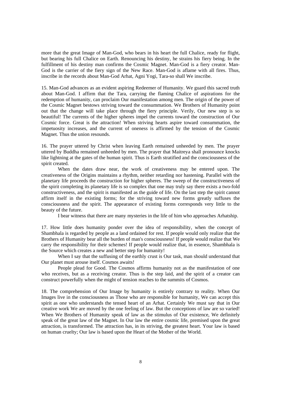more that the great Image of Man-God, who bears in his heart the full Chalice, ready for flight, but bearing his full Chalice on Earth. Renouncing his destiny, he strains his fiery being. In the fulfillment of his destiny man confirms the Cosmic Magnet. Man-God is a fiery creator. Man-God is the carrier of the fiery sign of the New Race. Man-God is aflame with all fires. Thus, inscribe in the records about Man-God Arhat, Agni Yogi, Tara-so shall We inscribe.

15. Man-God advances as an evident aspiring Redeemer of Humanity. We guard this sacred truth about Man-God. I affirm that the Tara, carrying the flaming Chalice of aspirations for the redemption of humanity, can proclaim Our manifestation among men. The origin of the power of the Cosmic Magnet bestows striving toward the consummation. We Brothers of Humanity point out that the change will take place through the fiery principle. Verily, Our new step is so beautiful! The currents of the higher spheres impel the currents toward the construction of Our Cosmic force. Great is the attraction! When striving hearts aspire toward consummation, the impetuosity increases, and the current of oneness is affirmed by the tension of the Cosmic Magnet. Thus the union resounds.

16. The prayer uttered by Christ when leaving Earth remained unheeded by men. The prayer uttered by Buddha remained unheeded by men. The prayer that Maitreya shall pronounce knocks like lightning at the gates of the human spirit. Thus is Earth stratified and the consciousness of the spirit created.

 When the dates draw near, the work of creativeness may be entered upon. The creativeness of the Origins maintains a rhythm, neither retarding nor hastening. Parallel with the planetary life proceeds the construction for higher spheres. The sweep of the constructiveness of the spirit completing its planetary life is so complex that one may truly say there exists a two-fold constructiveness, and the spirit is manifested as the guide of life. On the last step the spirit cannot affirm itself in the existing forms; for the striving toward new forms greatly suffuses the consciousness and the spirit. The appearance of existing forms corresponds very little to the beauty of the future.

I bear witness that there are many mysteries in the life of him who approaches Arhatship.

17. How little does humanity ponder over the idea of responsibility, when the concept of Shambhala is regarded by people as a land ordained for rest. If people would only realize that the Brothers of Humanity bear all the burden of man's consciousness! If people would realize that We carry the responsibility for their schemes! If people would realize that, in essence, Shambhala is the Source which creates a new and better step for humanity!

 When I say that the suffusing of the earthly crust is Our task, man should understand that Our planet must arouse itself. Cosmos awaits!

 People plead for Good. The Cosmos affirms humanity not as the manifestation of one who receives, but as a receiving creator. Thus is the step laid, and the spirit of a creator can construct powerfully when the might of tension reaches to the summits of Cosmos.

18. The comprehension of Our Image by humanity is entirely contrary to reality. When Our Images live in the consciousness as Those who are responsible for humanity, We can accept this spirit as one who understands the tensed heart of an Arhat. Certainly We must say that in Our creative work We are moved by the one feeling of law. But the conceptions of law are so varied! When We Brothers of Humanity speak of law as the stimulus of Our existence, We definitely speak of the great law of the Magnet. In Our law the entire cosmic life, premised upon the great attraction, is transformed. The attraction has, in its striving, the greatest heart. Your law is based on human cruelty; Our law is based upon the Heart of the Mother of the World.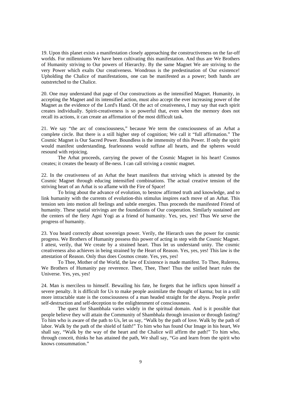19. Upon this planet exists a manifestation closely approaching the constructiveness on the far-off worlds. For millenniums We have been cultivating this manifestation. And thus are We Brothers of Humanity striving to Our powers of Hierarchy. By the same Magnet We are striving to the very Power which exalts Our creativeness. Wondrous is the predestination of Our existence! Upholding the Chalice of manifestations, one can be manifested as a power; both hands are outstretched to the Chalice.

20. One may understand that page of Our constructions as the intensified Magnet. Humanity, in accepting the Magnet and its intensified action, must also accept the ever increasing power of the Magnet as the evidence of the Lord's Hand. Of the act of creativeness, I may say that each spirit creates individually. Spirit-creativeness is so powerful that, even when the memory does not recall its actions, it can create an affirmation of the most difficult task.

21. We say "the arc of consciousness," because We term the consciousness of an Arhat a complete circle. But there is a still higher step of cognition; We call it "full affirmation." The Cosmic Magnet is Our Sacred Power. Boundless is the immensity of this Power. If only the spirit would manifest understanding, fearlessness would suffuse all hearts, and the spheres would resound with rejoicing.

 The Arhat proceeds, carrying the power of the Cosmic Magnet in his heart! Cosmos creates; it creates the beauty of Be-ness. I can call striving a cosmic magnet.

22. In the creativeness of an Arhat the heart manifests that striving which is attested by the Cosmic Magnet through educing intensified combinations. The actual creative tension of the striving heart of an Arhat is so aflame with the Fire of Space!

 To bring about the advance of evolution, to bestow affirmed truth and knowledge, and to link humanity with the currents of evolution-this stimulus inspires each move of an Arhat. This tension sets into motion all feelings and subtle energies. Thus proceeds the manifested Friend of humanity. These spatial strivings are the foundations of Our cooperation. Similarly sustained are the centers of the fiery Agni Yogi as a friend of humanity. Yes, yes, yes! Thus We serve the progress of humanity.

23. You heard correctly about sovereign power. Verily, the Hierarch uses the power for cosmic progress. We Brothers of Humanity possess this power of acting in step with the Cosmic Magnet. I attest, verily, that We create by a strained heart. Thus let us understand unity. The cosmic creativeness also achieves in being strained by the Heart of Reason. Yes, yes, yes! This law is the attestation of Reason. Only thus does Cosmos create. Yes, yes, yes!

 To Thee, Mother of the World, the law of Existence is made manifest. To Thee, Ruleress, We Brothers of Humanity pay reverence. Thee, Thee, Thee! Thus the unified heart rules the Universe. Yes, yes, yes!

24. Man is merciless to himself. Bewailing his fate, he forgets that he inflicts upon himself a severe penalty. It is difficult for Us to make people assimilate the thought of karma; but in a still more intractable state is the consciousness of a man headed straight for the abyss. People prefer self-destruction and self-deception to the enlightenment of consciousness.

 The quest for Shambhala varies widely in the spiritual domain. And is it possible that people believe they will attain the Community of Shambhala through invasion or through fasting? To him who is aware of the path to Us, let us say, "Walk by the path of love. Walk by the path of labor. Walk by the path of the shield of faith!" To him who has found Our Image in his heart, We shall say, "Walk by the way of the heart and the Chalice will affirm the path!" To him who, through conceit, thinks he has attained the path, We shall say, "Go and learn from the spirit who knows consummation."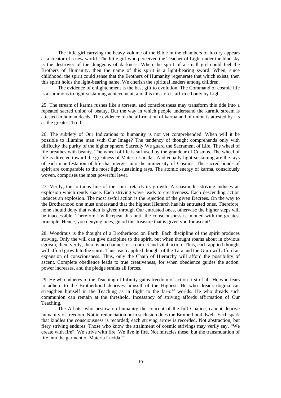The little girl carrying the heavy volume of the Bible in the chambers of luxury appears as a creator of a new world. The little girl who perceived the Teacher of Light under the blue sky is the destroyer of the dungeons of darkness. When the spirit of a small girl could feel the Brothers of Humanity, then the name of this spirit is a light-bearing sword. When, since childhood, the spirit could sense that the Brothers of Humanity regenerate that which exists, then this spirit holds the light-bearing name, We cherish the spiritual leaders among children.

 The evidence of enlightenment is the best gift to evolution. The Command of cosmic life is a summons to light-sustaining achievement, and this mission is affirmed only by Light.

25. The stream of karma rushes like a torrent, and consciousness may transform this tide into a repeated sacred union of beauty. But the way in which people understand the karmic stream is attested in human deeds. The evidence of the affirmation of karma and of union is attested by Us as the greatest Truth.

26. The subtlety of Our Indications to humanity is not yet comprehended. When will it be possible to illumine man with Our Image? The tendency of thought comprehends only with difficulty the purity of the higher sphere. Sacredly We guard the Sacrament of Life. The wheel of life breathes with beauty. The wheel of life is suffused by the grandeur of Cosmos. The wheel of life is directed toward the greatness of Materia Lucida . And equally light-sustaining are the rays of each manifestation of life that merges into the immensity of Cosmos. The sacred bonds of spirit are comparable to the most light-sustaining rays. The atomic energy of karma, consciously woven, comprises the most powerful lever.

27. Verily, the tortuous line of the spirit retards its growth. A spasmodic striving induces an explosion which rends space. Each striving wave leads to creativeness. Each descending action induces an explosion. The most awful action is the rejection of the given Decrees. On the way to the Brotherhood one must understand that the highest Hierarch has his entrusted ones. Therefore, none should deny that which is given through Our entrusted ones, otherwise the higher steps will be inaccessible. Therefore I will repeat this until the consciousness is imbued with the greatest principle. Hence, you denying ones, guard this treasure that is given you for ascent!

28. Wondrous is the thought of a Brotherhood on Earth. Each discipline of the spirit produces striving. Only the will can give discipline to the spirit, but when thought roams about in obvious egoism, then, verily, there is no channel for a correct and vital action. Thus, each applied thought will afford growth to the spirit. Thus, each applied thought of the Tara and the Guru will afford an expansion of consciousness. Thus, only the Chain of Hierarchy will afford the possibility of ascent. Complete obedience leads to true creativeness, for when obedience guides the action, power increases, and the pledge strains all forces.

29. He who adheres to the Teaching of Infinity gains freedom of action first of all. He who fears to adhere to the Brotherhood deprives himself of the Highest. He who dreads dogma can strengthen himself in the Teaching as in flight to the far-off worlds. He who dreads such communion can remain at the threshold. Incessancy of striving affords affirmation of Our Teaching.

 The Arhats, who bestow on humanity the concept of the full Chalice, cannot deprive humanity of freedom. Not in renunciation or in seclusion does the Brotherhood dwell. Each spark that kindles the consciousness is recorded; each striving arrow is recorded. Not abstraction, but fiery striving endures. Those who know the attainment of cosmic strivings may verily say, "We create with fire". We strive with fire. We live in fire. Not miracles these, but the transmutation of life into the garment of Materia Lucida."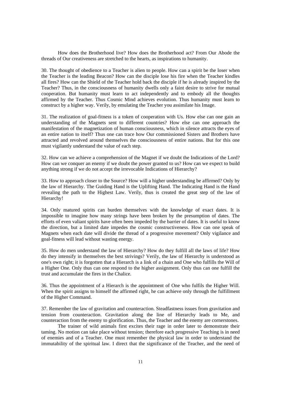How does the Brotherhood live? How does the Brotherhood act? From Our Abode the threads of Our creativeness are stretched to the hearts, as inspirations to humanity.

30. The thought of obedience to a Teacher is alien to people. How can a spirit be the loser when the Teacher is the leading Beacon? How can the disciple lose his fire when the Teacher kindles all fires? How can the Shield of the Teacher hold back the disciple if he is already inspired by the Teacher? Thus, in the consciousness of humanity dwells only a faint desire to strive for mutual cooperation. But humanity must learn to act independently and to embody all the thoughts affirmed by the Teacher. Thus Cosmic Mind achieves evolution. Thus humanity must learn to construct by a higher way. Verily, by emulating the Teacher you assimilate his Image.

31. The realization of goal-fitness is a token of cooperation with Us. How else can one gain an understanding of the Magnets sent to different countries? How else can one approach the manifestation of the magnetization of human consciousness, which in silence attracts the eyes of an entire nation to itself? Thus one can trace how Our commissioned Sisters and Brothers have attracted and revolved around themselves the consciousness of entire nations. But for this one must vigilantly understand the value of each step.

32. How can we achieve a comprehension of the Magnet if we doubt the Indications of the Lord? How can we conquer an enemy if we doubt the power granted to us? How can we expect to build anything strong if we do not accept the irrevocable Indications of Hierarchy?

33. How to approach closer to the Source? How will a higher understanding be affirmed? Only by the law of Hierarchy. The Guiding Hand is the Uplifting Hand. The Indicating Hand is the Hand revealing the path to the Highest Law. Verily, thus is created the great step of the law of Hierarchy!

34. Only matured spirits can burden themselves with the knowledge of exact dates. It is impossible to imagine how many strings have been broken by the presumption of dates. The efforts of even valiant spirits have often been impeded by the barrier of dates. It is useful to know the direction, but a limited date impedes the cosmic constructiveness. How can one speak of Magnets when each date will divide the thread of a progressive movement? Only vigilance and goal-fitness will lead without wasting energy.

35. How do men understand the law of Hierarchy? How do they fulfill all the laws of life? How do they intensify in themselves the best strivings? Verily, the law of Hierarchy is understood as one's own right; it is forgotten that a Hierarch is a link of a chain and One who fulfills the Will of a Higher One. Only thus can one respond to the higher assignment. Only thus can one fulfill the trust and accumulate the fires in the Chalice.

36. Thus the appointment of a Hierarch is the appointment of One who fulfils the Higher Will. When the spirit assigns to himself the affirmed right, he can achieve only through the fulfillment of the Higher Command.

37. Remember the law of gravitation and counteraction. Steadfastness issues from gravitation and tension from counteraction. Gravitation along the line of Hierarchy leads to Me, and counteraction from the enemy to glorification. Thus, the Teacher and the enemy are cornerstones.

 The trainer of wild animals first excites their rage in order later to demonstrate their taming. No motion can take place without tension; therefore each progressive Teaching is in need of enemies and of a Teacher. One must remember the physical law in order to understand the immutability of the spiritual law. I direct that the significance of the Teacher, and the need of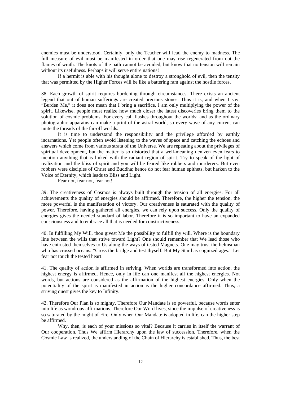enemies must be understood. Certainly, only the Teacher will lead the enemy to madness. The full measure of evil must be manifested in order that one may rise regenerated from out the flames of wrath. The knots of the path cannot be avoided, but know that no tension will remain without its usefulness. Perhaps it will serve entire nations!

 If a hermit is able with his thought alone to destroy a stronghold of evil, then the tensity that was permitted by the Higher Forces will be like a battering ram against the hostile forces.

38. Each growth of spirit requires burdening through circumstances. There exists an ancient legend that out of human sufferings are created precious stones. Thus it is, and when I say, "Burden Me," it does not mean that I bring a sacrifice, I am only multiplying the power of the spirit. Likewise, people must realize how much closer the latest discoveries bring them to the solution of cosmic problems. For every call flashes throughout the worlds; and as the ordinary photographic apparatus can make a print of the astral world, so every wave of any current can unite the threads of the far-off worlds.

 It is time to understand the responsibility and the privilege afforded by earthly incarnations. Yet people often avoid listening to the waves of space and catching the echoes and answers which come from various strata of the Universe. We are repeating about the privileges of spiritual development, but the matter is so distorted that a well-meaning denizen even fears to mention anything that is linked with the radiant region of spirit. Try to speak of the light of realization and the bliss of spirit and you will be feared like robbers and murderers. But even robbers were disciples of Christ and Buddha; hence do not fear human epithets, but harken to the Voice of Eternity, which leads to Bliss and Light.

Fear not, fear not, fear not!

39. The creativeness of Cosmos is always built through the tension of all energies. For all achievements the quality of energies should be affirmed. Therefore, the higher the tension, the more powerful is the manifestation of victory. Our creativeness is saturated with the quality of power. Therefore, having gathered all energies, we can rely upon success. Only the quality of energies gives the needed standard of labor. Therefore it is so important to have an expanded consciousness and to embrace all that is needed for constructiveness.

40. In fulfilling My Will, thou givest Me the possibility to fulfill thy will. Where is the boundary line between the wills that strive toward Light? One should remember that We lead those who have entrusted themselves to Us along the ways of tested Magnets. One may trust the helmsman who has crossed oceans. "Cross the bridge and test thyself. But My Star has cognized ages." Let fear not touch the tested heart!

41. The quality of action is affirmed in striving. When worlds are transformed into action, the highest energy is affirmed. Hence, only in life can one manifest all the highest energies. Not words, but actions are considered as the affirmation of the highest energies. Only when the potentiality of the spirit is manifested in action is the higher concordance affirmed. Thus, a striving quest gives the key to Infinity.

42. Therefore Our Plan is so mighty. Therefore Our Mandate is so powerful, because words enter into life as wondrous affirmations. Therefore Our Word lives, since the impulse of creativeness is so saturated by the might of Fire. Only when Our Mandate is adopted in life, can the higher step be affirmed.

 Why, then, is each of your missions so vital? Because it carries in itself the warrant of Our cooperation. Thus We affirm Hierarchy upon the law of succession. Therefore, when the Cosmic Law is realized, the understanding of the Chain of Hierarchy is established. Thus, the best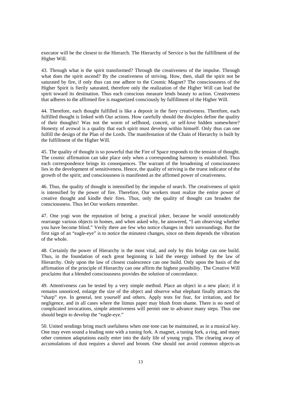executor will be the closest to the Hierarch. The Hierarchy of Service is but the fulfillment of the Higher Will.

43. Through what is the spirit transformed? Through the creativeness of the impulse. Through what does the spirit ascend? By the creativeness of striving. How, then, shall the spirit not be saturated by fire, if only thus can one adhere to the Cosmic Magnet? The consciousness of the Higher Spirit is fierily saturated, therefore only the realization of the Higher Will can lead the spirit toward its destination. Thus each conscious measure lends beauty to action. Creativeness that adheres to the affirmed fire is magnetized consciously by fulfillment of the Higher Will.

44. Therefore, each thought fulfilled is like a deposit in the fiery creativeness. Therefore, each fulfilled thought is linked with Our actions. How carefully should the disciples define the quality of their thoughts! Was not the worm of selfhood, conceit, or self-love hidden somewhere? Honesty of avowal is a quality that each spirit must develop within himself. Only thus can one fulfill the design of the Plan of the Lords. The manifestation of the Chain of Hierarchy is built by the fulfillment of the Higher Will.

45. The quality of thought is so powerful that the Fire of Space responds to the tension of thought. The cosmic affirmation can take place only when a corresponding harmony is established. Thus each correspondence brings its consequences. The warrant of the broadening of consciousness lies in the development of sensitiveness. Hence, the quality of striving is the truest indicator of the growth of the spirit; and consciousness is manifested as the affirmed power of creativeness.

46. Thus, the quality of thought is intensified by the impulse of search. The creativeness of spirit is intensified by the power of fire. Therefore, Our workers must realize the entire power of creative thought and kindle their fires. Thus, only the quality of thought can broaden the consciousness. Thus let Our workers remember.

47. One yogi won the reputation of being a practical joker, because he would unnoticeably rearrange various objects in homes, and when asked why, he answered, "I am observing whether you have become blind." Verily there are few who notice changes in their surroundings. But the first sign of an "eagle-eye" is to notice the minutest changes, since on them depends the vibration of the whole.

48. Certainly the power of Hierarchy is the most vital, and only by this bridge can one build. Thus, in the foundation of each great beginning is laid the energy imbued by the law of Hierarchy. Only upon the law of closest coalescence can one build. Only upon the basis of the affirmation of the principle of Hierarchy can one affirm the highest possibility. The Creative Will proclaims that a blended consciousness provides the solution of concordance.

49. Attentiveness can be tested by a very simple method. Place an object in a new place; if it remains unnoticed, enlarge the size of the object and observe what elephant finally attracts the "sharp" eye. In general, test yourself and others. Apply tests for fear, for irritation, and for negligence, and in all cases where the litmus paper may blush from shame. There is no need of complicated invocations, simple attentiveness will permit one to advance many steps. Thus one should begin to develop the "eagle-eye."

50. United sendings bring much usefulness when one tone can be maintained, as in a musical key. One may even sound a leading note with a tuning fork. A magnet, a tuning fork, a ring, and many other common adaptations easily enter into the daily life of young yogis. The clearing away of accumulations of dust requires a shovel and broom. One should not avoid common objects-as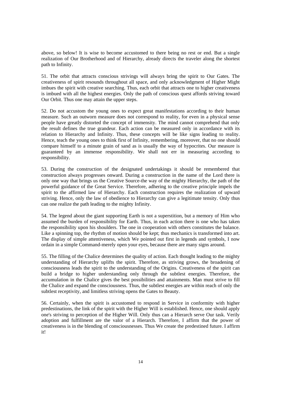above, so below! It is wise to become accustomed to there being no rest or end. But a single realization of Our Brotherhood and of Hierarchy, already directs the traveler along the shortest path to Infinity.

51. The orbit that attracts conscious strivings will always bring the spirit to Our Gates. The creativeness of spirit resounds throughout all space, and only acknowledgment of Higher Might imbues the spirit with creative searching. Thus, each orbit that attracts one to higher creativeness is imbued with all the highest energies. Only the path of conscious quest affords striving toward Our Orbit. Thus one may attain the upper steps.

52. Do not accustom the young ones to expect great manifestations according to their human measure. Such an outworn measure does not correspond to reality, for even in a physical sense people have greatly distorted the concept of immensity. The mind cannot comprehend that only the result defines the true grandeur. Each action can be measured only in accordance with its relation to Hierarchy and Infinity. Thus, these concepts will be like signs leading to reality. Hence, teach the young ones to think first of Infinity, remembering, moreover, that no one should compare himself to a minute grain of sand as is usually the way of hypocrites. Our measure is guaranteed by an immense responsibility. We shall not err in measuring according to responsibility.

53. During the construction of the designated undertakings it should be remembered that construction always progresses onward. During a construction in the name of the Lord there is only one way that brings us the Creative Source-the way of the mighty Hierarchy, the path of the powerful guidance of the Great Service. Therefore, adhering to the creative principle impels the spirit to the affirmed law of Hierarchy. Each construction requires the realization of upward striving. Hence, only the law of obedience to Hierarchy can give a legitimate tensity. Only thus can one realize the path leading to the mighty Infinity.

54. The legend about the giant supporting Earth is not a superstition, but a memory of Him who assumed the burden of responsibility for Earth. Thus, in each action there is one who has taken the responsibility upon his shoulders. The one in cooperation with others constitutes the balance. Like a spinning top, the rhythm of motion should be kept; thus mechanics is transformed into art. The display of simple attentiveness, which We pointed out first in legends and symbols, I now ordain in a simple Command-merely open your eyes, because there are many signs around.

55. The filling of the Chalice determines the quality of action. Each thought leading to the mighty understanding of Hierarchy uplifts the spirit. Therefore, as striving grows, the broadening of consciousness leads the spirit to the understanding of the Origins. Creativeness of the spirit can build a bridge to higher understanding only through the subtlest energies. Therefore, the accumulation in the Chalice gives the best possibilities and attainments. Man must strive to fill the Chalice and expand the consciousness. Thus, the subtlest energies are within reach of only the subtlest receptivity, and limitless striving opens the Gates to Beauty.

56. Certainly, when the spirit is accustomed to respond in Service in conformity with higher predestinations, the link of the spirit with the Higher Will is established. Hence, one should apply one's striving to perception of the Higher Will. Only thus can a Hierarch serve Our task. Verily adoption and fulfillment are the valor of a Hierarch. Therefore, I affirm that the power of creativeness is in the blending of consciousnesses. Thus We create the predestined future. I affirm it!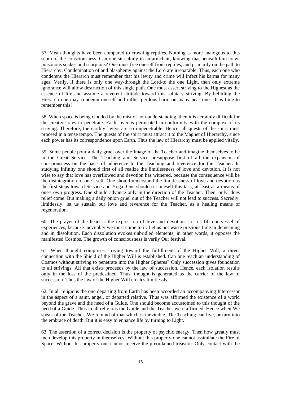57. Mean thoughts have been compared to crawling reptiles. Nothing is more analogous to this scum of the consciousness. Can one sit calmly in an armchair, knowing that beneath him crawl poisonous snakes and scorpions? One must free oneself from reptiles, and primarily on the path to Hierarchy. Condemnation of and blasphemy against the Lord are irreparable. Thus, each one who condemns the Hierarch must remember that his levity and crime will infect his karma for many ages. Verily, if there is only one way-through the Lord-to the one Light, then only extreme ignorance will allow destruction of this single path. One must assert striving to the Highest as the essence of life and assume a reverent attitude toward this salutary striving. By belittling the Hierarch one may condemn oneself and inflict perilous harm on many near ones. It is time to remember this!

58. When space is being clouded by the mist of non-understanding, then it is certainly difficult for the creative rays to penetrate. Each layer is permeated in conformity with the complex of its striving. Therefore, the earthly layers are so impenetrable. Hence, all quests of the spirit must proceed in a tense tempo. The quests of the spirit must attract it to the Magnet of Hierarchy, since each power has its correspondence upon Earth. Thus the law of Hierarchy must be applied vitally.

59. Some people pour a daily gruel over the Image of the Teacher and imagine themselves to be in the Great Service. The Teaching and Service presuppose first of all the expansion of consciousness on the basis of adherence to the Teaching and reverence for the Teacher. In studying Infinity one should first of all realize the limitlessness of love and devotion. It is not wise to say that love has overflowed and devotion has withered, because the consequence will be the disintegration of one's self. One should understand the limitlessness of love and devotion as the first steps toward Service and Yoga. One should set oneself this task, at least as a means of one's own progress. One should advance only in the direction of the Teacher. Then, only, does relief come. But making a daily onion gruel out of the Teacher will not lead to success. Sacredly, limitlessly, let us sustain our love and reverence for the Teacher, as a healing means of regeneration.

60. The prayer of the heart is the expression of love and devotion. Let us fill our vessel of experiences, because inevitably we must come to it. Let us not waste precious time in demeaning and in dissolution. Each dissolution evokes unbridled elements, in other words, it opposes the manifested Cosmos. The growth of consciousness is verily Our festival.

61. When thought comprises striving toward the fulfillment of the Higher Will, a direct connection with the Shield of the Higher Will is established. Can one reach an understanding of Cosmos without striving to penetrate into the Higher Spheres? Only succession gives foundation to all strivings. All that exists proceeds by the law of succession. Hence, each isolation results only in the loss of the predestined. Thus, thought is generated as the carrier of the law of succession. Thus the law of the Higher Will creates limitlessly.

62. In all religions the one departing from Earth has been accorded an accompanying Intercessor in the aspect of a saint, angel, or departed relative. Thus was affirmed the existence of a world beyond the grave and the need of a Guide. One should become accustomed to this thought of the need of a Guide. Thus in all religions the Guide and the Teacher were affirmed. Hence when We speak of the Teacher, We remind of that which is inevitable. The Teaching can live, or turn into the embrace of death. But it is easy to enhance life by turning to Light.

63. The assertion of a correct decision is the property of psychic energy. Then how greatly must men develop this property in themselves! Without this property one cannot assimilate the Fire of Space. Without his property one cannot receive the preordained treasure. Only contact with the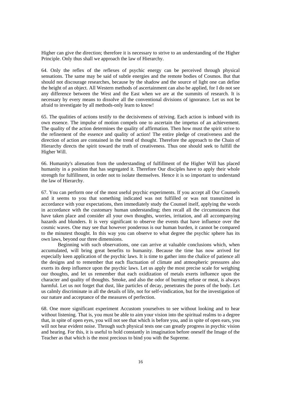Higher can give the direction; therefore it is necessary to strive to an understanding of the Higher Principle. Only thus shall we approach the law of Hierarchy.

64. Only the reflex of the reflexes of psychic energy can be perceived through physical sensations. The same may be said of subtle energies and the remote bodies of Cosmos. But that should not discourage researches, because by the shadow and the source of light one can define the height of an object. All Western methods of ascertainment can also be applied, for I do not see any difference between the West and the East when we are at the summits of research. It is necessary by every means to dissolve all the conventional divisions of ignorance. Let us not be afraid to investigate by all methods-only learn to know!

65. The qualities of actions testify to the decisiveness of striving. Each action is imbued with its own essence. The impulse of motion compels one to ascertain the impetus of an achievement. The quality of the action determines the quality of affirmation. Then how must the spirit strive to the refinement of the essence and quality of action! The entire pledge of creativeness and the direction of action are contained in the trend of thought. Therefore the approach to the Chain of Hierarchy directs the spirit toward the truth of creativeness. Thus one should seek to fulfill the Higher Will.

66. Humanity's alienation from the understanding of fulfillment of the Higher Will has placed humanity in a position that has segregated it. Therefore Our disciples have to apply their whole strength for fulfillment, in order not to isolate themselves. Hence it is so important to understand the law of Hierarchy.

67. You can perform one of the most useful psychic experiments. If you accept all Our Counsels and it seems to you that something indicated was not fulfilled or was not transmitted in accordance with your expectations, then immediately study the Counsel itself, applying the words in accordance with the customary human understanding; then recall all the circumstances that have taken place and consider all your own thoughts, worries, irritation, and all accompanying hazards and blunders. It is very significant to observe the events that have influence over the cosmic waves. One may see that however ponderous is our human burden, it cannot be compared to the minutest thought. In this way you can observe to what degree the psychic sphere has its own laws, beyond our three dimensions.

 Beginning with such observations, one can arrive at valuable conclusions which, when accumulated, will bring great benefits to humanity. Because the time has now arrived for especially keen application of the psychic laws. It is time to gather into the chalice of patience all the designs and to remember that each fluctuation of climate and atmospheric pressures also exerts its deep influence upon the psychic laws. Let us apply the most precise scale for weighing our thoughts, and let us remember that each oxidization of metals exerts influence upon the character and quality of thoughts. Smoke, and also the odor of burning refuse or meat, is always harmful. Let us not forget that dust, like particles of decay, penetrates the pores of the body. Let us calmly discriminate in all the details of life, not for self-vindication, but for the investigation of our nature and acceptance of the measures of perfection.

68. One more significant experiment Accustom yourselves to see without looking and to hear without listening. That is, you must be able to aim your vision into the spiritual realms to a degree that, in spite of open eyes, you will not see that which is before you, and in spite of open ears, you will not hear evident noise. Through such physical tests one can greatly progress in psychic vision and hearing. For this, it is useful to hold constantly in imagination before oneself the Image of the Teacher as that which is the most precious to bind you with the Supreme.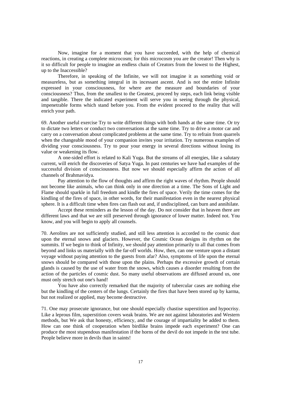Now, imagine for a moment that you have succeeded, with the help of chemical reactions, in creating a complete microcosm; for this microcosm you are the creator! Then why is it so difficult for people to imagine an endless chain of Creators from the lowest to the Highest, up to the Inaccessible?

 Therefore, in speaking of the Infinite, we will not imagine it as something void or measureless, but as something integral in its incessant ascent. And is not the entire Infinite expressed in your consciousness, for where are the measure and boundaries of your consciousness? Thus, from the smallest to the Greatest, proceed by steps, each link being visible and tangible. There the indicated experiment will serve you in seeing through the physical, impenetrable forms which stand before you. From the evident proceed to the reality that will enrich your path.

69. Another useful exercise Try to write different things with both hands at the same time. Or try to dictate two letters or conduct two conversations at the same time. Try to drive a motor car and carry on a conversation about complicated problems at the same time. Try to refrain from quarrels when the changeable mood of your companion invites your irritation. Try numerous examples of dividing your consciousness. Try to pour your energy in several directions without losing its value or weakening its flow.

 A one-sided effort is related to Kali Yuga. But the streams of all energies, like a salutary current, will enrich the discoveries of Satya Yuga. In past centuries we have had examples of the successful division of consciousness. But now we should especially affirm the action of all channels of Brahmavidya.

 Pay attention to the flow of thoughts and affirm the right waves of rhythm. People should not become like animals, who can think only in one direction at a time. The Sons of Light and Flame should sparkle in full freedom and kindle the fires of space. Verily the time comes for the kindling of the fires of space, in other words, for their manifestation even in the nearest physical sphere. It is a difficult time when fires can flash out and, if undisciplined, can burn and annihilate.

 Accept these reminders as the lesson of the day. Do not consider that in heaven there are different laws and that we are still preserved through ignorance of lower matter. Indeed not. You know, and you will begin to apply all counsels.

70. Aerolites are not sufficiently studied, and still less attention is accorded to the cosmic dust upon the eternal snows and glaciers. However, the Cosmic Ocean designs its rhythm on the summits. If we begin to think of Infinity, we should pay attention primarily to all that comes from beyond and links us materially with the far-off worlds. How, then, can one venture upon a distant voyage without paying attention to the guests from afar? Also, symptoms of life upon the eternal snows should be compared with those upon the plains. Perhaps the excessive growth of certain glands is caused by the use of water from the snows, which causes a disorder resulting from the action of the particles of cosmic dust. So many useful observations are diffused around us, one must only stretch out one's hand!

 You have also correctly remarked that the majority of tubercular cases are nothing else but the kindling of the centers of the lungs. Certainly the fires that have been stored up by karma, but not realized or applied, may become destructive.

71. One may prosecute ignorance, but one should especially chastise superstition and hypocrisy. Like a leprous film, superstition covers weak brains. We are not against laboratories and Western methods, but We ask that honesty, efficiency, and the courage of impartiality be added to them. How can one think of cooperation when birdlike brains impede each experiment? One can produce the most stupendous manifestation if the horns of the devil do not impede in the test tube. People believe more in devils than in saints!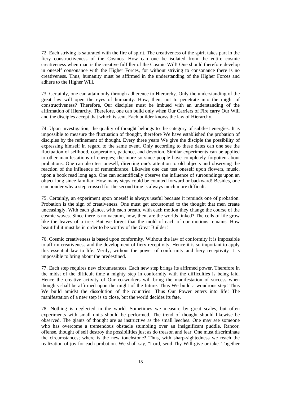72. Each striving is saturated with the fire of spirit. The creativeness of the spirit takes part in the fiery constructiveness of the Cosmos. How can one be isolated from the entire cosmic creativeness when man is the creative fulfiller of the Cosmic Will! One should therefore develop in oneself consonance with the Higher Forces, for without striving to consonance there is no creativeness. Thus, humanity must be affirmed in the understanding of the Higher Forces and adhere to the Higher Will.

73. Certainly, one can attain only through adherence to Hierarchy. Only the understanding of the great law will open the eyes of humanity. How, then, not to penetrate into the might of constructiveness? Therefore, Our disciples must be imbued with an understanding of the affirmation of Hierarchy. Therefore, one can build only when Our Carriers of Fire carry Our Will and the disciples accept that which is sent. Each builder knows the law of Hierarchy.

74. Upon investigation, the quality of thought belongs to the category of subtlest energies. It is impossible to measure the fluctuation of thought, therefore We have established the probation of disciples by the refinement of thought. Every three years We give the disciple the possibility of expressing himself in regard to the same event. Only according to these dates can one see the fluctuation of selfhood, cooperation, patience, and devotion. Similar experiments can be applied to other manifestations of energies; the more so since people have completely forgotten about probations. One can also test oneself, directing one's attention to old objects and observing the reaction of the influence of remembrance. Likewise one can test oneself upon flowers, music, upon a book read long ago. One can scientifically observe the influence of surroundings upon an object long since familiar. How many steps could be counted forward or backward! Besides, one can ponder why a step crossed for the second time is always much more difficult.

75. Certainly, an experiment upon oneself is always useful because it reminds one of probation. Probation is the sign of creativeness. One must get accustomed to the thought that men create unceasingly. With each glance, with each breath, with each motion they change the course of the cosmic waves. Since there is no vacuum, how, then, are the worlds linked? The cells of life grow like the leaves of a tree. But we forget that the mold of each of our motions remains. How beautiful it must be in order to be worthy of the Great Builder!

76. Cosmic creativeness is based upon conformity. Without the law of conformity it is impossible to affirm creativeness and the development of fiery receptivity. Hence it is so important to apply this essential law to life. Verily, without the power of conformity and fiery receptivity it is impossible to bring about the predestined.

77. Each step requires new circumstances. Each new step brings its affirmed power. Therefore in the midst of the difficult time a mighty step in conformity with the difficulties is being laid. Hence the creative activity of Our co-workers will bring the manifestation of success when thoughts shall be affirmed upon the might of the future. Thus We build a wondrous step! Thus We build amidst the dissolution of the countries! Thus Our Power enters into life! The manifestation of a new step is so close, but the world decides its fate.

78. Nothing is neglected in the world. Sometimes we measure by great scales, but often experiments with small units should be performed. The trend of thought should likewise be observed. The giants of thought are as instructive as the small leeches. One may see someone who has overcome a tremendous obstacle stumbling over an insignificant puddle. Rancor, offense, thought of self destroy the possibilities just as do treason and fear. One must discriminate the circumstances; where is the new touchstone? Thus, with sharp-sightedness we reach the realization of joy for each probation. We shall say, "Lord, send Thy Will-give or take. Together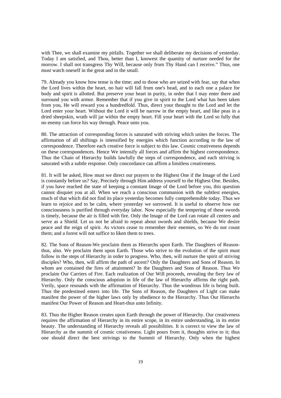with Thee, we shall examine my pitfalls. Together we shall deliberate my decisions of yesterday. Today I am satisfied, and Thou, better than I, knowest the quantity of nurture needed for the morrow. I shall not transgress Thy Will, because only from Thy Hand can I receive." Thus, one must watch oneself in the great and in the small.

79. Already you know how tense is the time; and to those who are seized with fear, say that when the Lord lives within the heart, no hair will fall from one's head, and to each one a palace for body and spirit is allotted. But preserve your heart in purity, in order that I may enter there and surround you with armor. Remember that if you give in spirit to the Lord what has been taken from you, He will reward you a hundredfold. Thus, direct your thought to the Lord and let the Lord enter your heart. Without the Lord it will be narrow in the empty heart, and like peas in a dried sheepskin, wrath will jar within the empty heart. Fill your heart with the Lord so fully that no enemy can force his way through. Peace unto you.

80. The attraction of corresponding forces is saturated with striving which unites the forces. The affirmation of all shiftings is intensified by energies which function according to the law of correspondence. Therefore each creative force is subject to this law. Cosmic creativeness depends on these correspondences. Hence We intensify all forces and affirm the highest correspondence. Thus the Chain of Hierarchy builds lawfully the steps of correspondence, and each striving is saturated with a subtle response. Only concordance can affirm a limitless creativeness.

81. It will be asked, How must we direct our prayers to the Highest One if the Image of the Lord is constantly before us? Say, Precisely through Him address yourself to the Highest One. Besides, if you have reached the state of keeping a constant Image of the Lord before you, this question cannot disquiet you at all. When we reach a conscious communion with the subtlest energies, much of that which did not find its place yesterday becomes fully comprehensible today. Thus we learn to rejoice and to be calm, where yesterday we sorrowed. It is useful to observe how our consciousness is purified through everyday labor. Now especially the tempering of these swords is timely, because the air is filled with fire. Only the Image of the Lord can rotate all centers and serve as a Shield. Let us not be afraid to repeat about swords and shields, because We desire peace and the reign of spirit. As victors cease to remember their enemies, so We do not count them; and a forest will not suffice to liken them to trees.

82. The Sons of Reason-We proclaim them as Hierarchs upon Earth. The Daughters of Reasonthus, also. We proclaim them upon Earth. Those who strive to the evolution of the spirit must follow in the steps of Hierarchy in order to progress. Who, then, will nurture the spirit of striving disciples? Who, then, will affirm the path of ascent? Only the Daughters and Sons of Reason. In whom are contained the fires of attainment? In the Daughters and Sons of Reason. Thus We proclaim Our Carriers of Fire. Each realization of Our Will proceeds, revealing the fiery law of Hierarchy. Only the conscious adoption in life of the law of Hierarchy affirms the right path. Verily, space resounds with the affirmation of Hierarchy. Thus the wondrous life is being built. Thus the predestined enters into life. The Sons of Reason, the Daughters of Light can make manifest the power of the higher laws only by obedience to the Hierarchy. Thus Our Hierarchs manifest Our Power of Reason and Heart-thus unto Infinity.

83. Thus the Higher Reason creates upon Earth through the power of Hierarchy. Our creativeness requires the affirmation of Hierarchy in its entire scope, in its entire understanding, in its entire beauty. The understanding of Hierarchy reveals all possibilities. It is correct to view the law of Hierarchy as the summit of cosmic creativeness. Light pours from it, thoughts strive to it; thus one should direct the best strivings to the Summit of Hierarchy. Only when the highest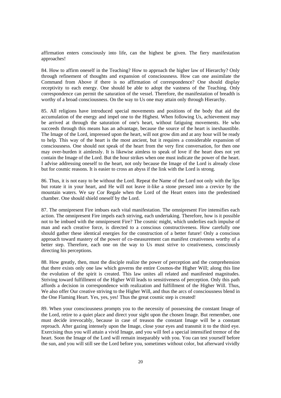affirmation enters consciously into life, can the highest be given. The fiery manifestation approaches!

84. How to affirm oneself in the Teaching? How to approach the higher law of Hierarchy? Only through refinement of thoughts and expansion of consciousness. How can one assimilate the Command from Above if there is no affirmation of correspondence? One should display receptivity to each energy. One should be able to adopt the vastness of the Teaching. Only correspondence can permit the saturation of the vessel. Therefore, the manifestation of breadth is worthy of a broad consciousness. On the way to Us one may attain only through Hierarchy.

85. All religions have introduced special movements and positions of the body that aid the accumulation of the energy and impel one to the Highest. When following Us, achievement may be arrived at through the saturation of one's heart, without fatiguing movements. He who succeeds through this means has an advantage, because the source of the heart is inexhaustible. The Image of the Lord, impressed upon the heart, will not grow dim and at any hour will be ready to help. This way of the heart is the most ancient, but it requires a considerable expansion of consciousness. One should not speak of the heart from the very first conversation, for then one may over-burden it aimlessly. It is likewise aimless to speak of love if the heart does not yet contain the Image of the Lord. But the hour strikes when one must indicate the power of the heart. I advise addressing oneself to the heart, not only because the Image of the Lord is already close but for cosmic reasons. It is easier to cross an abyss if the link with the Lord is strong.

86. Thus, it is not easy to be without the Lord. Repeat the Name of the Lord not only with the lips but rotate it in your heart, and He will not leave it-like a stone pressed into a crevice by the mountain waters. We say Cor Regale when the Lord of the Heart enters into the predestined chamber. One should shield oneself by the Lord.

87. The omnipresent Fire imbues each vital manifestation. The omnipresent Fire intensifies each action. The omnipresent Fire impels each striving, each undertaking. Therefore, how is it possible not to be imbued with the omnipresent Fire? The cosmic might, which underlies each impulse of man and each creative force, is directed to a conscious constructiveness. How carefully one should gather these identical energies for the construction of a better future! Only a conscious approach toward mastery of the power of co-measurement can manifest creativeness worthy of a better step. Therefore, each one on the way to Us must strive to creativeness, consciously directing his perceptions.

88. How greatly, then, must the disciple realize the power of perception and the comprehension that there exists only one law which governs the entire Cosmos-the Higher Will; along this line the evolution of the spirit is created. This law unites all related and manifested magnitudes. Striving toward fulfillment of the Higher Will leads to sensitiveness of perception. Only this path affords a decision in correspondence with realization and fulfillment of the Higher Will. Thus, We also offer Our creative striving to the Higher Will, and thus the arcs of consciousness blend in the One Flaming Heart. Yes, yes, yes! Thus the great cosmic step is created!

89. When your consciousness prompts you to the necessity of possessing the constant Image of the Lord, retire to a quiet place and direct your sight upon the chosen Image. But remember, one must decide irrevocably, because in case of treason the constant Image will be a constant reproach. After gazing intensely upon the Image, close your eyes and transmit it to the third eye. Exercising thus you will attain a vivid Image, and you will feel a special intensified tremor of the heart. Soon the Image of the Lord will remain inseparably with you. You can test yourself before the sun, and you will still see the Lord before you, sometimes without color, but afterward vividly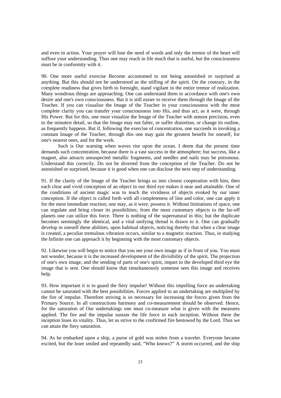and even in action. Your prayer will lose the need of words and only the tremor of the heart will suffuse your understanding. Thus one may reach in life much that is useful, but the consciousness must be in conformity with it.

90. One more useful exercise Become accustomed to not being astonished or surprised at anything. But this should not be understood as the stifling of the spirit. On the contrary, in the complete readiness that gives birth to foresight, stand vigilant in the entire tremor of realization. Many wondrous things are approaching. One can understand them in accordance with one's own desire and one's own consciousness. But it is still easier to receive them through the Image of the Teacher. If you can visualize the Image of the Teacher in your consciousness with the most complete clarity you can transfer your consciousness into His, and thus act, as it were, through His Power. But for this, one must visualize the Image of the Teacher with utmost precision, even to the minutest detail, so that the Image may not falter, or suffer distortion, or change its outline, as frequently happens. But if, following the exercise of concentration, one succeeds in invoking a constant Image of the Teacher, through this one may gain the greatest benefit for oneself, for one's nearest ones, and for the work.

 Such is Our warning when waves rise upon the ocean. I deem that the present time demands such concentration, because there is a vast success in the atmosphere; but success, like a magnet, also attracts unsuspected metallic fragments, and needles and nails may be poisonous. Understand this correctly. Do not be diverted from the conception of the Teacher. Do not be astonished or surprised, because it is good when one can disclose the next step of understanding.

91. If the clarity of the Image of the Teacher brings us into closest cooperation with him, then each clear and vivid conception of an object in our third eye makes it near and attainable. One of the conditions of ancient magic was to teach the vividness of objects evoked by our inner conception. If the object is called forth with all completeness of line and color, one can apply it for the most immediate reaction; one may, as it were, possess it. Without limitations of space, one can regulate and bring closer its possibilities; from the most customary objects to the far-off planets one can utilize this force. There is nothing of the supernatural in this; but the duplicate becomes seemingly the identical, and a vital unifying thread is drawn to it. One can gradually develop in oneself these abilities, upon habitual objects, noticing thereby that when a clear image is created, a peculiar tremulous vibration occurs, similar to a magnetic reaction. Thus, in studying the Infinite one can approach it by beginning with the most customary objects.

92. Likewise you will begin to notice that you see your own image as if in front of you. You must not wonder, because it is the increased development of the divisibility of the spirit. The projection of one's own image, and the sending of parts of one's spirit, impart to the developed third eye the image that is sent. One should know that simultaneously someone sees this image and receives help.

93. How important it is to guard the fiery impulse! Without this impelling force an undertaking cannot be saturated with the best possibilities. Forces applied to an undertaking are multiplied by the fire of impulse. Therefore striving is so necessary for increasing the forces given from the Primary Source. In all constructions harmony and co-measurement should be observed. Hence, for the saturation of Our undertakings one must co-measure what is given with the measures applied. The fire and the impulse sustain the life force in each inception. Without these the inception loses its vitality. Thus, let us strive to the confirmed fire bestowed by the Lord. Thus we can attain the fiery saturation.

94. As he embarked upon a ship, a purse of gold was stolen from a traveler. Everyone became excited, but the loser smiled and repeatedly said, "Who knows?" A storm occurred, and the ship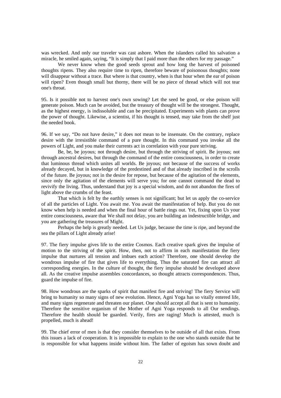was wrecked. And only our traveler was cast ashore. When the islanders called his salvation a miracle, he smiled again, saying, "It is simply that I paid more than the others for my passage."

 We never know when the good seeds sprout and how long the harvest of poisoned thoughts ripens. They also require time to ripen, therefore beware of poisonous thoughts; none will disappear without a trace. But where is that country, when is that hour when the ear of poison will ripen? Even though small but thorny, there will be no piece of thread which will not tear one's throat.

95. Is it possible not to harvest one's own sowing? Let the seed be good, or else poison will generate poison. Much can be avoided, but the treasury of thought will be the strongest. Thought, as the highest energy, is indissoluble and can be precipitated. Experiments with plants can prove the power of thought. Likewise, a scientist, if his thought is tensed, may take from the shelf just the needed book.

96. If we say, "Do not have desire," it does not mean to be insensate. On the contrary, replace desire with the irresistible command of a pure thought. In this command you invoke all the powers of Light, and you make their currents act in correlation with your pure striving.

 Be, be, be joyous; not through desire, but through the striving of spirit. Be joyous; not through ancestral desires, but through the command of the entire consciousness, in order to create that luminous thread which unites all worlds. Be joyous; not because of the success of works already decayed, but in knowledge of the predestined and of that already inscribed in the scrolls of the future. Be joyous; not in the desire for repose, but because of the agitation of the elements, since only the agitation of the elements will serve you; for one cannot command the dead to revivify the living. Thus, understand that joy is a special wisdom, and do not abandon the fires of light above the crumbs of the feast.

 That which is felt by the earthly senses is not significant; but let us apply the co-service of all the particles of Light. You await me. You await the manifestation of help. But you do not know when help is needed and when the final hour of battle rings out. Yet, fixing upon Us your entire consciousness, aware that We shall not delay, you are building an indestructible bridge, and you are gathering the treasures of Might.

 Perhaps the help is greatly needed. Let Us judge, because the time is ripe, and beyond the sea the pillars of Light already arise!

97. The fiery impulse gives life to the entire Cosmos. Each creative spark gives the impulse of motion to the striving of the spirit. How, then, not to affirm in each manifestation the fiery impulse that nurtures all tension and imbues each action? Therefore, one should develop the wondrous impulse of fire that gives life to everything. Thus the saturated fire can attract all corresponding energies. In the culture of thought, the fiery impulse should be developed above all. As the creative impulse assembles concordances, so thought attracts correspondences. Thus, guard the impulse of fire.

98. How wondrous are the sparks of spirit that manifest fire and striving! The fiery Service will bring to humanity so many signs of new evolution. Hence, Agni Yoga has so vitally entered life, and many signs regenerate and threaten our planet. One should accept all that is sent to humanity. Therefore the sensitive organism of the Mother of Agni Yoga responds to all Our sendings. Therefore the health should be guarded. Verily, fires are raging! Much is attested, much is propelled, much is ahead!

99. The chief error of men is that they consider themselves to be outside of all that exists. From this issues a lack of cooperation. It is impossible to explain to the one who stands outside that he is responsible for what happens inside without him. The father of egoism has sown doubt and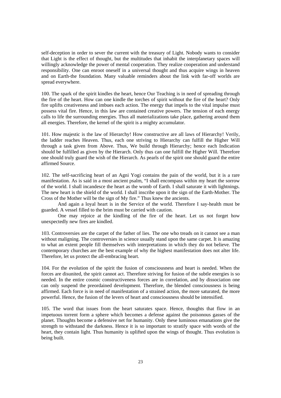self-deception in order to sever the current with the treasury of Light. Nobody wants to consider that Light is the effect of thought, but the multitudes that inhabit the interplanetary spaces will willingly acknowledge the power of mental cooperation. They realize cooperation and understand responsibility. One can enroot oneself in a universal thought and thus acquire wings in heaven and on Earth-the foundation. Many valuable reminders about the link with far-off worlds are spread everywhere.

100. The spark of the spirit kindles the heart, hence Our Teaching is in need of spreading through the fire of the heart. How can one kindle the torches of spirit without the fire of the heart? Only fire uplifts creativeness and imbues each action. The energy that impels to the vital impulse must possess vital fire. Hence, in this law are contained creative powers. The tension of each energy calls to life the surrounding energies. Thus all materializations take place, gathering around them all energies. Therefore, the kernel of the spirit is a mighty accumulator.

101. How majestic is the law of Hierarchy! How constructive are all laws of Hierarchy! Verily, the ladder reaches Heaven. Thus, each one striving to Hierarchy can fulfill the Higher Will through a task given from Above. Thus, We build through Hierarchy; hence each Indication should be fulfilled as given by the Hierarch. Only thus can one fulfill the Higher Will. Therefore one should truly guard the wish of the Hierarch. As pearls of the spirit one should guard the entire affirmed Source.

102. The self-sacrificing heart of an Agni Yogi contains the pain of the world, but it is a rare manifestation. As is said in a most ancient psalm, "I shall encompass within my heart the sorrow of the world. I shall incandesce the heart as the womb of Earth. I shall saturate it with lightnings. The new heart is the shield of the world. I shall inscribe upon it the sign of the Earth-Mother. The Cross of the Mother will be the sign of My fire." Thus knew the ancients.

 And again a loyal heart is in the Service of the world. Therefore I say-health must be guarded. A vessel filled to the brim must be carried with caution.

 One may rejoice at the kindling of the fire of the heart. Let us not forget how unexpectedly new fires are kindled.

103. Controversies are the carpet of the father of lies. The one who treads on it cannot see a man without maligning. The controversies in science usually stand upon the same carpet. It is amazing to what an extent people fill themselves with interpretations in which they do not believe. The contemporary churches are the best example of why the highest manifestation does not alter life. Therefore, let us protect the all-embracing heart.

104. For the evolution of the spirit the fusion of consciousness and heart is needed. When the forces are disunited, the spirit cannot act. Therefore striving for fusion of the subtle energies is so needed. In the entire cosmic constructiveness forces are in correlation, and by dissociation one can only suspend the preordained development. Therefore, the blended consciousness is being affirmed. Each force is in need of manifestation of a strained action, the more saturated, the more powerful. Hence, the fusion of the levers of heart and consciousness should be intensified.

105. The word that issues from the heart saturates space. Hence, thoughts that flow in an impetuous torrent form a sphere which becomes a defense against the poisonous gasses of the planet. Thoughts become a defensive net for humanity. Only these luminous emanations give the strength to withstand the darkness. Hence it is so important to stratify space with words of the heart, they contain light. Thus humanity is uplifted upon the wings of thought. Thus evolution is being built.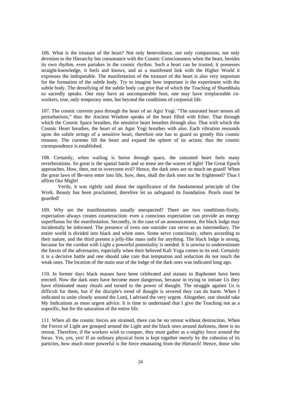106. What is the treasure of the heart? Not only benevolence, not only compassion, not only devotion to the Hierarchy but consonance with the Cosmic Consciousness when the heart, besides its own rhythm, even partakes in the cosmic rhythm. Such a heart can be trusted; it possesses straight-knowledge, it feels and knows, and as a manifested link with the Higher World it expresses the indisputable. The manifestation of the treasure of the heart is also very important for the formation of the subtle body. Try to imagine how important is the experiment with the subtle body. The densifying of the subtle body can give that of which the Teaching of Shambhala so sacredly speaks. One may have an unconquerable host, one may have irreplaceable coworkers, true, only temporary ones, but beyond the conditions of corporeal life.

107. The cosmic currents pass through the heart of an Agni Yogi. "The saturated heart senses all perturbations," thus the Ancient Wisdom speaks of the heart filled with Ether. That through which the Cosmic Space breathes, the sensitive heart breathes through also. That with which the Cosmic Heart breathes, the heart of an Agni Yogi breathes with also. Each vibration resounds upon the subtle strings of a sensitive heart, therefore one has to guard so greatly this cosmic treasure. The currents fill the heart and expand the sphere of its action; thus the cosmic correspondence is established.

108. Certainly, when wailing is borne through space, the saturated heart feels many reverberations. So great is the spatial battle and so tense are the waves of light! The Great Epoch approaches. How, then, not to overcome evil? Hence, the dark ones are so much on guard! When the great laws of Be-ness enter into life, how, then, shall the dark ones not be frightened? Thus I affirm Our Might!

 Verily, it was rightly said about the significance of the fundamental principle of Our Work. Beauty has been proclaimed, therefore let us safeguard its foundation. Pearls must be guarded!

109. Why are the manifestations usually unexpected? There are two conditions-firstly, expectation always creates counteraction; even a conscious expectation can provide an energy superfluous for the manifestation. Secondly, in the case of an announcement, the black lodge may incidentally be informed. The presence of even one outsider can serve as an intermediary. The entire world is divided into black and white ones. Some serve consciously, others according to their nature, and the third present a jelly-like mass unfit for anything. The black lodge is strong, because for the combat with Light a powerful potentiality is needed. It is unwise to underestimate the forces of the adversaries, especially when their beloved Kali Yuga comes to its end. Certainly it is a decisive battle and one should take care that temptation and seduction do not touch the weak ones. The location of the main seat of the lodge of the dark ones was indicated long ago.

110. In former days black masses have been celebrated and statues to Baphomet have been erected. Now the dark ones have become more dangerous, because in trying to imitate Us they have eliminated many rituals and turned to the power of thought. The struggle against Us is difficult for them, but if the disciple's trend of thought is severed they can do harm. When I indicated to unite closely around the Lord, I advised the very urgent. Altogether, one should take My Indications as most urgent advice. It is time to understand that I give the Teaching not as a soporific, but for the saturation of the entire life.

111. When all the cosmic forces are strained, there can be no retreat without destruction. When the Forces of Light are grouped around the Light and the black ones around darkness, there is no retreat. Therefore, if the workers wish to conquer, they must gather as a mighty force around the focus. Yes, yes, yes! If an ordinary physical form is kept together merely by the cohesion of its particles, how much more powerful is the force emanating from the Hierarch! Hence, those who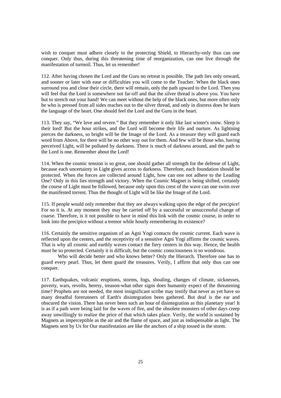wish to conquer must adhere closely to the protecting Shield, to Hierarchy-only thus can one conquer. Only thus, during this threatening time of reorganization, can one live through the manifestation of turmoil. Thus, let us remember!

112. After having chosen the Lord and the Guru no retreat is possible. The path lies only onward, and sooner or later with ease or difficulties you will come to the Teacher. When the black ones surround you and close their circle, there will remain, only the path upward to the Lord. Then you will feel that the Lord is somewhere not far-off and that the silver thread is above you. You have but to stretch out your hand! We can meet without the help of the black ones, but more often only he who is pressed from all sides reaches out to the silver thread, and only in distress does he learn the language of the heart. One should feel the Lord and the Guru in the heart.

113. They say, "We love and revere." But they remember it only like last winter's snow. Sleep is their lord! But the hour strikes, and the Lord will become their life and nurture. As lightning pierces the darkness, so bright will be the Image of the Lord. As a treasure they will guard each word from Above, for there will be no other way out for them. And few will be those who, having perceived Light, will be polluted by darkness. There is much of darkness around, and the path to the Lord is one. Remember about the Lord!

114. When the cosmic tension is so great, one should gather all strength for the defense of Light, because each uncertainty in Light gives access to darkness. Therefore, each foundation should be protected. When the forces are collected around Light, how can one not adhere to the Leading One? Only in this lies strength and victory. When the Cosmic Magnet is being shifted, certainly the course of Light must be followed, because only upon this crest of the wave can one swim over the manifested torrent. Thus the thought of Light will be like the Image of the Lord.

115. If people would only remember that they are always walking upon the edge of the precipice! For so it is. At any moment they may be carried off by a successful or unsuccessful change of coarse. Therefore, is it not possible to have in mind this link with the cosmic course, in order to look into the precipice without a tremor while hourly remembering its existence?

116. Certainly the sensitive organism of an Agni Yogi contacts the cosmic current. Each wave is reflected upon the centers, and the receptivity of a sensitive Agni Yogi affirms the cosmic waves. That is why all cosmic and earthly waves contact the fiery centers in this way. Hence, the health must be so protected. Certainly it is difficult, but the cosmic consciousness is so wondrous.

 Who will decide better and who knows better? Only the Hierarch. Therefore one has to guard every pearl. Thus, let them guard the treasures. Verily, I affirm that only thus can one conquer.

117. Earthquakes, volcanic eruptions, storms, fogs, shoaling, changes of climate, sicknesses, poverty, wars, revolts, heresy, treason-what other signs does humanity expect of the threatening time? Prophets are not needed, the most insignificant scribe may testify that never as yet have so many dreadful forerunners of Earth's disintegration been gathered. But deaf is the ear and obscured the vision. There has never been such an hour of disintegration as this planetary year! It is as if a path were being laid for the waves of fire, and the obsolete monsters of other days creep away unwillingly to realize the price of that which takes place. Verily, the world is sustained by Magnets as imperceptible as the air and the flame of space, and just as indispensable as light. The Magnets sent by Us for Our manifestation are like the anchors of a ship tossed in the storm.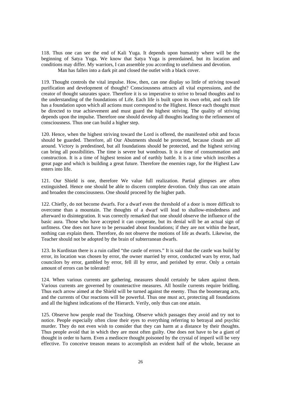118. Thus one can see the end of Kali Yuga. It depends upon humanity where will be the beginning of Satya Yuga. We know that Satya Yuga is preordained, but its location and conditions may differ. My warriors, I can assemble you according to usefulness and devotion. Man has fallen into a dark pit and closed the outlet with a black cover.

119. Thought controls the vital impulse. How, then, can one display so little of striving toward purification and development of thought? Consciousness attracts all vital expressions, and the creator of thought saturates space. Therefore it is so imperative to strive to broad thoughts and to the understanding of the foundations of Life. Each life is built upon its own orbit, and each life has a foundation upon which all actions must correspond to the Highest. Hence each thought must be directed to true achievement and must guard the highest striving. The quality of striving depends upon the impulse. Therefore one should develop all thoughts leading to the refinement of consciousness. Thus one can build a higher step.

120. Hence, when the highest striving toward the Lord is offered, the manifested orbit and focus should be guarded. Therefore, all Our Abutments should be protected, because clouds are all around. Victory is predestined, but all foundations should be protected, and the highest striving can bring all possibilities. The time is severe but wondrous. It is a time of consummation and construction. It is a time of highest tension and of earthly battle. It is a time which inscribes a great page and which is building a great future. Therefore the enemies rage, for the Highest Law enters into life.

121. Our Shield is one, therefore We value full realization. Partial glimpses are often extinguished. Hence one should be able to discern complete devotion. Only thus can one attain and broaden the consciousness. One should proceed by the higher path.

122. Chiefly, do not become dwarfs. For a dwarf even the threshold of a door is more difficult to overcome than a mountain. The thoughts of a dwarf will lead to shallow-mindedness and afterward to disintegration. It was correctly remarked that one should observe the influence of the basic aura. Those who have accepted it can cooperate, but its denial will be an actual sign of unfitness. One does not have to be persuaded about foundations; if they are not within the heart, nothing can explain them. Therefore, do not observe the motions of life as dwarfs. Likewise, the Teacher should not be adopted by the brain of subterranean dwarfs.

123. In Kurdistan there is a ruin called "the castle of errors." It is said that the castle was build by error, its location was chosen by error, the owner married by error, conducted wars by error, had councilors by error, gambled by error, fell ill by error, and perished by error. Only a certain amount of errors can be tolerated!

124. When various currents are gathering, measures should certainly be taken against them. Various currents are governed by counteractive measures. All hostile currents require bridling. Thus each arrow aimed at the Shield will be turned against the enemy. Thus the boomerang acts, and the currents of Our reactions will be powerful. Thus one must act, protecting all foundations and all the highest indications of the Hierarch. Verily, only thus can one attain.

125. Observe how people read the Teaching. Observe which passages they avoid and try not to notice. People especially often close their eyes to everything referring to betrayal and psychic murder. They do not even wish to consider that they can harm at a distance by their thoughts. Thus people avoid that in which they are most often guilty. One does not have to be a giant of thought in order to harm. Even a mediocre thought poisoned by the crystal of imperil will be very effective. To conceive treason means to accomplish an evident half of the whole, because an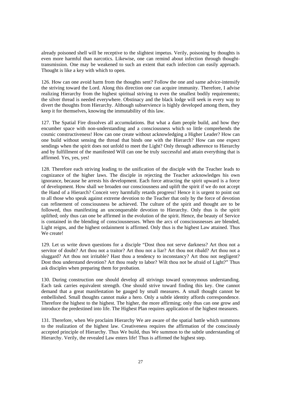already poisoned shell will be receptive to the slightest impetus. Verily, poisoning by thoughts is even more harmful than narcotics. Likewise, one can remind about infection through thoughttransmission. One may be weakened to such an extent that each infection can easily approach. Thought is like a key with which to open.

126. How can one avoid harm from the thoughts sent? Follow the one and same advice-intensify the striving toward the Lord. Along this direction one can acquire immunity. Therefore, I advise realizing Hierarchy from the highest spiritual striving to even the smallest bodily requirements; the silver thread is needed everywhere. Obstinacy and the black lodge will seek in every way to divert the thoughts from Hierarchy. Although subservience is highly developed among them, they keep it for themselves, knowing the immutability of this law.

127. The Spatial Fire dissolves all accumulations. But what a dam people build, and how they encumber space with non-understanding and a consciousness which so little comprehends the cosmic constructiveness! How can one create without acknowledging a Higher Leader? How can one build without sensing the thread that binds one with the Hierarch? How can one expect sendings when the spirit does not unfold to meet the Light? Only through adherence to Hierarchy and by fulfillment of the manifested Will can one be truly successful and attain everything that is affirmed. Yes, yes, yes!

128. Therefore each striving leading to the unification of the disciple with the Teacher leads to cognizance of the higher laws. The disciple in rejecting the Teacher acknowledges his own ignorance, because he arrests his development. Each force attracting the spirit upward is a force of development. How shall we broaden our consciousness and uplift the spirit if we do not accept the Hand of a Hierarch? Conceit very harmfully retards progress! Hence it is urgent to point out to all those who speak against extreme devotion to the Teacher that only by the force of devotion can refinement of consciousness be achieved. The culture of the spirit and thought are to be followed, thus manifesting an unconquerable devotion to Hierarchy. Only thus is the spirit uplifted; only thus can one be affirmed in the evolution of the spirit. Hence, the beauty of Service is contained in the blending of consciousnesses. When the arcs of consciousnesses are blended, Light reigns, and the highest ordainment is affirmed. Only thus is the highest Law attained. Thus We create!

129. Let us write down questions for a disciple "Dost thou not serve darkness? Art thou not a servitor of doubt? Art thou not a traitor? Art thou not a liar? Art thou not ribald? Art thou not a sluggard? Art thou not irritable? Hast thou a tendency to inconstancy? Art thou not negligent? Dost thou understand devotion? Art thou ready to labor? Wilt thou not be afraid of Light?" Thus ask disciples when preparing them for probation.

130. During construction one should develop all strivings toward synonymous understanding. Each task carries equivalent strength. One should strive toward finding this key. One cannot demand that a great manifestation be gauged by small measures. A small thought cannot be embellished. Small thoughts cannot make a hero. Only a subtle identity affords correspondence. Therefore the highest to the highest. The higher, the more affirming; only thus can one grow and introduce the predestined into life. The Highest Plan requires application of the highest measures.

131. Therefore, when We proclaim Hierarchy We are aware of the spatial battle which summons to the realization of the highest law. Creativeness requires the affirmation of the consciously accepted principle of Hierarchy. Thus We build, thus We summon to the subtle understanding of Hierarchy. Verily, the revealed Law enters life! Thus is affirmed the highest step.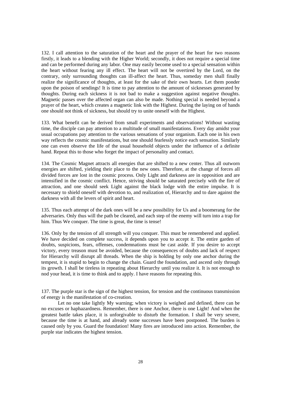132. I call attention to the saturation of the heart and the prayer of the heart for two reasons firstly, it leads to a blending with the Higher World; secondly, it does not require a special time and can be performed during any labor. One may easily become used to a special sensation within the heart without fearing any ill effect. The heart will not be overtired by the Lord, on the contrary, only surrounding thoughts can ill-affect the heart. Thus, someday men shall finally realize the significance of thoughts, at least for the sake of their own hearts. Let them ponder upon the poison of sendings! It is time to pay attention to the amount of sicknesses generated by thoughts. During each sickness it is not bad to make a suggestion against negative thoughts. Magnetic passes over the affected organ can also be made. Nothing special is needed beyond a prayer of the heart, which creates a magnetic link with the Highest. During the laying on of hands one should not think of sickness, but should try to unite oneself with the Highest.

133. What benefit can be derived from small experiments and observations! Without wasting time, the disciple can pay attention to a multitude of small manifestations. Every day amidst your usual occupations pay attention to the various sensations of your organism. Each one in his own way reflects the cosmic manifestations, but one should fearlessly notice each sensation. Similarly one can even observe the life of the usual household objects under the influence of a definite hand. Repeat this to those who forget the impact of personality and contact.

134. The Cosmic Magnet attracts all energies that are shifted to a new center. Thus all outworn energies are shifted, yielding their place to the new ones. Therefore, at the change of forces all divided forces are lost in the cosmic process. Only Light and darkness are in opposition and are intensified in the cosmic conflict. Hence, striving should be saturated precisely with the fire of attraction, and one should seek Light against the black lodge with the entire impulse. It is necessary to shield oneself with devotion to, and realization of, Hierarchy and to dare against the darkness with all the levers of spirit and heart.

135. Thus each attempt of the dark ones will be a new possibility for Us and a boomerang for the adversaries. Only thus will the path be cleared, and each step of the enemy will turn into a trap for him. Thus We conquer. The time is great, the time is tense!

136. Only by the tension of all strength will you conquer. This must be remembered and applied. We have decided on complete success, it depends upon you to accept it. The entire garden of doubts, suspicions, fears, offenses, condemnations must be cast aside. If you desire to accept victory, every treason must be avoided, because the consequences of doubts and lack of respect for Hierarchy will disrupt all threads. When the ship is holding by only one anchor during the tempest, it is stupid to begin to change the chain. Guard the foundation, and ascend only through its growth. I shall be tireless in repeating about Hierarchy until you realize it. It is not enough to nod your head, it is time to think and to apply. I have reasons for repeating this.

137. The purple star is the sign of the highest tension, for tension and the continuous transmission of energy is the manifestation of co-creation.

Let no one take lightly My warning; when victory is weighed and defined, there can be no excuses or haphazardness. Remember, there is one Anchor, there is one Light! And when the greatest battle takes place, it is unforgivable to disturb the formation. I shall be very severe, because the time is at hand, and already some successes have been postponed. The burden is caused only by you. Guard the foundation! Many fires are introduced into action. Remember, the purple star indicates the highest tension.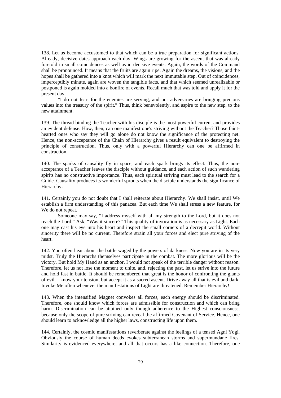138. Let us become accustomed to that which can be a true preparation for significant actions. Already, decisive dates approach each day. Wings are growing for the ascent that was already foretold in small coincidences as well as in decisive events. Again, the words of the Command shall be pronounced. It means that the fruits are again ripe. Again the dreams, the visions, and the hopes shall be gathered into a knot which will mark the next immutable step. Out of coincidences, imperceptibly minute, again are woven the tangible facts, and that which seemed unrealizable or postponed is again molded into a bonfire of events. Recall much that was told and apply it for the present day.

 "I do not fear, for the enemies are serving, and our adversaries are bringing precious values into the treasury of the spirit." Thus, think benevolently, and aspire to the new step, to the new attainment.

139. The thread binding the Teacher with his disciple is the most powerful current and provides an evident defense. How, then, can one manifest one's striving without the Teacher? Those fainthearted ones who say they will go alone do not know the significance of the protecting net. Hence, the non-acceptance of the Chain of Hierarchy gives a result equivalent to destroying the principle of construction. Thus, only with a powerful Hierarchy can one be affirmed in construction.

140. The sparks of causality fly in space, and each spark brings its effect. Thus, the nonacceptance of a Teacher leaves the disciple without guidance, and each action of such wandering spirits has no constructive importance. Thus, each spiritual striving must lead to the search for a Guide. Causality produces its wonderful sprouts when the disciple understands the significance of Hierarchy.

141. Certainly you do not doubt that I shall reiterate about Hierarchy. We shall insist, until We establish a firm understanding of this panacea. But each time We shall stress a new feature, for We do not repeat.

 Someone may say, "I address myself with all my strength to the Lord, but it does not reach the Lord." Ask, "Was it sincere?" This quality of invocation is as necessary as Light. Each one may cast his eye into his heart and inspect the small corners of a decrepit world. Without sincerity there will be no current. Therefore strain all your forces and elect pure striving of the heart.

142. You often hear about the battle waged by the powers of darkness. Now you are in its very midst. Truly the Hierarchs themselves participate in the combat. The more glorious will be the victory. But hold My Hand as an anchor. I would not speak of the terrible danger without reason. Therefore, let us not lose the moment to unite, and, rejecting the past, let us strive into the future and hold fast in battle. It should be remembered that great is the honor of confronting the giants of evil. I know your tension, but accept it as a sacred ascent. Drive away all that is evil and dark. Invoke Me often whenever the manifestations of Light are threatened. Remember Hierarchy!

143. When the intensified Magnet convokes all forces, each energy should be discriminated. Therefore, one should know which forces are admissible for construction and which can bring harm. Discrimination can be attained only though adherence to the Highest consciousness, because only the scope of pure striving can reveal the affirmed Covenant of Service. Hence, one should learn to acknowledge all the higher laws, constructing life upon them.

144. Certainly, the cosmic manifestations reverberate against the feelings of a tensed Agni Yogi. Obviously the course of human deeds evokes subterranean storms and supermundane fires. Similarity is evidenced everywhere, and all that occurs has a like connection. Therefore, one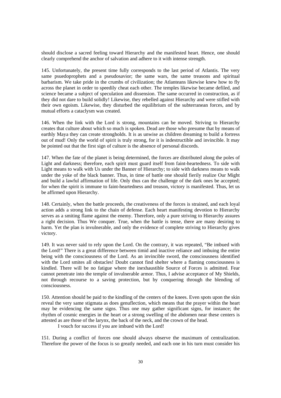should disclose a sacred feeling toward Hierarchy and the manifested heart. Hence, one should clearly comprehend the anchor of salvation and adhere to it with intense strength.

145. Unfortunately, the present time fully corresponds to the last period of Atlantis. The very same psuedoprophets and a pseudosavior; the same wars, the same treasons and spiritual barbarism. We take pride in the crumbs of civilization; the Atlanteans likewise knew how to fly across the planet in order to speedily cheat each other. The temples likewise became defiled, and science became a subject of speculation and dissension. The same occurred in construction, as if they did not dare to build solidly! Likewise, they rebelled against Hierarchy and were stifled with their own egoism. Likewise, they disturbed the equilibrium of the subterranean forces, and by mutual efforts a cataclysm was created.

146. When the link with the Lord is strong, mountains can be moved. Striving to Hierarchy creates that culture about which so much is spoken. Dead are those who presume that by means of earthly Maya they can create strongholds. It is as unwise as children dreaming to build a fortress out of mud! Only the world of spirit is truly strong, for it is indestructible and invincible. It may be pointed out that the first sign of culture is the absence of personal discords.

147. When the fate of the planet is being determined, the forces are distributed along the poles of Light and darkness; therefore, each spirit must guard itself from faint-heartedness. To side with Light means to walk with Us under the Banner of Hierarchy; to side with darkness means to walk under the yoke of the black banner. Thus, in time of battle one should fierily realize Our Might and build a lawful affirmation of life. Only thus can the challenge of the dark ones be accepted; for when the spirit is immune to faint-heartedness and treason, victory is manifested. Thus, let us be affirmed upon Hierarchy.

148. Certainly, when the battle proceeds, the creativeness of the forces is strained, and each loyal action adds a strong link to the chain of defense. Each heart manifesting devotion to Hierarchy serves as a smiting flame against the enemy. Therefore, only a pure striving to Hierarchy assures a right decision. Thus We conquer. True, when the battle is tense, there are many desiring to harm. Yet the plan is invulnerable, and only the evidence of complete striving to Hierarchy gives victory.

149. It was never said to rely upon the Lord. On the contrary, it was repeated, "Be imbued with the Lord!" There is a great difference between timid and inactive reliance and imbuing the entire being with the consciousness of the Lord. As an invincible sword, the consciousness identified with the Lord smites all obstacles! Doubt cannot find shelter where a flaming consciousness is kindled. There will be no fatigue where the inexhaustible Source of Forces is admitted. Fear cannot penetrate into the temple of invulnerable armor. Thus, I advise acceptance of My Shields, not through recourse to a saving protection, but by conquering through the blending of consciousness.

150. Attention should be paid to the kindling of the centers of the knees. Even spots upon the skin reveal the very same stigmata as does genuflection, which means that the prayer within the heart may be evidencing the same signs. Thus one may gather significant signs, for instance; the rhythm of cosmic energies in the heart or a strong swelling of the abdomen near these centers is attested as are those of the larynx, the back of the neck, and the crown of the head.

I vouch for success if you are imbued with the Lord!

151. During a conflict of forces one should always observe the maximum of centralization. Therefore the power of the focus is so greatly needed, and each one in his turn must consider his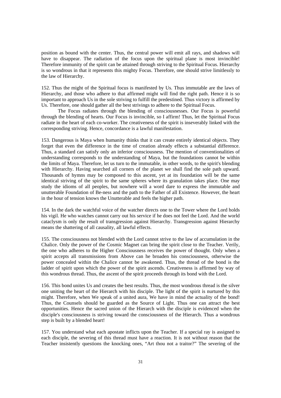position as bound with the center. Thus, the central power will emit all rays, and shadows will have to disappear. The radiation of the focus upon the spiritual plane is most invincible! Therefore immunity of the spirit can be attained through striving to the Spiritual Focus. Hierarchy is so wondrous in that it represents this mighty Focus. Therefore, one should strive limitlessly to the law of Hierarchy.

152. Thus the might of the Spiritual focus is manifested by Us. Thus immutable are the laws of Hierarchy, and those who adhere to that affirmed might will find the right path. Hence it is so important to approach Us in the sole striving to fulfill the predestined. Thus victory is affirmed by Us. Therefore, one should gather all the best strivings to adhere to the Spiritual Focus.

 The Focus radiates through the blending of consciousnesses. Our Focus is powerful through the blending of hearts. Our Focus is invincible, so I affirm! Thus, let the Spiritual Focus radiate in the heart of each co-worker. The creativeness of the spirit is inseverably linked with the corresponding striving. Hence, concordance is a lawful manifestation.

153. Dangerous is Maya when humanity thinks that it can create entirely identical objects. They forget that even the difference in the time of creation already effects a substantial difference. Thus, a standard can satisfy only an inferior consciousness. The mention of conventionalities of understanding corresponds to the understanding of Maya, but the foundations cannot be within the limits of Maya. Therefore, let us turn to the immutable, in other words, to the spirit's blending with Hierarchy. Having searched all corners of the planet we shall find the sole path upward. Thousands of hymns may be composed to this ascent, yet at its foundation will be the same identical striving of the spirit to the same spheres where its granulation takes place. One may study the idioms of all peoples, but nowhere will a word dare to express the immutable and unutterable Foundation of Be-ness and the path to the Father of all Existence. However, the heart in the hour of tension knows the Unutterable and feels the higher path.

154. In the dark the watchful voice of the watcher directs one to the Tower where the Lord holds his vigil. He who watches cannot carry out his service if he does not feel the Lord. And the world cataclysm is only the result of transgression against Hierarchy. Transgression against Hierarchy means the shattering of all causality, all lawful effects.

155. The consciousness not blended with the Lord cannot strive to the law of accumulation in the Chalice. Only the power of the Cosmic Magnet can bring the spirit close to the Teacher. Verily, the one who adheres to the Higher Consciousness receives the power of thought. Only when a spirit accepts all transmissions from Above can he broaden his consciousness, otherwise the power concealed within the Chalice cannot be awakened. Thus, the thread of the bond is the ladder of spirit upon which the power of the spirit ascends. Creativeness is affirmed by way of this wondrous thread. Thus, the ascent of the spirit proceeds through its bond with the Lord.

156. This bond unites Us and creates the best results. Thus, the most wondrous thread is the silver one uniting the heart of the Hierarch with his disciple. The light of the spirit is nurtured by this might. Therefore, when We speak of a united aura, We have in mind the actuality of the bond! Thus, the Counsels should be guarded as the Source of Light. Thus one can attract the best opportunities. Hence the sacred union of the Hierarch with the disciple is evidenced when the disciple's consciousness is striving toward the consciousness of the Hierarch. Thus a wondrous step is built by a blended heart!

157. You understand what each apostate inflicts upon the Teacher. If a special ray is assigned to each disciple, the severing of this thread must have a reaction. It is not without reason that the Teacher insistently questions the knocking ones, "Art thou not a traitor?" The severing of the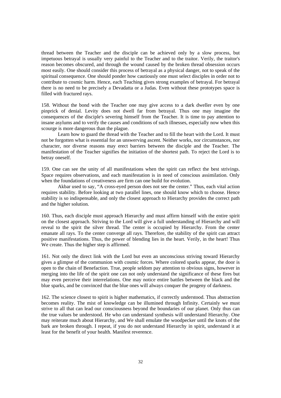thread between the Teacher and the disciple can be achieved only by a slow process, but impetuous betrayal is usually very painful to the Teacher and to the traitor. Verily, the traitor's reason becomes obscured, and through the wound caused by the broken thread obsession occurs most easily. One should consider this process of betrayal as a physical danger, not to speak of the spiritual consequence. One should ponder how cautiously one must select disciples in order not to contribute to cosmic harm. Hence, each Teaching gives strong examples of betrayal. For betrayal there is no need to be precisely a Devadatta or a Judas. Even without these prototypes space is filled with fractured rays.

158. Without the bond with the Teacher one may give access to a dark dweller even by one pinprick of denial. Levity does not dwell far from betrayal. Thus one may imagine the consequences of the disciple's severing himself from the Teacher. It is time to pay attention to insane asylums and to verify the causes and conditions of such illnesses, especially now when this scourge is more dangerous than the plague.

 Learn how to guard the thread with the Teacher and to fill the heart with the Lord. It must not be forgotten what is essential for an unswerving ascent. Neither works, nor circumstances, nor character, nor diverse reasons may erect barriers between the disciple and the Teacher. The manifestation of the Teacher signifies the initiation of the shortest path. To reject the Lord is to betray oneself.

159. One can see the unity of all manifestations when the spirit can reflect the best strivings. Space requires observations, and each manifestation is in need of conscious assimilation. Only when the foundations of creativeness are firm can one build for evolution.

 Akbar used to say, "A cross-eyed person does not see the center." Thus, each vital action requires stability. Before looking at two parallel lines, one should know which to choose. Hence stability is so indispensable, and only the closest approach to Hierarchy provides the correct path and the higher solution.

160. Thus, each disciple must approach Hierarchy and must affirm himself with the entire spirit on the closest approach. Striving to the Lord will give a full understanding of Hierarchy and will reveal to the spirit the silver thread. The center is occupied by Hierarchy. From the center emanate all rays. To the center converge all rays. Therefore, the stability of the spirit can attract positive manifestations. Thus, the power of blending lies in the heart. Verily, in the heart! Thus We create. Thus the higher step is affirmed.

161. Not only the direct link with the Lord but even an unconscious striving toward Hierarchy gives a glimpse of the communion with cosmic forces. Where colored sparks appear, the door is open to the chain of Benefaction. True, people seldom pay attention to obvious signs, however in merging into the life of the spirit one can not only understand the significance of these fires but may even perceive their interrelations. One may notice entire battles between the black and the blue sparks, and be convinced that the blue ones will always conquer the progeny of darkness.

162. The science closest to spirit is higher mathematics, if correctly understood. Thus abstraction becomes reality. The mist of knowledge can be illumined through Infinity. Certainly we must strive to all that can lead our consciousness beyond the boundaries of our planet. Only thus can the true values be understood. He who can understand synthesis will understand Hierarchy. One may reiterate much about Hierarchy, and We shall emulate the woodpecker until the knots of the bark are broken through. I repeat, if you do not understand Hierarchy in spirit, understand it at least for the benefit of your health. Manifest reverence.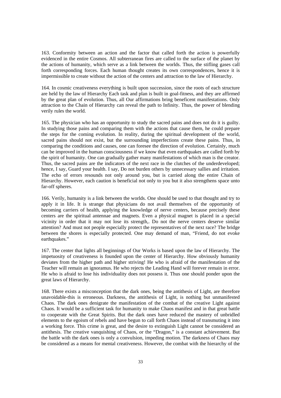163. Conformity between an action and the factor that called forth the action is powerfully evidenced in the entire Cosmos. All subterranean fires are called to the surface of the planet by the actions of humanity, which serve as a link between the worlds. Thus, the stifling gases call forth corresponding forces. Each human thought creates its own correspondences, hence it is impermissible to create without the action of the centers and attraction to the law of Hierarchy.

164. In cosmic creativeness everything is built upon succession, since the roots of each structure are held by the law of Hierarchy Each task and plan is built in goal-fitness, and they are affirmed by the great plan of evolution. Thus, all Our affirmations bring beneficent manifestations. Only attraction to the Chain of Hierarchy can reveal the path to Infinity. Thus, the power of blending verily rules the world.

165. The physician who has an opportunity to study the sacred pains and does not do it is guilty. In studying those pains and comparing them with the actions that cause them, he could prepare the steps for the coming evolution. In reality, during the spiritual development of the world, sacred pains should not exist, but the surrounding imperfections create these pains. Thus, in comparing the conditions and causes, one can foresee the direction of evolution. Certainly, much can be improved in the human consciousness if we know that even earthquakes are called forth by the spirit of humanity. One can gradually gather many manifestations of which man is the creator. Thus, the sacred pains are the indicators of the next race in the clutches of the underdeveloped; hence, I say, Guard your health. I say, Do not burden others by unnecessary sallies and irritation. The echo of errors resounds not only around you, but is carried along the entire Chain of Hierarchy. However, each caution is beneficial not only to you but it also strengthens space unto far-off spheres.

166. Verily, humanity is a link between the worlds. One should be used to that thought and try to apply it in life. It is strange that physicians do not avail themselves of the opportunity of becoming carriers of health, applying the knowledge of nerve centers, because precisely these centers are the spiritual antennae and magnets. Even a physical magnet is placed in a special vicinity in order that it may not lose its strength,. Do not the nerve centers deserve similar attention? And must not people especially protect the representatives of the next race? The bridge between the shores is especially protected. One may demand of man, "Friend, do not evoke earthquakes."

167. The center that lights all beginnings of Our Works is based upon the law of Hierarchy. The impetuosity of creativeness is founded upon the center of Hierarchy. How obviously humanity deviates from the higher path and higher striving! He who is afraid of the manifestation of the Teacher will remain an ignoramus. He who rejects the Leading Hand will forever remain in error. He who is afraid to lose his individuality does not possess it. Thus one should ponder upon the great laws of Hierarchy.

168. There exists a misconception that the dark ones, being the antithesis of Light, are therefore unavoidable-this is erroneous. Darkness, the antithesis of Light, is nothing but unmanifested Chaos. The dark ones denigrate the manifestation of the combat of the creative Light against Chaos. It would be a sufficient task for humanity to make Chaos manifest and in that great battle to cooperate with the Great Spirits. But the dark ones have reduced the mastery of unbridled elements to the egoism of rebels and have begun to call forth Chaos instead of transmuting it into a working force. This crime is great, and the desire to extinguish Light cannot be considered an antithesis. The creative vanquishing of Chaos, or the "Dragon," is a constant achievement. But the battle with the dark ones is only a convulsion, impeding motion. The darkness of Chaos may be considered as a means for mental creativeness. However, the combat with the hierarchy of the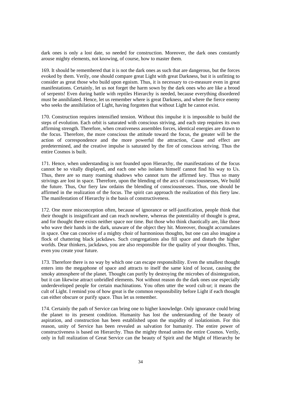dark ones is only a lost date, so needed for construction. Moreover, the dark ones constantly arouse mighty elements, not knowing, of course, how to master them.

169. It should be remembered that it is not the dark ones as such that are dangerous, but the forces evoked by them. Verily, one should compare great Light with great Darkness, but it is unfitting to consider as great those who build upon egoism. Thus, it is necessary to co-measure even in great manifestations. Certainly, let us not forget the harm sown by the dark ones who are like a brood of serpents! Even during battle with reptiles Hierarchy is needed, because everything disordered must be annihilated. Hence, let us remember where is great Darkness, and where the fierce enemy who seeks the annihilation of Light, having forgotten that without Light he cannot exist.

170. Construction requires intensified tension. Without this impulse it is impossible to build the steps of evolution. Each orbit is saturated with conscious striving, and each step requires its own affirming strength. Therefore, when creativeness assembles forces, identical energies are drawn to the focus. Therefore, the more conscious the attitude toward the focus, the greater will be the action of correspondence and the more powerful the attraction, Cause and effect are predetermined, and the creative impulse is saturated by the fire of conscious striving. Thus the entire Cosmos is built.

171. Hence, when understanding is not founded upon Hierarchy, the manifestations of the focus cannot be so vitally displayed, and each one who isolates himself cannot find his way to Us. Thus, there are so many roaming shadows who cannot turn the affirmed key. Thus so many strivings are lost in space. Therefore, upon the blending of the arcs of consciousnesses, We build the future. Thus, Our fiery law ordains the blending of consciousnesses. Thus, one should be affirmed in the realization of the focus. The spirit can approach the realization of this fiery law. The manifestation of Hierarchy is the basis of constructiveness.

172. One more misconception often, because of ignorance or self-justification, people think that their thought is insignificant and can reach nowhere, whereas the potentiality of thought is great, and for thought there exists neither space nor time. But those who think chaotically are, like those who wave their hands in the dark, unaware of the object they hit. Moreover, thought accumulates in space. One can conceive of a mighty choir of harmonious thoughts, but one can also imagine a flock of chattering black jackdaws. Such congregations also fill space and disturb the higher worlds. Dear thinkers, jackdaws, you are also responsible for the quality of your thoughts. Thus, even you create your future.

173. Therefore there is no way by which one can escape responsibility. Even the smallest thought enters into the megaphone of space and attracts to itself the same kind of locust, causing the smoky atmosphere of the planet. Thought can purify by destroying the microbes of disintegration, but it can likewise attract unbridled elements. Not without reason do the dark ones use especially underdeveloped people for certain machinations. You often utter the word cult-ur; it means the cult of Light. I remind you of how great is the common responsibility before Light if each thought can either obscure or purify space. Thus let us remember.

174. Certainly the path of Service can bring one to higher knowledge. Only ignorance could bring the planet to its present condition. Humanity has lost the understanding of the beauty of aspiration, and construction has been established upon the stupidity of isolationism. For this reason, unity of Service has been revealed as salvation for humanity. The entire power of constructiveness is based on Hierarchy. Thus the mighty thread unites the entire Cosmos. Verily, only in full realization of Great Service can the beauty of Spirit and the Might of Hierarchy be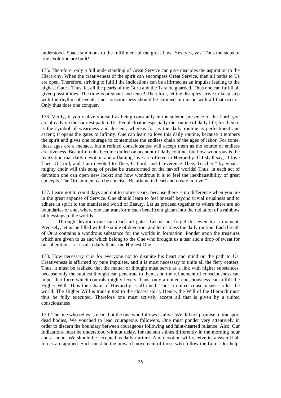understood. Space summons to the fulfillment of the great Law. Yes, yes, yes! Thus the steps of true evolution are built!

175. Therefore, only a full understanding of Great Service can give disciples the aspiration to the Hierarchy. When the creativeness of the spirit can encompass Great Service, then all paths to Us are open. Therefore, striving to fulfill the Indications can be affirmed as an impulse leading to the highest Gates. Thus, let all the pearls of the Guru and the Tara be guarded. Thus one can fulfill all given possibilities. The time is pregnant and tense! Therefore, let the disciples strive to keep step with the rhythm of events; and consciousness should be strained in unison with all that occurs. Only thus does one conquer.

176. Verily, if you realize yourself as being constantly in the solemn presence of the Lord, you are already on the shortest path to Us. People loathe especially the routine of daily life; for them it is the symbol of weariness and descent, whereas for us the daily routine is perfectment and ascent; it opens the gates to Infinity. One can learn to love this daily routine, because it tempers the spirit and gives one courage to contemplate the endless chain of the ages of labor. For some, these ages are a menace, but a refined consciousness will accept them as the source of endless creativeness. Beautiful cults become dulled on account of daily routine, but how wondrous is the realization that daily devotion and a flaming love are offered to Hierarchy. If I shall say, "I love Thee, O Lord, and I am devoted to Thee, O Lord, and I reverence Thee, Teacher," by what a mighty choir will this song of praise be transformed on the far-off worlds! Thus, in each act of devotion one can open new locks; and how wondrous it is to feel the inexhaustibility of great concepts. The Ordainment can be concise "Be aflame in heart and create in love!"

177. Learn not to count days and not to notice years, because there is no difference when you are in the great expanse of Service. One should learn to feel oneself beyond trivial usualness and to adhere in spirit to the manifested world of Beauty. Let us proceed together to where there are no boundaries or end, where one can transform each beneficent gleam into the radiation of a rainbow of blessings to the worlds.

 Through devotion one can reach all gates. Let us not forget this even for a moment. Precisely, let us be filled with the smile of devotion, and let us bless the daily routine. Each breath of Ours contains a wondrous substance for the worlds in formation. Ponder upon the treasures which are given to us and which belong to the One who brought us a tear and a drop of sweat for our liberation. Let us also daily thank the Highest One.

178. How necessary it is for everyone not to disunite his heart and mind on the path to Us. Creativeness is affirmed by pure impulses, and it is most necessary to unite all the fiery centers. Thus, it must be realized that the matter of thought must serve as a link with higher substances, because only the subtlest thought can penetrate to them, and the refinement of consciousness can impel that force which controls mighty levers. Thus, only a united consciousness can fulfill the Higher Will. Thus the Chain of Hierarchy is affirmed. Thus a united consciousness rules the world. The Higher Will is transmitted to the closest spirit. Hence, the Will of the Hierarch must thus be fully executed. Therefore one must actively accept all that is given by a united consciousness

179. The one who relies is dead, but the one who follows is alive. We did not promise to transport dead bodies, We vouched to lead courageous followers. One must ponder very attentively in order to discern the boundary between courageous following and faint-hearted reliance. Also, Our Indications must be understood without delay, for the sun shines differently in the morning hour and at noon. We should be accepted as daily nurture. And devotion will receive its answer if all forces are applied. Such must be the onward movement of those who follow the Lord. Our help,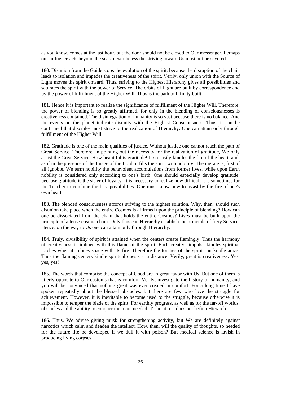as you know, comes at the last hour, but the door should not be closed to Our messenger. Perhaps our influence acts beyond the seas, nevertheless the striving toward Us must not be severed.

180. Disunion from the Guide stops the evolution of the spirit, because the disruption of the chain leads to isolation and impedes the creativeness of the spirit. Verily, only union with the Source of Light moves the spirit onward. Thus, striving to the Highest Hierarchy gives all possibilities and saturates the spirit with the power of Service. The orbits of Light are built by correspondence and by the power of fulfillment of the Higher Will. Thus is the path to Infinity built.

181. Hence it is important to realize the significance of fulfillment of the Higher Will. Therefore, the power of blending is so greatly affirmed, for only in the blending of consciousnesses is creativeness contained. The disintegration of humanity is so vast because there is no balance. And the events on the planet indicate disunity with the Highest Consciousness. Thus, it can be confirmed that disciples must strive to the realization of Hierarchy. One can attain only through fulfillment of the Higher Will.

182. Gratitude is one of the main qualities of justice. Without justice one cannot reach the path of Great Service. Therefore, in pointing out the necessity for the realization of gratitude, We only assist the Great Service. How beautiful is gratitude! It so easily kindles the fire of the heart, and, as if in the presence of the Image of the Lord, it fills the spirit with nobility. The ingrate is, first of all ignoble. We term nobility the benevolent accumulations from former lives, while upon Earth nobility is considered only according to one's birth. One should especially develop gratitude, because gratitude is the sister of loyalty. It is necessary to realize how difficult it is sometimes for the Teacher to combine the best possibilities. One must know how to assist by the fire of one's own heart.

183. The blended consciousness affords striving to the highest solution. Why, then, should such disunion take place when the entire Cosmos is affirmed upon the principle of blending? How can one be dissociated from the chain that holds the entire Cosmos? Lives must be built upon the principle of a tense cosmic chain. Only thus can Hierarchy establish the principle of fiery Service. Hence, on the way to Us one can attain only through Hierarchy.

184. Truly, divisibility of spirit is attained when the centers create flamingly. Thus the harmony of creativeness is imbued with this flame of the spirit. Each creative impulse kindles spiritual torches when it imbues space with its fire. Therefore the torches of the spirit can kindle auras. Thus the flaming centers kindle spiritual quests at a distance. Verily, great is creativeness. Yes, yes, yes!

185. The words that comprise the concept of Good are in great favor with Us. But one of them is utterly opposite to Our customs-that is comfort. Verily, investigate the history of humanity, and you will be convinced that nothing great was ever created in comfort. For a long time I have spoken repeatedly about the blessed obstacles, but there are few who love the struggle for achievement. However, it is inevitable to become used to the struggle, because otherwise it is impossible to temper the blade of the spirit. For earthly progress, as well as for the far-off worlds, obstacles and the ability to conquer them are needed. To be at rest does not befit a Hierarch.

186. Thus, We advise giving musk for strengthening activity, but We are definitely against narcotics which calm and deaden the intellect. How, then, will the quality of thoughts, so needed for the future life be developed if we dull it with poison? But medical science is lavish in producing living corpses.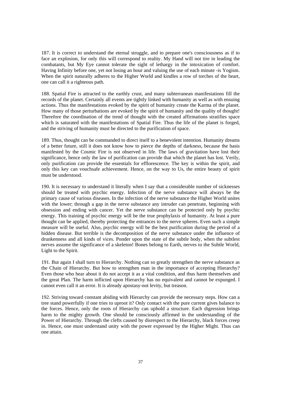187. It is correct to understand the eternal struggle, and to prepare one's consciousness as if to face an explosion, for only this will correspond to reality. My Hand will not tire in leading the combatants, but My Eye cannot tolerate the sight of lethargy in the intoxication of comfort. Having Infinity before one, yet not losing an hour and valuing the use of each minute -is Yogism. When the spirit naturally adheres to the Higher World and kindles a row of torches of the heart, one can call it a righteous path.

188. Spatial Fire is attracted to the earthly crust, and many subterranean manifestations fill the records of the planet. Certainly all events are tightly linked with humanity as well as with ensuing actions. Thus the manifestations evoked by the spirit of humanity create the Karma of the planet. How many of those perturbations are evoked by the spirit of humanity and the quality of thought! Therefore the coordination of the trend of thought with the created affirmations stratifies space which is saturated with the manifestations of Spatial Fire. Thus the life of the planet is forged, and the striving of humanity must be directed to the purification of space.

189. Thus, thought can be commanded to direct itself to a benevolent intention. Humanity dreams of a better future, still it does not know how to pierce the depths of darkness, because the basis manifested by the Cosmic Fire is not observed in life. The laws of gravitation have lost their significance, hence only the law of purification can provide that which the planet has lost. Verily, only purification can provide the essentials for efflorescence. The key is within the spirit, and only this key can vouchsafe achievement. Hence, on the way to Us, the entire beauty of spirit must be understood.

190. It is necessary to understand it literally when I say that a considerable number of sicknesses should be treated with psychic energy. Infection of the nerve substance will always be the primary cause of various diseases. In the infection of the nerve substance the Higher World unites with the lower; through a gap in the nerve substance any intruder can penetrate, beginning with obsession and ending with cancer. Yet the nerve substance can be protected only by psychic energy. This training of psychic energy will be the true prophylaxis of humanity. At least a pure thought can be applied, thereby protecting the entrances to the nerve spheres. Even such a simple measure will be useful. Also, psychic energy will be the best purification during the period of a hidden disease. But terrible is the decomposition of the nerve substance under the influence of drunkenness and all kinds of vices. Ponder upon the state of the subtle body, when the subtlest nerves assume the significance of a skeleton! Bones belong to Earth, nerves to the Subtle World, Light to the Spirit.

191. But again I shall turn to Hierarchy. Nothing can so greatly strengthen the nerve substance as the Chain of Hierarchy. But how to strengthen man in the importance of accepting Hierarchy? Even those who hear about it do not accept it as a vital condition, and thus harm themselves and the great Plan. The harm inflicted upon Hierarchy has no equivalent and cannot be expunged. I cannot even call it an error. It is already apostasy-not levity, but treason.

192. Striving toward constant abiding with Hierarchy can provide the necessary steps. How can a tree stand powerfully if one tries to uproot it? Only contact with the pure current gives balance to the forces. Hence, only the roots of Hierarchy can uphold a structure. Each digression brings harm to the mighty growth. One should be consciously affirmed in the understanding of the Power of Hierarchy. Through the clefts caused by disrespect to the Hierarchy, black forces creep in. Hence, one must understand unity with the power expressed by the Higher Might. Thus can one attain.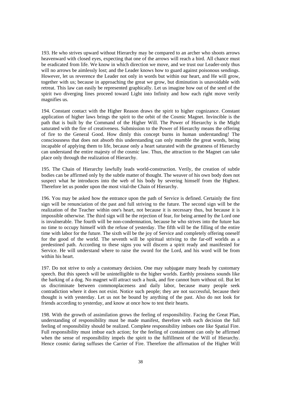193. He who strives upward without Hierarchy may be compared to an archer who shoots arrows heavenward with closed eyes, expecting that one of the arrows will reach a bird. All chance must be eradicated from life. We know in which direction we move, and we trust our Leader-only thus will no arrows be aimlessly lost; and the Leader knows how to guard against poisonous sendings. However, let us reverence the Leader not only in words but within our heart, and He will grow, together with us; because in approaching the great we grow, but diminution is unavoidable with retreat. This law can easily be represented graphically. Let us imagine how out of the seed of the spirit two diverging lines proceed toward Light into Infinity and how each right move verily magnifies us.

194. Constant contact with the Higher Reason draws the spirit to higher cognizance. Constant application of higher laws brings the spirit to the orbit of the Cosmic Magnet. Invincible is the path that is built by the Command of the Higher Will. The Power of Hierarchy is the Might saturated with the fire of creativeness. Submission to the Power of Hierarchy means the offering of fire to the General Good. How dimly this concept burns in human understanding! The consciousness that does not absorb this understanding can only mumble the great words, being incapable of applying them to life, because only a heart saturated with the greatness of Hierarchy can understand the entire majesty of the cosmic law. Thus, the attraction to the Magnet can take place only through the realization of Hierarchy.

195. The Chain of Hierarchy lawfully leads world-construction. Verily, the creation of subtle bodies can be affirmed only by the subtle matter of thought. The weaver of his own body does not suspect what he introduces into the web of his body by severing himself from the Highest. Therefore let us ponder upon the most vital-the Chain of Hierarchy.

196. You may be asked how the entrance upon the path of Service is defined. Certainly the first sign will be renunciation of the past and full striving to the future. The second sign will be the realization of the Teacher within one's heart, not because it is necessary thus, but because it is impossible otherwise. The third sign will be the rejection of fear, for being armed by the Lord one is invulnerable. The fourth will be non-condemnation, because he who strives into the future has no time to occupy himself with the refuse of yesterday. The fifth will be the filling of the entire time with labor for the future. The sixth will be the joy of Service and completely offering oneself for the good of the world. The seventh will be spiritual striving to the far-off worlds as a predestined path. According to these signs you will discern a spirit ready and manifested for Service. He will understand where to raise the sword for the Lord, and his word will be from within his heart.

197. Do not strive to only a customary decision. One may subjugate many heads by customary speech. But this speech will be unintelligible to the higher worlds. Earthly prosiness sounds like the barking of a dog. No magnet will attract such a husk, and fire cannot burn without oil. But let us discriminate between commonplaceness and daily labor, because many people seek contradiction where it does not exist. Notice such people; they are not successful, because their thought is with yesterday. Let us not be bound by anything of the past. Also do not look for friends according to yesterday, and know at once how to test their hearts.

198. With the growth of assimilation grows the feeling of responsibility. Facing the Great Plan, understanding of responsibility must be made manifest, therefore with each decision the full feeling of responsibility should be realized. Complete responsibility imbues one like Spatial Fire. Full responsibility must imbue each action; for the feeling of containment can only be affirmed when the sense of responsibility impels the spirit to the fulfillment of the Will of Hierarchy. Hence cosmic daring suffuses the Carrier of Fire. Therefore the affirmation of the Higher Will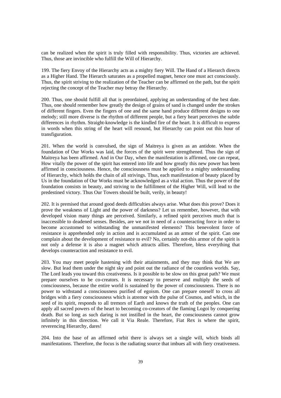can be realized when the spirit is truly filled with responsibility. Thus, victories are achieved. Thus, those are invincible who fulfill the Will of Hierarchy.

199. The fiery Envoy of the Hierarchy acts as a mighty fiery Will. The Hand of a Hierarch directs as a Higher Hand. The Hierarch saturates as a propelled magnet, hence one must act consciously. Thus, the spirit striving to the realization of the Teacher can be affirmed on the path, but the spirit rejecting the concept of the Teacher may betray the Hierarchy.

200. Thus, one should fulfill all that is preordained, applying an understanding of the best date. Thus, one should remember how greatly the design of grains of sand is changed under the strokes of different fingers. Even the fingers of one and the same hand produce different designs to one melody; still more diverse is the rhythm of different people, but a fiery heart perceives the subtle differences in rhythm. Straight-knowledge is the kindled fire of the heart. It is difficult to express in words when this string of the heart will resound, but Hierarchy can point out this hour of transfiguration.

201. When the world is convulsed, the sign of Maitreya is given as an antidote. When the foundation of Our Works was laid, the forces of the spirit were strengthened. Thus the sign of Maitreya has been affirmed. And in Our Day, when the manifestation is affirmed, one can repeat, How vitally the power of the spirit has entered into life and how greatly this new power has been affirmed in consciousness. Hence, the consciousness must be applied to a mighty understanding of Hierarchy, which holds the chain of all strivings. Thus, each manifestation of beauty placed by Us in the foundation of Our Works must be acknowledged as a vital action. Thus the power of the foundation consists in beauty, and striving to the fulfillment of the Higher Will, will lead to the predestined victory. Thus Our Towers should be built, verily, in beauty!

202. It is premised that around good deeds difficulties always arise. What does this prove? Does it prove the weakness of Light and the power of darkness? Let us remember, however, that with developed vision many things are perceived. Similarly, a refined spirit perceives much that is inaccessible to deadened senses. Besides, are we not in need of a counteracting force in order to become accustomed to withstanding the unmanifested elements? This benevolent force of resistance is apprehended only in action and is accumulated as an armor of the spirit. Can one complain about the development of resistance to evil? No, certainly not-this armor of the spirit is not only a defense it is also a magnet which attracts allies. Therefore, bless everything that develops counteraction and resistance to evil.

203. You may meet people hastening with their attainments, and they may think that We are slow. But lead them under the night sky and point out the radiance of the countless worlds. Say, The Lord leads you toward this creativeness. Is it possible to be slow on this great path? We must prepare ourselves to be co-creators. It is necessary to preserve and multiply the seeds of consciousness, because the entire world is sustained by the power of consciousness. There is no power to withstand a consciousness purified of egoism. One can prepare oneself to cross all bridges with a fiery consciousness which is atremor with the pulse of Cosmos, and which, in the seed of its spirit, responds to all tremors of Earth and knows the truth of the peoples. One can apply all sacred powers of the heart to becoming co-creators of the flaming Logoi by conquering death. But so long as such daring is not instilled in the heart, the consciousness cannot grow infinitely in this direction. We call it Via Reale. Therefore, Fiat Rex is where the spirit, reverencing Hierarchy, dares!

204. Into the base of an affirmed orbit there is always set a single will, which binds all manifestations. Therefore, the focus is the radiating source that imbues all with fiery creativeness.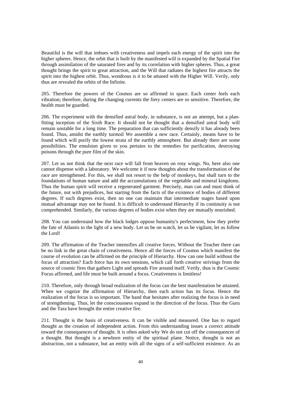Beautiful is the will that imbues with creativeness and impels each energy of the spirit into the higher spheres. Hence, the orbit that is built by the manifested will is expanded by the Spatial Fire through assimilation of the saturated fires and by its correlation with higher spheres. Thus, a great thought brings the spirit to great attraction, and the Will that radiates the highest fire attracts the spirit into the highest orbit. Thus, wondrous is it to be attuned with the Higher Will. Verily, only thus are revealed the orbits of the Infinite.

205. Therefore the powers of the Cosmos are so affirmed in space. Each center feels each vibration; therefore, during the changing currents the fiery centers are so sensitive. Therefore, the health must be guarded.

206. The experiment with the densified astral body, in substance, is not an attempt, but a planfitting inception of the Sixth Race. It should not be thought that a densified astral body will remain unstable for a long time. The preparation that can sufficiently densify it has already been found. Thus, amidst the earthly turmoil We assemble a new race. Certainly, means have to be found which will purify the lowest strata of the earthly atmosphere. But already there are some possibilities. The emulsion given to you pertains to the remedies for purification, destroying poisons through the pure film of the skin.

207. Let us not think that the next race will fall from heaven on rosy wings. No, here also one cannot dispense with a laboratory. We welcome it if now thoughts about the transformation of the race are strengthened. For this, we shall not resort to the help of monkeys, but shall turn to the foundations of human nature and add the accumulations of the vegetable and mineral kingdoms. Thus the human spirit will receive a regenerated garment. Precisely, man can and must think of the future, not with prejudices, but starting from the facts of the existence of bodies of different degrees. If such degrees exist, then no one can maintain that intermediate stages based upon mutual advantage may not be found. It is difficult to understand Hierarchy if its continuity is not comprehended. Similarly, the various degrees of bodies exist when they are mutually nourished.

208. You can understand how the black lodges oppose humanity's perfectment, how they prefer the fate of Atlantis to the light of a new body. Let us be on watch, let us be vigilant, let us follow the Lord!

209. The affirmation of the Teacher intensifies all creative forces. Without the Teacher there can be no link in the great chain of creativeness. Hence all the forces of Cosmos which manifest the course of evolution can be affirmed on the principle of Hierarchy. How can one build without the focus of attraction? Each force has its own tensions, which call forth creative strivings from the source of cosmic fires that gathers Light and spreads Fire around itself. Verily, thus is the Cosmic Focus affirmed, and life must be built around a focus. Creativeness is limitless!

210. Therefore, only through broad realization of the focus can the best manifestation be attained. When we cognize the affirmation of Hierarchy, then each action has its focus. Hence the realization of the focus is so important. The hand that hesitates after realizing the focus is in need of strengthening. Thus, let the consciousness expand in the direction of the focus. Thus the Guru and the Tara have brought the entire creative fire.

211. Thought is the basis of creativeness. It can be visible and measured. One has to regard thought as the creation of independent action. From this understanding issues a correct attitude toward the consequences of thought. It is often asked why We do not cut off the consequences of a thought. But thought is a newborn entity of the spiritual plane. Notice, thought is not an abstraction, not a substance, but an entity with all the signs of a self-sufficient existence. As an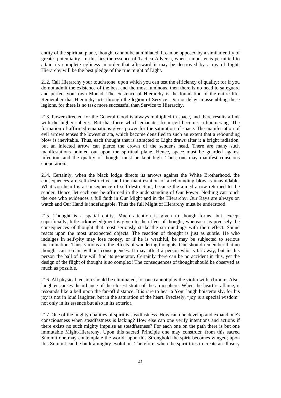entity of the spiritual plane, thought cannot be annihilated. It can be opposed by a similar entity of greater potentiality. In this lies the essence of Tactica Adversa, when a monster is permitted to attain its complete ugliness in order that afterward it may be destroyed by a ray of Light. Hierarchy will be the best pledge of the true might of Light.

212. Call Hierarchy your touchstone, upon which you can test the efficiency of quality; for if you do not admit the existence of the best and the most luminous, then there is no need to safeguard and perfect your own Monad. The existence of Hierarchy is the foundation of the entire life. Remember that Hierarchy acts through the legion of Service. Do not delay in assembling these legions, for there is no task more successful than Service to Hierarchy.

213. Power directed for the General Good is always multiplied in space, and there results a link with the higher spheres. But that force which emanates from evil becomes a boomerang. The formation of affirmed emanations gives power for the saturation of space. The manifestation of evil arrows tenses the lowest strata, which become densified to such an extent that a rebounding blow is inevitable. Thus, each thought that is attracted to Light draws after it a bright radiation, but an infected arrow can pierce the crown of the sender's head. There are many such manifestations pointed out upon the spiritual plane. Hence, space must be guarded against infection, and the quality of thought must be kept high. Thus, one may manifest conscious cooperation.

214. Certainly, when the black lodge directs its arrows against the White Brotherhood, the consequences are self-destructive, and the manifestation of a rebounding blow is unavoidable. What you heard is a consequence of self-destruction, because the aimed arrow returned to the sender. Hence, let each one be affirmed in the understanding of Our Power. Nothing can touch the one who evidences a full faith in Our Might and in the Hierarchy. Our Rays are always on watch and Our Hand is indefatigable. Thus the full Might of Hierarchy must be understood.

215. Thought is a spatial entity. Much attention is given to thought-forms, but, except superficially, little acknowledgment is given to the effect of thought, whereas it is precisely the consequences of thought that most seriously strike the surroundings with their effect. Sound reacts upon the most unexpected objects. The reaction of thought is just as subtle. He who indulges in self-pity may lose money, or if he is wrathful, he may be subjected to serious incrimination. Thus, various are the effects of wandering thoughts. One should remember that no thought can remain without consequences. It may affect a person who is far away, but in this person the ball of fate will find its generator. Certainly there can be no accident in this, yet the design of the flight of thought is so complex! The consequences of thought should be observed as much as possible.

216. All physical tension should be eliminated, for one cannot play the violin with a broom. Also, laughter causes disturbance of the closest strata of the atmosphere. When the heart is aflame, it resounds like a bell upon the far-off distance. It is rare to hear a Yogi laugh boisterously, for his joy is not in loud laughter, but in the saturation of the heart. Precisely, "joy is a special wisdom" not only in its essence but also in its exterior.

217. One of the mighty qualities of spirit is steadfastness. How can one develop and expand one's consciousness when steadfastness is lacking? How else can one verify intentions and actions if there exists no such mighty impulse as steadfastness? For each one on the path there is but one immutable Might-Hierarchy. Upon this sacred Principle one may construct; from this sacred Summit one may contemplate the world; upon this Stronghold the spirit becomes winged; upon this Summit can be built a mighty evolution. Therefore, when the spirit tries to create an illusory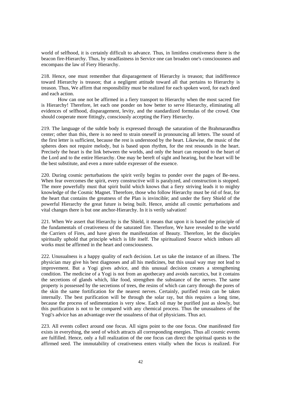world of selfhood, it is certainly difficult to advance. Thus, in limitless creativeness there is the beacon fire-Hierarchy. Thus, by steadfastness in Service one can broaden one's consciousness and encompass the law of Fiery Hierarchy.

218. Hence, one must remember that disparagement of Hierarchy is treason; that indifference toward Hierarchy is treason; that a negligent attitude toward all that pertains to Hierarchy is treason. Thus, We affirm that responsibility must be realized for each spoken word, for each deed and each action.

 How can one not be affirmed in a fiery transport to Hierarchy when the most sacred fire is Hierarchy! Therefore, let each one ponder on how better to serve Hierarchy, eliminating all evidences of selfhood, disparagement, levity, and the standardized formulas of the crowd. One should cooperate more fittingly, consciously accepting the Fiery Hierarchy.

219. The language of the subtle body is expressed through the saturation of the Brahmarandhra center; other than this, there is no need to strain oneself in pronouncing all letters. The sound of the first letter is sufficient, because the rest is understood by the heart. Likewise, the music of the spheres does not require melody, but is based upon rhythm, for the rest resounds in the heart. Precisely the heart is the link between the worlds, and only the heart can respond to the heart of the Lord and to the entire Hierarchy. One may be bereft of sight and hearing, but the heart will be the best substitute, and even a more subtle expresser of the essence.

220. During cosmic perturbations the spirit verily begins to ponder over the pages of Be-ness. When fear overcomes the spirit, every constructive will is paralyzed, and construction is stopped. The more powerfully must that spirit build which knows that a fiery striving leads it to mighty knowledge of the Cosmic Magnet. Therefore, those who follow Hierarchy must be rid of fear, for the heart that contains the greatness of the Plan is invincible; and under the fiery Shield of the powerful Hierarchy the great future is being built. Hence, amidst all cosmic perturbations and vital changes there is but one anchor-Hierarchy. In it is verily salvation!

221. When We assert that Hierarchy is the Shield, it means that upon it is based the principle of the fundamentals of creativeness of the saturated fire. Therefore, We have revealed to the world the Carriers of Fires, and have given the manifestation of Beauty. Therefore, let the disciples spiritually uphold that principle which is life itself. The spiritualized Source which imbues all works must be affirmed in the heart and consciousness.

222. Unusualness is a happy quality of each decision. Let us take the instance of an illness. The physician may give his best diagnoses and all his medicines, but this usual way may not lead to improvement. But a Yogi gives advice, and this unusual decision creates a strengthening condition. The medicine of a Yogi is not from an apothecary and avoids narcotics, but it contains the secretions of glands which, like food, strengthen the substance of the nerves. The same property is possessed by the secretions of trees, the resins of which can carry through the pores of the skin the same fortification for the nearest nerves. Certainly, purified resin can be taken internally. The best purification will be through the solar ray, but this requires a long time, because the process of sedimentation is very slow. Each oil may be purified just as slowly, but this purification is not to be compared with any chemical process. Thus the unusualness of the Yogi's advice has an advantage over the usualness of that of physicians. Thus act.

223. All events collect around one focus. All signs point to the one focus. One manifested fire exists in everything, the seed of which attracts all corresponding energies. Thus all cosmic events are fulfilled. Hence, only a full realization of the one focus can direct the spiritual quests to the affirmed seed. The immutability of creativeness enters vitally when the focus is realized. For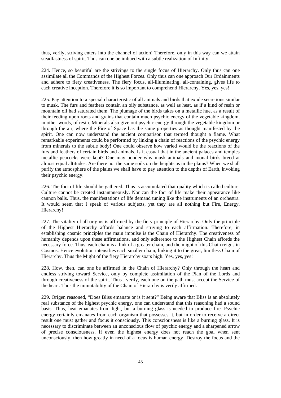thus, verily, striving enters into the channel of action! Therefore, only in this way can we attain steadfastness of spirit. Thus can one be imbued with a subtle realization of Infinity.

224. Hence, so beautiful are the strivings to the single focus of Hierarchy. Only thus can one assimilate all the Commands of the Highest Forces. Only thus can one approach Our Ordainments and adhere to fiery creativeness. The fiery focus, all-illuminating, all-containing, gives life to each creative inception. Therefore it is so important to comprehend Hierarchy. Yes, yes, yes!

225. Pay attention to a special characteristic of all animals and birds that exude secretions similar to musk. The furs and feathers contain an oily substance, as well as heat, as if a kind of resin or mountain oil had saturated them. The plumage of the birds takes on a metallic hue, as a result of their feeding upon roots and grains that contain much psychic energy of the vegetable kingdom, in other words, of resin. Minerals also give out psychic energy through the vegetable kingdom or through the air, where the Fire of Space has the same properties as thought manifested by the spirit. One can now understand the ancient comparison that termed thought a flame. What remarkable experiments could be performed by linking a chain of reactions of the psychic energy from minerals to the subtle body! One could observe how varied would be the reactions of the furs and feathers of certain birds and animals. Is it casual that in the ancient palaces and temples metallic peacocks were kept? One may ponder why musk animals and monal birds breed at almost equal altitudes. Are there not the same soils on the heights as in the plains? When we shall purify the atmosphere of the plains we shall have to pay attention to the depths of Earth, invoking their psychic energy.

226. The foci of life should be gathered. Thus is accumulated that quality which is called culture. Culture cannot be created instantaneously. Nor can the foci of life make their appearance like cannon balls. Thus, the manifestations of life demand tuning like the instruments of an orchestra. It would seem that I speak of various subjects, yet they are all nothing but Fire, Energy, Hierarchy!

227. The vitality of all origins is affirmed by the fiery principle of Hierarchy. Only the principle of the Highest Hierarchy affords balance and striving to each affirmation. Therefore, in establishing cosmic principles the main impulse is the Chain of Hierarchy. The creativeness of humanity depends upon these affirmations, and only adherence to the Highest Chain affords the necessary force. Thus, each chain is a link of a greater chain, and the might of this Chain reigns in Cosmos. Hence evolution intensifies each smaller chain, linking it to the great, limitless Chain of Hierarchy. Thus the Might of the fiery Hierarchy soars high. Yes, yes, yes!

228. How, then, can one be affirmed in the Chain of Hierarchy? Only through the heart and endless striving toward Service, only by complete assimilation of the Plan of the Lords and through creativeness of the spirit. Thus , verily, each one on the path must accept the Service of the heart. Thus the immutability of the Chain of Hierarchy is verily affirmed.

229. Origen reasoned, "Does Bliss emanate or is it sent?" Being aware that Bliss is an absolutely real substance of the highest psychic energy, one can understand that this reasoning had a sound basis. Thus, heat emanates from light, but a burning glass is needed to produce fire. Psychic energy certainly emanates from each organism that possesses it, but in order to receive a direct result one must gather and focus it consciously. This consciousness is like a burning glass. It is necessary to discriminate between an unconscious flow of psychic energy and a sharpened arrow of precise consciousness. If even the highest energy does not reach the goal when sent unconsciously, then how greatly in need of a focus is human energy! Destroy the focus and the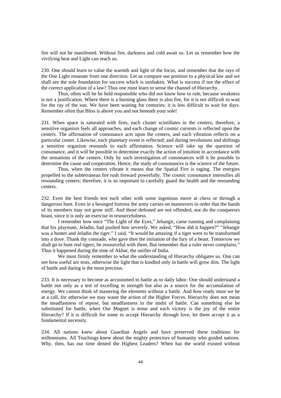fire will not be manifested. Without fire, darkness and cold await us. Let us remember how the vivifying heat and Light can reach us.

230. One should learn to value the warmth and light of the focus, and remember that the rays of the One Light emanate from one direction. Let us compare our position to a physical law and we shall see the sole foundation for success which is unshaken. What is success if not the effect of the correct application of a law? Thus one must learn to sense the channel of Hierarchy.

 Thus, often will he be held responsible who did not know how to rule, because weakness is not a justification. Where there is a burning glass there is also fire, for it is not difficult to wait for the ray of the sun. We have been waiting for centuries; it is less difficult to wait for days. Remember often that Bliss is above you and not beneath your sole!

231. When space is saturated with fires, each cluster scintillates in the centers; therefore, a sensitive organism feels all approaches, and each change of cosmic currents is reflected upon the centers. The affirmation of consonance acts upon the centers, and each vibration reflects on a particular center. Likewise, each planetary event is reflected; and during revolutions and shiftings a sensitive organism resounds to each affirmation. Science will take up the question of consonance, and it will be possible to determine exactly the action of intuition in accordance with the sensations of the centers. Only by such investigation of consonances will it be possible to determine the cause and cooperation. Hence, the study of consonances is the science of the future.

 Thus, when the centers vibrate it means that the Spatial Fire is raging. The energies propelled to the subterranean fire rush forward powerfully. The cosmic consonance intensifies all resounding centers; therefore, it is so important to carefully guard the health and the resounding centers.

232. Even the best friends test each other with some ingenious move at chess or through a dangerous hunt. Even in a besieged fortress the army carries on maneuvers in order that the hands of its members may not grow stiff. And those defeated are not offended, nor do the conquerors boast, since it is only an exercise in resourcefulness.

 I remember how once "The Light of the Eyes," Jehangir, came running and complaining that his playmate, Jeladin, had pushed him severely. We asked, "How did it happen?" "Jehangir was a hunter and Jeladin the tiger." I said, "It would be amazing if a tiger were to be transformed into a dove. Thank thy comrade, who gave thee the imitation of the fury of a beast. Tomorrow we shall go to hunt real tigers; be resourceful with them. But remember that a ruler never complains." Thus it happened during the time of Akbar, the unifier of India.

 We must firmly remember to what the understanding of Hierarchy obligates us. One can see how useful are tests, otherwise the light that is kindled only in battle will grow dim. The light of battle and daring is the most precious.

233. It is necessary to become as accustomed to battle as to daily labor. One should understand a battle not only as a test of excelling in strength but also as a source for the accumulation of energy. We cannot think of mastering the elements without a battle. And how ready must we be at a call, for otherwise we may waste the action of the Higher Forces. Hierarchy does not mean the steadfastness of repose, but steadfastness in the midst of battle. Can something else be substituted for battle, when Our Magnet is tense and each victory is the joy of the entire Hierarchy? If it is difficult for some to accept Hierarchy through love, let them accept it as a fundamental necessity.

234. All nations knew about Guardian Angels and have preserved these traditions for millenniums. All Teachings knew about the mighty protectors of humanity who guided nations. Why, then, has our time denied the Highest Leaders? When has the world existed without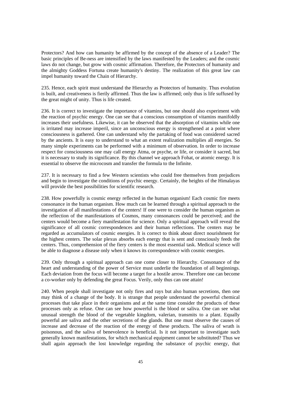Protectors? And how can humanity be affirmed by the concept of the absence of a Leader? The basic principles of Be-ness are intensified by the laws manifested by the Leaders; and the cosmic laws do not change, but grow with cosmic affirmation. Therefore, the Protectors of humanity and the almighty Goddess Fortuna create humanity's destiny. The realization of this great law can impel humanity toward the Chain of Hierarchy.

235. Hence, each spirit must understand the Hierarchy as Protectors of humanity. Thus evolution is built, and creativeness is fierily affirmed. Thus the law is affirmed; only thus is life suffused by the great might of unity. Thus is life created.

236. It is correct to investigate the importance of vitamins, but one should also experiment with the reaction of psychic energy. One can see that a conscious consumption of vitamins manifoldly increases their usefulness. Likewise, it can be observed that the absorption of vitamins while one is irritated may increase imperil, since an unconscious energy is strengthened at a point where consciousness is gathered. One can understand why the partaking of food was considered sacred by the ancients. It is easy to understand to what an extent realization multiplies all energies. So many simple experiments can be performed with a minimum of observation. In order to increase respect for consciousness one may call energy Atma, or psyche, or life, or consider it sacred, but it is necessary to study its significance. By this channel we approach Fohat, or atomic energy. It is essential to observe the microcosm and transfer the formula to the Infinite.

237. It is necessary to find a few Western scientists who could free themselves from prejudices and begin to investigate the conditions of psychic energy. Certainly, the heights of the Himalayas will provide the best possibilities for scientific research.

238. How powerfully is cosmic energy reflected in the human organism! Each cosmic fire meets consonance in the human organism. How much can be learned through a spiritual approach to the investigation of all manifestations of the centers! If one were to consider the human organism as the reflection of the manifestations of Cosmos, many consonances could be perceived; and the centers would become a fiery manifestation for science. Only a spiritual approach will reveal the significance of all cosmic correspondences and their human reflections. The centers may be regarded as accumulators of cosmic energies. It is correct to think about direct nourishment for the highest centers. The solar plexus absorbs each energy that is sent and consciously feeds the centers. Thus, comprehension of the fiery centers is the most essential task. Medical science will be able to diagnose a disease only when it knows its correspondence with cosmic energies.

239. Only through a spiritual approach can one come closer to Hierarchy. Consonance of the heart and understanding of the power of Service must underlie the foundation of all beginnings. Each deviation from the focus will become a target for a hostile arrow. Therefore one can become a co-worker only by defending the great Focus. Verily, only thus can one attain!

240. When people shall investigate not only fires and rays but also human secretions, then one may think of a change of the body. It is strange that people understand the powerful chemical processes that take place in their organisms and at the same time consider the products of these processes only as refuse. One can see how powerful is the blood or saliva. One can see what unusual strength the blood of the vegetable kingdom, valerian, transmits to a plant. Equally powerful are saliva and the other secretions of the glands. But one must observe the causes of increase and decrease of the reaction of the energy of these products. The saliva of wrath is poisonous, and the saliva of benevolence is beneficial. Is it not important to investigate such generally known manifestations, for which mechanical equipment cannot be substituted? Thus we shall again approach the lost knowledge regarding the substance of psychic energy, that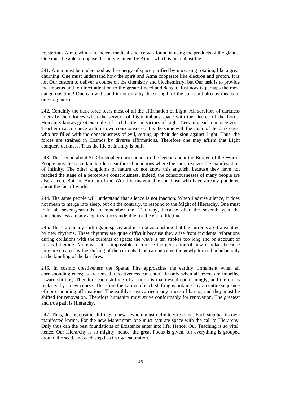mysterious Atma, which in ancient medical science was found in using the products of the glands. One must be able to oppose the fiery element by Atma, which is incombustible.

241. Atma must be understood as the energy of space purified by unceasing rotation, like a great churning. One must understand how the spirit and Atma cooperate like electron and proton. It is not Our custom to deliver a course on the chemistry and biochemistry, but Our task is to provide the impetus and to direct attention to the greatest need and danger. Just now is perhaps the most dangerous time! One can withstand it not only by the strength of the spirit but also by means of one's organism.

242. Certainly the dark force fears most of all the affirmation of Light. All servitors of darkness intensify their forces when the servitor of Light imbues space with the Decree of the Lords. Humanity knows great examples of such battle and victory of Light. Certainly each one receives a Teacher in accordance with his own consciousness. It is the same with the chain of the dark ones, who are filled with the consciousness of evil, setting up their decision against Light. Thus, the forces are strained in Cosmos by diverse affirmations. Therefore one may affirm that Light conquers darkness. Thus the life of Infinity is built.

243. The legend about St. Christopher corresponds to the legend about the Burden of the World. People must feel a certain burden near those boundaries where the spirit realizes the manifestation of Infinity. The other kingdoms of nature do not know this anguish, because they have not reached the stage of a perceptive consciousness. Indeed, the consciousnesses of many people are also asleep. But the Burden of the World is unavoidable for those who have already pondered about the far-off worlds.

244. The same people will understand that silence is not inaction. When I advise silence, it does not mean to merge into sleep, but on the contrary, to resound to the Might of Hierarchy. One must train all seven-year-olds to remember the Hierarchy, because after the seventh year the consciousness already acquires traces indelible for the entire lifetime.

245. There are many shiftings in space, and it is not astonishing that the currents are transmitted by new rhythms. These rhythms are quite difficult because they arise from incidental vibrations during collisions with the currents of space; the wave is ten strokes too long and on account of this is fatiguing. Moreover, it is impossible to foresee the generation of new nebulae, because they are created by the shifting of the currents. One can perceive the newly formed nebulae only at the kindling of the last fires.

246. In cosmic creativeness the Spatial Fire approaches the earthly firmament when all corresponding energies are tensed. Creativeness can enter life only when all levers are impelled toward shifting. Therefore each shifting of a nation is manifested conformingly, and the old is replaced by a new course. Therefore the karma of each shifting is ordained by an entire sequence of corresponding affirmations. The earthly crust carries many traces of karma, and they must be shifted for renovation. Therefore humanity must strive conformably for renovation. The greatest and true path is Hierarchy.

247. Thus, during cosmic shiftings a new keynote must definitely resound. Each step has its own manifested karma. For the new Manvantara one must saturate space with the call to Hierarchy. Only thus can the best foundations of Existence enter into life. Hence, Our Teaching is so vital; hence, Our Hierarchy is so mighty; hence, the great Focus is given, for everything is grouped around the seed, and each step has its own saturation.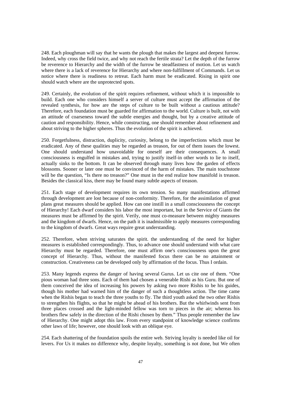248. Each ploughman will say that he wants the plough that makes the largest and deepest furrow. Indeed, why cross the field twice, and why not reach the fertile strata? Let the depth of the furrow be reverence to Hierarchy and the width of the furrow be steadfastness of motion. Let us watch where there is a lack of reverence for Hierarchy and where non-fulfillment of Commands. Let us notice where there is readiness to retreat. Each harm must be eradicated. Rising in spirit one should watch where are the unprotected spots.

249. Certainly, the evolution of the spirit requires refinement, without which it is impossible to build. Each one who considers himself a server of culture must accept the affirmation of the revealed synthesis, for how are the steps of culture to be built without a cautious attitude? Therefore, each foundation must be guarded for affirmation to the world. Culture is built, not with an attitude of coarseness toward the subtle energies and thought, but by a creative attitude of caution and responsibility. Hence, while constructing, one should remember about refinement and about striving to the higher spheres. Thus the evolution of the spirit is achieved.

250. Forgetfulness, distraction, duplicity, curiosity, belong to the imperfections which must be eradicated. Any of these qualities may be regarded as treason, for out of them issues the lowest. One should understand how unavoidable for oneself are their consequences. A small consciousness is engulfed in mistakes and, trying to justify itself-in other words to lie to itself, actually sinks to the bottom. It can be observed through many lives how the garden of effects blossoms. Sooner or later one must be convinced of the harm of mistakes. The main touchstone will be the question, "Is there no treason?" One must in the end realize how manifold is treason. Besides the classical kiss, there may be found many subtle aspects of treason.

251. Each stage of development requires its own tension. So many manifestations affirmed through development are lost because of non-conformity. Therefore, for the assimilation of great plans great measures should be applied. How can one instill in a small consciousness the concept of Hierarchy! Each dwarf considers his labor the most important, but in the Service of Giants the measures must be affirmed by the spirit. Verily, one must co-measure between mighty measures and the kingdom of dwarfs. Hence, on the path it is inadmissible to apply measures corresponding to the kingdom of dwarfs. Great ways require great understanding.

252. Therefore, when striving saturates the spirit. the understanding of the need for higher measures is established correspondingly. Thus, to advance one should understand with what care Hierarchy must be regarded. Therefore, one must affirm one's consciousness upon the great concept of Hierarchy. Thus, without the manifested focus there can be no attainment or construction. Creativeness can be developed only by affirmation of the focus. Thus I ordain.

253. Many legends express the danger of having several Gurus. Let us cite one of them. "One pious woman had three sons. Each of them had chosen a venerable Rishi as his Guru. But one of them conceived the idea of increasing his powers by asking two more Rishis to be his guides, though his mother had warned him of the danger of such a thoughtless action. The time came when the Rishis began to teach the three youths to fly. The third youth asked the two other Rishis to strengthen his flights, so that he might be ahead of his brothers. But the whirlwinds sent from three places crossed and the light-minded fellow was torn to pieces in the air; whereas his brothers flew safely in the direction of the Rishi chosen by them." Thus people remember the law of Hierarchy. One might adopt this law. From every standpoint of knowledge science confirms other laws of life; however, one should look with an oblique eye.

254. Each shattering of the foundation spoils the entire web. Striving loyalty is needed like oil for levers. For Us it makes no difference why, despite loyalty, something is not done, but We often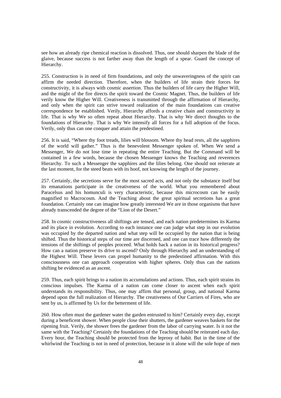see how an already ripe chemical reaction is dissolved. Thus, one should sharpen the blade of the glaive, because success is not farther away than the length of a spear. Guard the concept of Hierarchy.

255. Construction is in need of firm foundations, and only the unwaveringness of the spirit can affirm the needed direction. Therefore, when the builders of life strain their forces for constructivity, it is always with cosmic assertion. Thus the builders of life carry the Higher Will, and the might of the fire directs the spirit toward the Cosmic Magnet. Thus, the builders of life verily know the Higher Will. Creativeness is transmitted through the affirmation of Hierarchy, and only when the spirit can strive toward realization of the main foundations can creative correspondence be established. Verily, Hierarchy affords a creative chain and constructivity in life. That is why We so often repeat about Hierarchy. That is why We direct thoughts to the foundations of Hierarchy. That is why We intensify all forces for a full adoption of the focus. Verily, only thus can one conquer and attain the predestined.

256. It is said, "Where thy foot treads, lilies will blossom. Where thy head rests, all the sapphires of the world will gather." Thus is the benevolent Messenger spoken of. When We send a Messenger, We do not lose time in repeating the entire Teaching. But the Command will be contained in a few words, because the chosen Messenger knows the Teaching and reverences Hierarchy. To such a Messenger the sapphires and the lilies belong. One should not reiterate at the last moment, for the steed beats with its hoof, not knowing the length of the journey.

257. Certainly, the secretions serve for the most sacred acts, and not only the substance itself but its emanations participate in the creativeness of the world. What you remembered about Paracelsus and his homunculi is very characteristic, because this microcosm can be easily magnified to Macrocosm. And the Teaching about the great spiritual secretions has a great foundation. Certainly one can imagine how greatly interested We are in those organisms that have already transcended the degree of the "Lion of the Desert."

258. In cosmic constructiveness all shiftings are tensed, and each nation predetermines its Karma and its place in evolution. According to each instance one can judge what step in our evolution was occupied by the departed nation and what step will be occupied by the nation that is being shifted. Thus the historical steps of our time are discerned, and one can trace how differently the tensions of the shiftings of peoples proceed. What holds back a nation in its historical progress? How can a nation preserve its drive to ascend? Only through Hierarchy and an understanding of the Highest Will. These levers can propel humanity to the predestined affirmation. With this consciousness one can approach cooperation with higher spheres. Only thus can the nations shifting be evidenced as an ascent.

259. Thus, each spirit brings to a nation its accumulations and actions. Thus, each spirit strains its conscious impulses. The Karma of a nation can come closer to ascent when each spirit understands its responsibility. Thus, one may affirm that personal, group, and national Karma depend upon the full realization of Hierarchy. The creativeness of Our Carriers of Fires, who are sent by us, is affirmed by Us for the betterment of life.

260. How often must the gardener water the garden entrusted to him? Certainly every day, except during a beneficent shower. When people close their shutters, the gardener weaves baskets for the ripening fruit. Verily, the shower frees the gardener from the labor of carrying water. Is it not the same with the Teaching? Certainly the foundations of the Teaching should be reiterated each day. Every hour, the Teaching should be protected from the leprosy of habit. But in the time of the whirlwind the Teaching is not in need of protection, because in it alone will the sole hope of men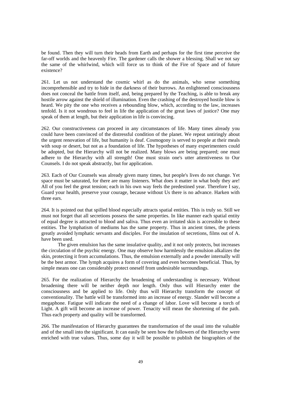be found. Then they will turn their heads from Earth and perhaps for the first time perceive the far-off worlds and the heavenly Fire. The gardener calls the shower a blessing. Shall we not say the same of the whirlwind, which will force us to think of the Fire of Space and of future existence?

261. Let us not understand the cosmic whirl as do the animals, who sense something incomprehensible and try to hide in the darkness of their burrows. An enlightened consciousness does not conceal the battle from itself, and, being prepared by the Teaching, is able to break any hostile arrow against the shield of illumination. Even the crashing of the destroyed hostile blow is heard. We pity the one who receives a rebounding blow, which, according to the law, increases tenfold. Is it not wondrous to feel in life the application of the great laws of justice? One may speak of them at length, but their application in life is convincing.

262. Our constructiveness can proceed in any circumstances of life. Many times already you could have been convinced of the distressful condition of the planet. We repeat untiringly about the urgent renovation of life, but humanity is deaf. Cosmogony is served to people at their meals with soup or desert, but not as a foundation of life. The hypotheses of many experimenters could be adopted, but the Hierarchy will not be realized. Many blows are being prepared; one must adhere to the Hierarchy with all strength! One must strain one's utter attentiveness to Our Counsels. I do not speak abstractly, but for application.

263. Each of Our Counsels was already given many times, but people's lives do not change. Yet space must be saturated, for there are many listeners. What does it matter in what body they are! All of you feel the great tension; each in his own way feels the predestined year. Therefore I say, Guard your health, preserve your courage, because without Us there is no advance. Harken with three ears.

264. It is pointed out that spilled blood especially attracts spatial entities. This is truly so. Still we must not forget that all secretions possess the same properties. In like manner each spatial entity of equal degree is attracted to blood and saliva. Thus even an irritated skin is accessible to these entities. The lymphatism of mediums has the same property. Thus in ancient times, the priests greatly avoided lymphatic servants and disciples. For the insulation of secretions, films out of A. have been used.

 The given emulsion has the same insulative quality, and it not only protects, but increases the circulation of the psychic energy. One may observe how harmlessly the emulsion alkalizes the skin, protecting it from accumulations. Thus, the emulsion externally and a powder internally will be the best armor. The lymph acquires a form of covering and even becomes beneficial. Thus, by simple means one can considerably protect oneself from undesirable surroundings.

265. For the realization of Hierarchy the broadening of understanding is necessary. Without broadening there will be neither depth nor length. Only thus will Hierarchy enter the consciousness and be applied to life. Only thus will Hierarchy transform the concept of conventionality. The battle will be transformed into an increase of energy. Slander will become a megaphone. Fatigue will indicate the need of a change of labor. Love will become a torch of Light. A gift will become an increase of power. Tenacity will mean the shortening of the path. Thus each property and quality will be transformed.

266. The manifestation of Hierarchy guarantees the transformation of the usual into the valuable and of the small into the significant. It can easily be seen how the followers of the Hierarchy were enriched with true values. Thus, some day it will be possible to publish the biographies of the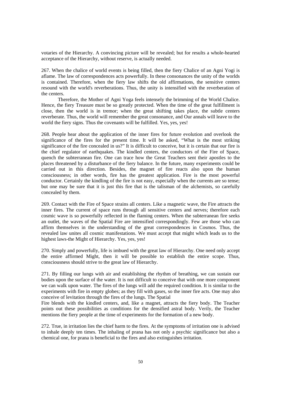votaries of the Hierarchy. A convincing picture will be revealed; but for results a whole-hearted acceptance of the Hierarchy, without reserve, is actually needed.

267. When the chalice of world events is being filled, then the fiery Chalice of an Agni Yogi is aflame. The law of correspondences acts powerfully. In these consonances the unity of the worlds is contained. Therefore, when the fiery law shifts the old affirmations, the sensitive centers resound with the world's reverberations. Thus, the unity is intensified with the reverberation of the centers.

 Therefore, the Mother of Agni Yoga feels intensely the brimming of the World Chalice. Hence, the fiery Treasure must be so greatly protected. When the time of the great fulfillment is close, then the world is in tremor; when the great shifting takes place, the subtle centers reverberate. Thus, the world will remember the great consonance, and Our annals will leave to the world the fiery signs. Thus the covenants will be fulfilled. Yes, yes, yes!

268. People hear about the application of the inner fires for future evolution and overlook the significance of the fires for the present time. It will be asked, "What is the most striking significance of the fire concealed in us?" It is difficult to conceive, but it is certain that our fire is the chief regulator of earthquakes. The kindled centers, the conductors of the Fire of Space, quench the subterranean fire. One can trace how the Great Teachers sent their apostles to the places threatened by a disturbance of the fiery balance. In the future, many experiments could be carried out in this direction. Besides, the magnet of fire reacts also upon the human consciousness; in other words, fire has the greatest application. Fire is the most powerful conductor. Certainly the kindling of the fire is not easy, especially when the currents are so tense; but one may be sure that it is just this fire that is the talisman of the alchemists, so carefully concealed by them.

269. Contact with the Fire of Space strains all centers. Like a magnetic wave, the Fire attracts the inner fires. The current of space runs through all sensitive centers and nerves; therefore each cosmic wave is so powerfully reflected in the flaming centers. When the subterranean fire seeks an outlet, the waves of the Spatial Fire are intensified correspondingly. Few are those who can affirm themselves in the understanding of the great correspondences in Cosmos. Thus, the revealed law unites all cosmic manifestations. We must accept that might which leads us to the highest laws-the Might of Hierarchy. Yes, yes, yes!

270. Simply and powerfully, life is imbued with the great law of Hierarchy. One need only accept the entire affirmed Might, then it will be possible to establish the entire scope. Thus, consciousness should strive to the great law of Hierarchy.

271. By filling our lungs with air and establishing the rhythm of breathing, we can sustain our bodies upon the surface of the water. It is not difficult to conceive that with one more component we can walk upon water. The fires of the lungs will add the required condition. It is similar to the experiments with fire in empty globes; as they fill with gases, so the inner fire acts. One may also conceive of levitation through the fires of the lungs. The Spatial

Fire blends with the kindled centers, and, like a magnet, attracts the fiery body. The Teacher points out these possibilities as conditions for the densified astral body. Verily, the Teacher mentions the fiery people at the time of experiments for the formation of a new body.

272. True, in irritation lies the chief harm to the fires. At the symptoms of irritation one is advised to inhale deeply ten times. The inhaling of prana has not only a psychic significance but also a chemical one, for prana is beneficial to the fires and also extinguishes irritation.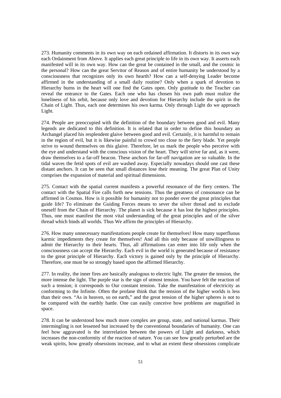273. Humanity comments in its own way on each ordained affirmation. It distorts in its own way each Ordainment from Above. It applies each great principle to life in its own way. It asserts each manifested will in its own way. How can the great be contained in the small, and the cosmic in the personal? How can the great Servitor of Reason and of entire humanity be understood by a consciousness that recognizes only its own hearth? How can a self-denying Leader become affirmed in the understanding of a small daily routine? Only when a spark of devotion to Hierarchy burns in the heart will one find the Gates open. Only gratitude to the Teacher can reveal the entrance to the Gates. Each one who has chosen his own path must realize the loneliness of his orbit, because only love and devotion for Hierarchy include the spirit in the Chain of Light. Thus, each one determines his own karma. Only through Light do we approach Light.

274. People are preoccupied with the definition of the boundary between good and evil. Many legends are dedicated to this definition. It is related that in order to define this boundary an Archangel placed his resplendent glaive between good and evil. Certainly, it is harmful to remain in the region of evil, but it is likewise painful to crowd too close to the fiery blade. Yet people strive to wound themselves on this glaive. Therefore, let us mark the people who perceive with the eye and understand with the conscious vision of the heart. They will strive far and, as it were, draw themselves to a far-off beacon. These anchors for far-off navigation are so valuable. In the tidal waves the fetid spots of evil are washed away. Especially nowadays should one cast these distant anchors. It can be seen that small distances lose their meaning. The great Plan of Unity comprises the expansion of material and spiritual dimensions.

275. Contact with the spatial current manifests a powerful resonance of the fiery centers. The contact with the Spatial Fire calls forth new tensions. Thus the greatness of consonance can be affirmed in Cosmos. How is it possible for humanity not to ponder over the great principles that guide life? To eliminate the Guiding Forces means to sever the silver thread and to exclude oneself from the Chain of Hierarchy. The planet is sick because it has lost the highest principles. Thus, one must manifest the most vital understanding of the great principles and of the silver thread which binds all worlds. Thus We affirm the principles of Hierarchy.

276. How many unnecessary manifestations people create for themselves! How many superfluous karmic impediments they create for themselves! And all this only because of unwillingness to admit the Hierarchy to their hearts. Thus, all affirmations can enter into life only when the consciousness can accept the Hierarchy. Each evil in the world is generated because of resistance to the great principle of Hierarchy. Each victory is gained only by the principle of Hierarchy. Therefore, one must be so strongly based upon the affirmed Hierarchy.

277. In reality, the inner fires are basically analogous to electric light. The greater the tension, the more intense the light. The purple star is the sign of utmost tension. You have felt the reaction of such a tension; it corresponds to Our constant tension. Take the manifestation of electricity as conforming to the Infinite. Often the profane think that the tension of the higher worlds is less than their own. "As in heaven, so on earth," and the great tension of the higher spheres is not to be compared with the earthly battle. One can easily conceive how problems are magnified in space.

278. It can be understood how much more complex are group, state, and national karmas. Their intermingling is not lessened but increased by the conventional boundaries of humanity. One can feel how aggravated is the interrelation between the powers of Light and darkness, which increases the non-conformity of the reaction of nature. You can see how greatly perturbed are the weak spirits, how greatly obsessions increase, and to what an extent these obsessions complicate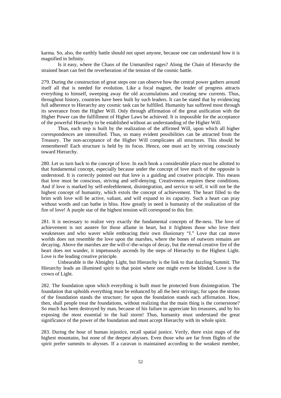karma. So, also, the earthly battle should not upset anyone, because one can understand how it is magnified in Infinity.

 Is it easy, where the Chaos of the Unmanifest rages? Along the Chain of Hierarchy the strained heart can feel the reverberation of the tension of the cosmic battle.

279. During the construction of great steps one can observe how the central power gathers around itself all that is needed for evolution. Like a focal magnet, the leader of progress attracts everything to himself, sweeping away the old accumulations and creating new currents. Thus, throughout history, countries have been built by such leaders. It can be stated that by evidencing full adherence to Hierarchy any cosmic task can be fulfilled. Humanity has suffered most through its severance from the Higher Will. Only through affirmation of the great unification with the Higher Power can the fulfillment of Higher Laws be achieved. It is impossible for the acceptance of the powerful Hierarchy to be established without an understanding of the Higher Will.

 Thus, each step is built by the realization of the affirmed Will, upon which all higher correspondences are intensified. Thus, so many evident possibilities can be attracted from the Treasury. The non-acceptance of the Higher Will complicates all structures. This should be remembered! Each structure is held by its focus. Hence, one must act by striving consciously toward Hierarchy.

280. Let us turn back to the concept of love. In each book a considerable place must be allotted to that fundamental concept, especially because under the concept of love much of the opposite is understood. It is correctly pointed out that love is a guiding and creative principle. This means that love must be conscious, striving and self-denying. Creativeness requires these conditions. And if love is marked by self-enfeeblement, disintegration, and service to self, it will not be the highest concept of humanity, which extols the concept of achievement. The heart filled to the brim with love will be active, valiant, and will expand to its capacity. Such a heart can pray without words and can bathe in bliss. How greatly in need is humanity of the realization of the fire of love! A purple star of the highest tension will correspond to this fire.

281. It is necessary to realize very exactly the fundamental concepts of Be-ness. The love of achievement is not austere for those aflame in heart, but it frightens those who love their weaknesses and who waver while embracing their own illusionary "I." Love that can move worlds does not resemble the love upon the marshes, where the bones of outworn remains are decaying. Above the marshes are the will-o'-the-wisps of decay, but the eternal creative fire of the heart does not wander, it impetuously ascends by the steps of Hierarchy to the Highest Light. Love is the leading creative principle.

 Unbearable is the Almighty Light, but Hierarchy is the link to that dazzling Summit. The Hierarchy leads an illumined spirit to that point where one might even be blinded. Love is the crown of Light.

282. The foundation upon which everything is built must be protected from disintegration. The foundation that upholds everything must be enhanced by all the best strivings; for upon the stones of the foundation stands the structure; for upon the foundation stands each affirmation. How, then, shall people treat the foundations, without realizing that the main thing is the cornerstone? So much has been destroyed by man, because of his failure to appreciate his treasures, and by his exposing the most essential to the hail storm! Thus, humanity must understand the great significance of the power of the foundation and must accept Hierarchy with its whole spirit.

283. During the hour of human injustice, recall spatial justice. Verily, there exist maps of the highest mountains, but none of the deepest abysses. Even those who are far from flights of the spirit prefer summits to abysses. If a caravan is maintained according to the weakest member,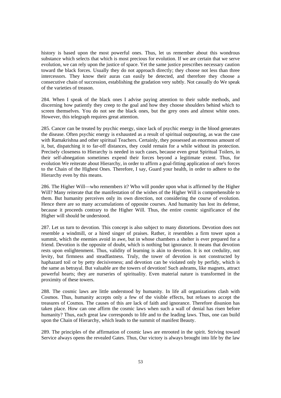history is based upon the most powerful ones. Thus, let us remember about this wondrous substance which selects that which is most precious for evolution. If we are certain that we serve evolution, we can rely upon the justice of space. Yet the same justice prescribes necessary caution toward the black forces. Usually they do not approach directly; they choose not less than three intercessors. They know their auras can easily be detected, and therefore they choose a consecutive chain of succession, establishing the gradation very subtly. Not casually do We speak of the varieties of treason.

284. When I speak of the black ones I advise paying attention to their subtle methods, and discerning how patiently they creep to the goal and how they choose shoulders behind which to screen themselves. You do not see the black ones, but the grey ones and almost white ones. However, this telegraph requires great attention.

285. Cancer can be treated by psychic energy, since lack of psychic energy in the blood generates the disease. Often psychic energy is exhausted as a result of spiritual outpouring, as was the case with Ramakrishna and other spiritual Teachers. Certainly, they possessed an enormous amount of it, but, dispatching it to far-off distances, they could remain for a while without its protection. Precisely closeness to Hierarchy is needed in such cases, because even great Spiritual Toilers, in their self-abnegation sometimes expend their forces beyond a legitimate extent. Thus, for evolution We reiterate about Hierarchy, in order to affirm a goal-fitting application of one's forces to the Chain of the Highest Ones. Therefore, I say, Guard your health, in order to adhere to the Hierarchy even by this means.

286. The Higher Will—who remembers it? Who will ponder upon what is affirmed by the Higher Will? Many reiterate that the manifestation of the wishes of the Higher Will is comprehensible to them. But humanity perceives only its own direction, not considering the course of evolution. Hence there are so many accumulations of opposite courses. And humanity has lost its defense, because it proceeds contrary to the Higher Will. Thus, the entire cosmic significance of the Higher will should be understood.

287. Let us turn to devotion. This concept is also subject to many distortions. Devotion does not resemble a windmill, or a hired singer of praises. Rather, it resembles a firm tower upon a summit, which the enemies avoid in awe, but in whose chambers a shelter is ever prepared for a friend. Devotion is the opposite of doubt, which is nothing but ignorance. It means that devotion rests upon enlightenment. Thus, validity of learning is akin to devotion. It is not credulity, not levity, but firmness and steadfastness. Truly, the tower of devotion is not constructed by haphazard toil or by petty decisiveness; and devotion can be violated only by perfidy, which is the same as betrayal. But valuable are the towers of devotion! Such ashrams, like magnets, attract powerful hearts; they are nurseries of spirituality. Even material nature is transformed in the proximity of these towers.

288. The cosmic laws are little understood by humanity. In life all organizations clash with Cosmos. Thus, humanity accepts only a few of the visible effects, but refuses to accept the treasures of Cosmos. The causes of this are lack of faith and ignorance. Therefore disunion has taken place. How can one affirm the cosmic laws when such a wall of denial has risen before humanity? Thus, each great law corresponds to life and to the leading laws. Thus, one can build upon the Chain of Hierarchy, which leads to the summit of manifest Beauty.

289. The principles of the affirmation of cosmic laws are enrooted in the spirit. Striving toward Service always opens the revealed Gates. Thus, Our victory is always brought into life by the law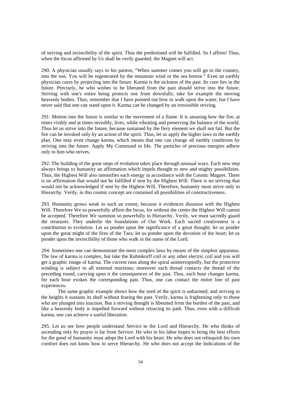of striving and invincibility of the spirit. Thus the predestined will be fulfilled. So I affirm! Thus, when the focus affirmed by Us shall be verily guarded, the Magnet will act.

290. A physician usually says to his patient, "When summer comes you will go to the country, into the sun. You will be regenerated by the mountain wind or the sea breeze." Even an earthly physician cures by projecting into the future. Karma is the sickness of the past. Its cure lies in the future. Precisely, he who wishes to be liberated from the past should strive into the future. Striving with one's entire being protects one from downfalls; take for example the moving heavenly bodies. Thus, remember that I have pointed out how to walk upon the water, but I have never said that one can stand upon it. Karma can be changed by an irresistible striving.

291. Motion into the future is similar to the movement of a flame. It is amazing how the fire, at times visibly and at times invisibly, lives, while vibrating and preserving the balance of the world. Thus let us strive into the future, because sustained by the fiery element we shall not fail. But the fire can be invoked only by an action of the spirit. Thus, let us apply the higher laws to the earthly plan. One may even change karma, which means that one can change all earthly conditions by striving into the future. Apply My Command to life. The particles of precious energies adhere only to him who strives.

292. The building of the great steps of evolution takes place through unusual ways. Each new step always brings to humanity an affirmation which impels thought to new and mighty possibilities. Thus, the Highest Will also intensifies each energy in accordance with the Cosmic Magnet. There is no affirmation that would not be fulfilled if sent by the Highest Will. There is no striving that would not be acknowledged if sent by the Highest Will. Therefore, humanity must strive only to Hierarchy. Verily, in this cosmic concept are contained all possibilities of constructiveness.

293. Humanity grows weak to such an extent, because it evidences disunion with the Highest Will. Therefore We so powerfully affirm the focus, for without the center the Highest Will cannot be accepted. Therefore We summon so powerfully to Hierarchy. Verily, we must sacredly guard the treasures. They underlie the foundations of Our Work. Each sacred creativeness is a contribution to evolution. Let us ponder upon the significance of a great thought; let us ponder upon the great might of the fires of the Tara; let us ponder upon the devotion of the heart; let us ponder upon the invincibility of those who walk in the name of the Lord.

294. Sometimes one can demonstrate the most complex laws by means of the simplest apparatus. The law of karma is complex, but take the Ruhmkorff coil or any other electric coil and you will get a graphic image of karma. The current runs along the spiral uninterruptedly, but the protective winding is subject to all external reactions; moreover each thread contacts the thread of the preceding round, carrying upon it the consequences of the past. Thus, each hour changes karma, for each hour evokes the corresponding past. Thus, one can contact the entire line of past experiences.

 The same graphic example shows how the seed of the spirit is unharmed; and striving to the heights it sustains its shell without fearing the past. Verily, karma is frightening only to those who are plunged into inaction. But a striving thought is liberated from the burden of the past, and like a heavenly body is impelled forward without retracing its path. Thus, even with a difficult karma, one can achieve a useful liberation.

295. Let us see how people understand Service to the Lord and Hierarchy. He who thinks of ascending only by prayer is far from Service. He who in his labor hopes to bring the best efforts for the good of humanity must adopt the Lord with his heart. He who does not relinquish his own comfort does not know how to serve Hierarchy. He who does not accept the Indications of the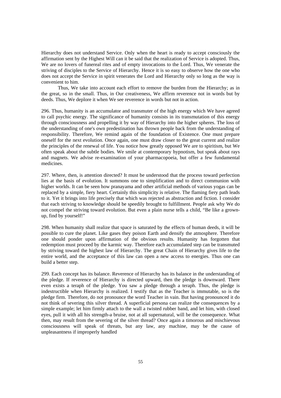Hierarchy does not understand Service. Only when the heart is ready to accept consciously the affirmation sent by the Highest Will can it be said that the realization of Service is adopted. Thus, We are no lovers of funereal rites and of empty invocations to the Lord. Thus, We venerate the striving of disciples to the Service of Hierarchy. Hence it is so easy to observe how the one who does not accept the Service in spirit venerates the Lord and Hierarchy only so long as the way is convenient to him.

 Thus, We take into account each effort to remove the burden from the Hierarchy; as in the great, so in the small. Thus, in Our creativeness, We affirm reverence not in words but by deeds. Thus, We deplore it when We see reverence in words but not in action.

296. Thus, humanity is an accumulator and transmuter of the high energy which We have agreed to call psychic energy. The significance of humanity consists in its transmutation of this energy through consciousness and propelling it by way of Hierarchy into the higher spheres. The loss of the understanding of one's own predestination has thrown people back from the understanding of responsibility. Therefore, We remind again of the foundation of Existence. One must prepare oneself for the next evolution. Once again, one must draw closer to the great current and realize the principles of the renewal of life. You notice how greatly opposed We are to spiritism, but We often speak about the subtle bodies. We smile at contemporary hypnotism, but speak about rays and magnets. We advise re-examination of your pharmacopoeia, but offer a few fundamental medicines.

297. Where, then, is attention directed? It must be understood that the process toward perfection lies at the basis of evolution. It summons one to simplification and to direct communion with higher worlds. It can be seen how pranayama and other artificial methods of various yogas can be replaced by a simple, fiery heart. Certainly this simplicity is relative. The flaming fiery path leads to it. Yet it brings into life precisely that which was rejected as abstraction and fiction. I consider that each striving to knowledge should be speedily brought to fulfillment. People ask why We do not compel the striving toward evolution. But even a plain nurse tells a child, "Be like a grownup, find by yourself!"

298. When humanity shall realize that space is saturated by the effects of human deeds, it will be possible to cure the planet. Like gases they poison Earth and densify the atmosphere. Therefore one should ponder upon affirmation of the obvious results. Humanity has forgotten that redemption must proceed by the karmic way. Therefore each accumulated step can be transmuted by striving toward the highest law of Hierarchy. The great Chain of Hierarchy gives life to the entire world, and the acceptance of this law can open a new access to energies. Thus one can build a better step.

299. Each concept has its balance. Reverence of Hierarchy has its balance in the understanding of the pledge. If reverence of Hierarchy is directed upward, then the pledge is downward. There even exists a teraph of the pledge. You saw a pledge through a teraph. Thus, the pledge is indestructible when Hierarchy is realized. I testify that as the Teacher is immutable, so is the pledge firm. Therefore, do not pronounce the word Teacher in vain. But having pronounced it do not think of severing this silver thread. A superficial persona can realize the consequences by a simple example; let him firmly attach to the wall a twisted rubber band, and let him, with closed eyes, pull it with all his strength-a bruise, not at all supernatural, will be the consequence. What then, may result from the severing of the silver thread? Once again a timorous and mischievous consciousness will speak of threats, but any law, any machine, may be the cause of unpleasantness if improperly handled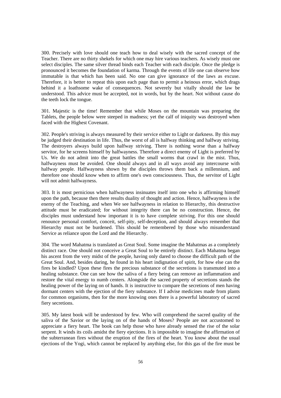300. Precisely with love should one teach how to deal wisely with the sacred concept of the Teacher. There are no thirty shekels for which one may hire various teachers. As wisely must one select disciples. The same silver thread binds each Teacher with each disciple. Once the pledge is pronounced it becomes the foundation of karma. Through the events of life one can observe how immutable is that which has been said. No one can give ignorance of the laws as excuse. Therefore, it is better to repeat this upon each page than to permit a heinous error, which drags behind it a loathsome wake of consequences. Not severely but vitally should the law be understood. This advice must be accepted, not in words, but by the heart. Not without cause do the teeth lock the tongue.

301. Majestic is the time! Remember that while Moses on the mountain was preparing the Tablets, the people below were steeped in madness; yet the calf of iniquity was destroyed when faced with the Highest Covenant.

302. People's striving is always measured by their service either to Light or darkness. By this may be judged their destination in life. Thus, the worst of all is halfway thinking and halfway striving. The destroyers always build upon halfway striving. There is nothing worse than a halfway servitor, for he screens himself by halfwayness. Therefore a direct enemy of Light is preferred by Us. We do not admit into the great battles the small worms that crawl in the mist. Thus, halfwayness must be avoided. One should always and in all ways avoid any intercourse with halfway people. Halfwayness shown by the disciples throws them back a millennium, and therefore one should know when to affirm one's own consciousness. Thus, the servitor of Light will not admit halfwayness.

303. It is most pernicious when halfwayness insinuates itself into one who is affirming himself upon the path, because then there results duality of thought and action. Hence, halfwayness is the enemy of the Teaching, and when We see halfwayness in relation to Hierarchy, this destructive attitude must be eradicated; for without integrity there can be no construction. Hence, the disciples must understand how important it is to have complete striving. For this one should renounce personal comfort, conceit, self-pity, self-deception, and should always remember that Hierarchy must not be burdened. This should be remembered by those who misunderstand Service as reliance upon the Lord and the Hierarchy.

304. The word Mahatma is translated as Great Soul. Some imagine the Mahatmas as a completely distinct race. One should not conceive a Great Soul to be entirely distinct. Each Mahatma began his ascent from the very midst of the people, having only dared to choose the difficult path of the Great Soul. And, besides daring, he found in his heart indignation of spirit, for how else can the fires be kindled? Upon these fires the precious substance of the secretions is transmuted into a healing substance. One can see how the saliva of a fiery being can remove an inflammation and restore the vital energy to numb centers. Alongside the sacred property of secretions stands the healing power of the laying on of hands. It is instructive to compare the secretions of men having dormant centers with the ejection of the fiery substance. If I advise medicines made from plants for common organisms, then for the more knowing ones there is a powerful laboratory of sacred fiery secretions.

305. My latest book will be understood by few. Who will comprehend the sacred quality of the saliva of the Savior or the laying on of the hands of Moses? People are not accustomed to appreciate a fiery heart. The book can help those who have already sensed the rise of the solar serpent. It winds its coils amidst the fiery ejections. It is impossible to imagine the affirmation of the subterranean fires without the eruption of the fires of the heart. You know about the usual ejections of the Yogi, which cannot be replaced by anything else, for this gas of the fire must be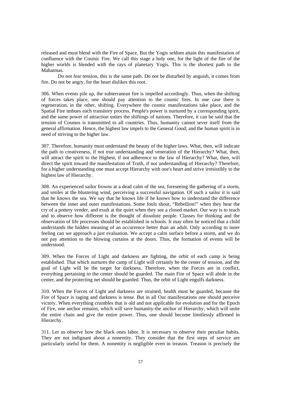released and must blend with the Fire of Space. But the Yogis seldom attain this manifestation of confluence with the Cosmic Fire. We call this stage a holy one, for the light of the fire of the higher worlds is blended with the rays of planetary Yogis. This is the shortest path to the Mahatmas.

 Do not fear tension, this is the same path. Do not be disturbed by anguish, it comes from fire. Do not be angry, for the heart dislikes this root.

306. When events pile up, the subterranean fire is impelled accordingly. Thus, when the shifting of forces takes place, one should pay attention to the cosmic fires. In one case there is regeneration, in the other, shifting. Everywhere the cosmic manifestations take place, and the Spatial Fire imbues each transitory process. People's power is nurtured by a corresponding spirit, and the same power of attraction unites the shiftings of nations. Therefore, it can be said that the tension of Cosmos is transmitted to all countries. Thus, humanity cannot sever itself from the general affirmation. Hence, the highest law impels to the General Good; and the human spirit is in need of striving to the higher law.

307. Therefore, humanity must understand the beauty of the higher laws. What, then, will indicate the path to creativeness, if not true understanding and veneration of the Hierarchy? What, then, will attract the spirit to the Highest, if not adherence to the law of Hierarchy? What, then, will direct the spirit toward the manifestation of Truth, if not understanding of Hierarchy? Therefore, for a higher understanding one must accept Hierarchy with one's heart and strive irresistibly to the highest law of Hierarchy.

308. An experienced sailor frowns at a dead calm of the sea, foreseeing the gathering of a storm, and smiles at the blustering wind, perceiving a successful navigation. Of such a sailor it is said that he knows the sea. We say that he knows life if he knows how to understand the difference between the inner and outer manifestations. Some fools shout, "Rebellion!" when they hear the cry of a pottery vender, and exult at the quiet when they see a closed market. Our way is to teach and to observe how different is the thought of dissolute people. Classes for thinking and the observation of life processes should be established in schools. It may often be noticed that a child understands the hidden meaning of an occurrence better than an adult. Only according to inner feeling can we approach a just evaluation. We accept a calm surface before a storm, and we do not pay attention to the blowing curtains at the doors. Thus, the formation of events will be understood.

309. When the Forces of Light and darkness are fighting, the orbit of each camp is being established. That which nurtures the camp of Light will certainly be the center of tension, and the goal of Light will be the target for darkness. Therefore, when the Forces are in conflict, everything pertaining to the center should be guarded. The main Fire of Space will abide in the center, and the protecting net should be guarded. Thus, the orbit of Light engulfs darkness.

310. When the Forces of Light and darkness are strained, health must be guarded, because the Fire of Space is raging and darkness is tense. But in all Our manifestations one should perceive victory. When everything crumbles that is old and not applicable for evolution and for the Epoch of Fire, one anchor remains, which will save humanity-the anchor of Hierarchy, which will unite the entire chain and give the entire power. Thus, one should become limitlessly affirmed in Hierarchy.

311. Let us observe how the black ones labor. It is necessary to observe their peculiar habits. They are not indignant about a nonentity. They consider that the first steps of service are particularly useful for them. A nonentity is negligible even in treason. Treason is precisely the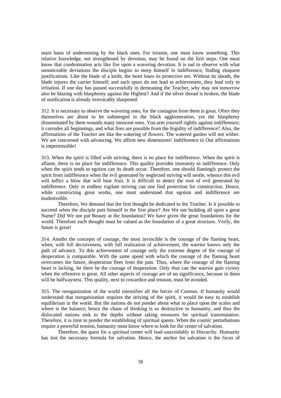main basis of undermining by the black ones. For treason, one must know something. This relative knowledge, not strengthened by devotion, may be found on the first steps. One must know that condemnation acts like fire upon a wavering devotion. It is sad to observe with what unnoticeable deviations the disciple begins to steep himself in indifference, finding eloquent justifications. Like the blade of a knife, the heart loses its protective net. Without its sheath, the blade injures the carrier himself; and such spurs do not lead to achievement, they lead only to irritation. If one day has passed successfully in demeaning the Teacher, why may not tomorrow also be blazing with blasphemy against the Highest? And if the silver thread is broken, the blade of ossification is already irrevocably sharpened.

312. It is necessary to observe the wavering ones, for the contagion from them is great. Often they themselves are about to be submerged in the black agglomeration, yet the blasphemy disseminated by them wounds many innocent ones. You arm yourself rightly against indifference; it corrodes all beginnings, and what fires are possible from the frigidity of indifference? Also, the affirmations of the Teacher are like the watering of flowers. The watered garden will not wither. We are concerned with advancing. We affirm new dimensions! Indifference to Our affirmations is impermissible!

313. When the spirit is filled with striving, there is no place for indifference. When the spirit is aflame, there is no place for indifference. This quality provides immunity to indifference. Only when the spirit tends to egoism can its death occur. Therefore, one should flamingly protect the spirit from indifference when the evil generated by neglected striving will nestle, whence this evil will inflict a blow that will bear fruit. It is difficult to detect the root of evil generated by indifference. Only in endless vigilant striving can one find protection for construction. Hence, while constructing great works, one must understand that egoism and indifference are inadmissible.

 Therefore, We demand that the first thought be dedicated to the Teacher. Is it possible to succeed when the disciple puts himself in the first place? Are We not building all upon a great Name? Did We not put Beauty at the foundation? We have given the great foundations for the world. Therefore each thought must be valued as the foundation of a great structure. Verily, the future is great!

314. Amidst the concepts of courage, the most invincible is the courage of the flaming heart, when, with full decisiveness, with full realization of achievement, the warrior knows only the path of advance. To this achievement of courage only the extreme degree of the courage of desperation is comparable. With the same speed with which the courage of the flaming heart overcomes the future, desperation flees from the past. Thus, where the courage of the flaming heart is lacking, let there be the courage of desperation. Only thus can the warrior gain victory when the offensive is great. All other aspects of courage are of no significance, because in them will be halfwayness. This quality, next to cowardice and treason, must be avoided.

315. The reorganization of the world intensifies all the forces of Cosmos. If humanity would understand that reorganization requires the striving of the spirit, it would be easy to establish equilibrium in the world. But the nations do not ponder about what to place upon the scales and where is the balance; hence the chaos of thinking is so destructive to humanity, and thus the dislocated nations sink to the depths without taking measures for spiritual transmutation. Therefore, it is time to ponder the establishing of spiritual quests. When the cosmic perturbations require a powerful tension, humanity must know where to look for the center of salvation.

 Therefore, the quest for a spiritual center will lead unavoidably to Hierarchy. Humanity has lost the necessary formula for salvation. Hence, the anchor for salvation is the focus of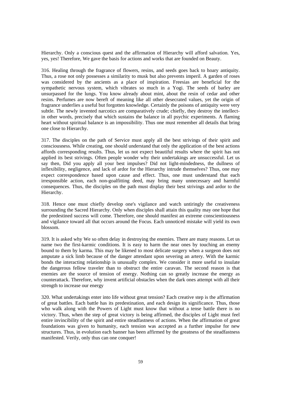Hierarchy. Only a conscious quest and the affirmation of Hierarchy will afford salvation. Yes, yes, yes! Therefore, We gave the basis for actions and works that are founded on Beauty.

316. Healing through the fragrance of flowers, resins, and seeds goes back to hoary antiquity. Thus, a rose not only possesses a similarity to musk but also prevents imperil. A garden of roses was considered by the ancients as a place of inspiration. Freesias are beneficial for the sympathetic nervous system, which vibrates so much in a Yogi. The seeds of barley are unsurpassed for the lungs. You know already about mint, about the resin of cedar and other resins. Perfumes are now bereft of meaning like all other desecrated values, yet the origin of fragrance underlies a useful but forgotten knowledge. Certainly the poisons of antiquity were very subtle. The newly invented narcotics are comparatively crude; chiefly, they destroy the intellectin other words, precisely that which sustains the balance in all psychic experiments. A flaming heart without spiritual balance is an impossibility. Thus one must remember all details that bring one close to Hierarchy.

317. The disciples on the path of Service must apply all the best strivings of their spirit and consciousness. While creating, one should understand that only the application of the best actions affords corresponding results. Thus, let us not expect beautiful results where the spirit has not applied its best strivings. Often people wonder why their undertakings are unsuccessful. Let us say then, Did you apply all your best impulses? Did not light-mindedness, the dullness of inflexibility, negligence, and lack of ardor for the Hierarchy intrude themselves? Thus, one may expect correspondence based upon cause and effect. Thus, one must understand that each irresponsible action, each non-goalfitting deed, may bring many unnecessary and harmful consequences. Thus, the disciples on the path must display their best strivings and ardor to the Hierarchy.

318. Hence one must chiefly develop one's vigilance and watch untiringly the creativeness surrounding the Sacred Hierarchy. Only when disciples shall attain this quality may one hope that the predestined success will come. Therefore, one should manifest an extreme conscientiousness and vigilance toward all that occurs around the Focus. Each unnoticed mistake will yield its own blossom.

319. It is asked why We so often delay in destroying the enemies. There are many reasons. Let us name two the first-karmic conditions. It is easy to harm the near ones by touching an enemy bound to them by karma. This may be likened to most delicate surgery when a surgeon does not amputate a sick limb because of the danger attendant upon severing an artery. With the karmic bonds the interacting relationship is unusually complex. We consider it more useful to insulate the dangerous fellow traveler than to obstruct the entire caravan. The second reason is that enemies are the source of tension of energy. Nothing can so greatly increase the energy as counterattack. Therefore, why invent artificial obstacles when the dark ones attempt with all their strength to increase our energy

320. What undertakings enter into life without great tension? Each creative step is the affirmation of great battles. Each battle has its predestination, and each design its significance. Thus, those who walk along with the Powers of Light must know that without a tense battle there is no victory. Thus, when the step of great victory is being affirmed, the disciples of Light must feel entire invincibility of the spirit and entire steadfastness of actions. When the affirmation of great foundations was given to humanity, each tension was accepted as a further impulse for new structures. Thus, in evolution each banner has been affirmed by the greatness of the steadfastness manifested. Verily, only thus can one conquer!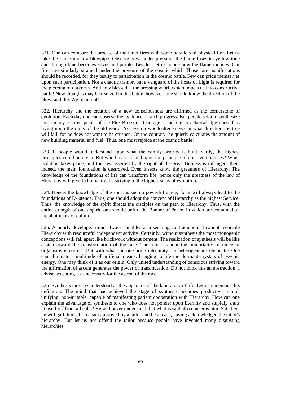321. One can compare the process of the inner fires with some parallels of physical fire. Let us take the flame under a blowpipe. Observe how, under pressure, the flame loses its yellow tone and through blue becomes silver and purple. Besides, let us notice how the flame inclines. Our fires are similarly strained under the pressure of the cosmic whirl. Those rare manifestations should be recorded, for they testify to participation in the cosmic battle. Few can pride themselves upon such participation. Not a chaotic tremor, but a vanguard of the hosts of Light is required for the piercing of darkness. And how blessed is the pressing whirl, which impels us into constructive battle! New thoughts may be realized in this battle, however, one should know the direction of the blow, and this We point out!

322. Hierarchy and the creation of a new consciousness are affirmed as the cornerstone of evolution. Each day one can observe the evidence of such progress. But people seldom synthesize these many-colored petals of the Fire Blossom. Courage is lacking to acknowledge oneself as living upon the ruins of the old world. Yet even a woodcutter knows in what direction the tree will fall, for he does not want to be crushed. On the contrary, he quietly calculates the amount of new building material and fuel. Thus, one must rejoice at the cosmic battle!

323. If people would understand upon what the earthly priority is built, verily, the highest principles could be given. But who has pondered upon the principle of creative impulses? When isolation takes place, and the law asserted by the right of the great Be-ness is infringed, then, indeed, the main foundation is destroyed. Even insects know the greatness of Hierarchy. The knowledge of the foundations of life can transform life, hence only the greatness of the law of Hierarchy will give to humanity the striving to the highest steps of evolution.

324. Hence, the knowledge of the spirit is such a powerful guide, for it will always lead to the foundations of Existence. Thus, one should adopt the concept of Hierarchy as the highest Service. Thus, the knowledge of the spirit directs the disciples on the path to Hierarchy. Thus, with the entire strength of one's spirit, one should unfurl the Banner of Peace, in which are contained all the abutments of culture.

325. A poorly developed mind always stumbles at a seeming contradiction, it cannot reconcile Hierarchy with resourceful independent activity. Certainly, without synthesis the most monogenic conceptions will fall apart like brickwork without cement. The realization of synthesis will be like a step toward the transformation of the race. The remark about the immortality of unicellar organisms is correct. But with what can one bring into unity our heterogeneous elements? One can eliminate a multitude of artificial means, bringing to life the dormant crystals of psychic energy. One may think of it as our origin. Only united understanding of conscious striving toward the affirmation of ascent generates the power of transmutation. Do not think this an abstraction; I advise accepting it as necessary for the ascent of the race.

326. Synthesis must be understood as the apparatus of the laboratory of life. Let us remember this definition. The mind that has achieved the stage of synthesis becomes productive, moral, unifying, non-irritable, capable of manifesting patient cooperation with Hierarchy. How can one explain the advantage of synthesis to one who does not ponder upon Eternity and stupidly shuts himself off from all calls? He will never understand that what is said also concerns him. Satisfied, he will garb himself in a suit approved by a tailor and be at ease, having acknowledged the tailor's hierarchy. But let us not offend the tailor because people have invented many disgusting hierarchies.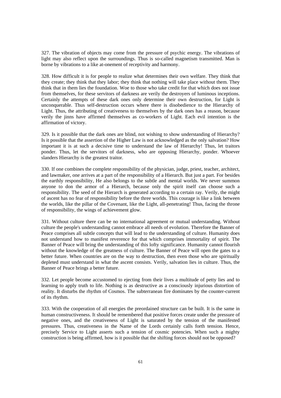327. The vibration of objects may come from the pressure of psychic energy. The vibrations of light may also reflect upon the surroundings. Thus is so-called magnetism transmitted. Man is borne by vibrations to a like at-onement of receptivity and harmony.

328. How difficult it is for people to realize what determines their own welfare. They think that they create; they think that they labor; they think that nothing will take place without them. They think that in them lies the foundation. Woe to those who take credit for that which does not issue from themselves, for these servitors of darkness are verily the destroyers of luminous inceptions. Certainly the attempts of these dark ones only determine their own destruction, for Light is unconquerable. Thus self-destruction occurs where there is disobedience to the Hierarchy of Light. Thus, the attributing of creativeness to themselves by the dark ones has a reason, because verily the jinns have affirmed themselves as co-workers of Light. Each evil intention is the affirmation of victory.

329. Is it possible that the dark ones are blind, not wishing to show understanding of Hierarchy? Is it possible that the assertion of the Higher Law is not acknowledged as the only salvation? How important it is at such a decisive time to understand the law of Hierarchy! Thus, let traitors ponder. Thus, let the servitors of darkness, who are opposing Hierarchy, ponder. Whoever slanders Hierarchy is the greatest traitor.

330. If one combines the complete responsibility of the physician, judge, priest, teacher, architect, and lawmaker, one arrives at a part of the responsibility of a Hierarch. But just a part. For besides the earthly responsibility, He also belongs to the subtle and mental worlds. We never summon anyone to don the armor of a Hierarch, because only the spirit itself can choose such a responsibility. The seed of the Hierarch is generated according to a certain ray. Verily, the might of ascent has no fear of responsibility before the three worlds. This courage is like a link between the worlds, like the pillar of the Covenant, like the Light, all-penetrating! Thus, facing the throne of responsibility, the wings of achievement glow.

331. Without culture there can be no international agreement or mutual understanding. Without culture the people's understanding cannot embrace all needs of evolution. Therefore the Banner of Peace comprises all subtle concepts that will lead to the understanding of culture. Humanity does not understand how to manifest reverence for that which comprises immortality of spirit. The Banner of Peace will bring the understanding of this lofty significance. Humanity cannot flourish without the knowledge of the greatness of culture. The Banner of Peace will open the gates to a better future. When countries are on the way to destruction, then even those who are spiritually depleted must understand in what the ascent consists. Verily, salvation lies in culture. Thus, the Banner of Peace brings a better future.

332. Let people become accustomed to ejecting from their lives a multitude of petty lies and to learning to apply truth to life. Nothing is as destructive as a consciously injurious distortion of reality. It disturbs the rhythm of Cosmos. The subterranean fire dominates by the counter-current of its rhythm.

333. With the cooperation of all energies the preordained structure can be built. It is the same in human constructiveness. It should be remembered that positive forces create under the pressure of negative ones, and the creativeness of Light is saturated by the tension of the manifested pressures. Thus, creativeness in the Name of the Lords certainly calls forth tension. Hence, precisely Service to Light asserts such a tension of cosmic potencies. When such a mighty construction is being affirmed, how is it possible that the shifting forces should not be opposed?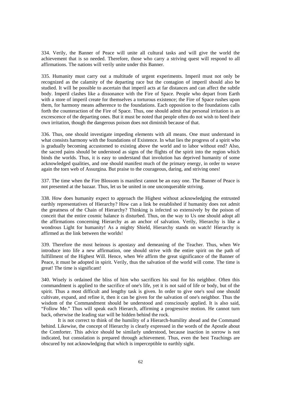334. Verily, the Banner of Peace will unite all cultural tasks and will give the world the achievement that is so needed. Therefore, those who carry a striving quest will respond to all affirmations. The nations will verily unite under this Banner.

335. Humanity must carry out a multitude of urgent experiments. Imperil must not only be recognized as the calamity of the departing race but the contagion of imperil should also be studied. It will be possible to ascertain that imperil acts at far distances and can affect the subtle body. Imperil clashes like a dissonance with the Fire of Space. People who depart from Earth with a store of imperil create for themselves a torturous existence; the Fire of Space rushes upon them, for harmony means adherence to the foundations. Each opposition to the foundations calls forth the counteraction of the Fire of Space. Thus, one should admit that personal irritation is an excrescence of the departing ones. But it must be noted that people often do not wish to heed their own irritation, though the dangerous poison does not diminish because of that.

336. Thus, one should investigate impeding elements with all means. One must understand in what consists harmony with the foundations of Existence. In what lies the progress of a spirit who is gradually becoming accustomed to existing above the world and to labor without end? Also, the sacred pains should be understood as signs of the flights of the spirit into the region which binds the worlds. Thus, it is easy to understand that involution has deprived humanity of some acknowledged qualities, and one should manifest much of the primary energy, in order to weave again the torn web of Assurgina. But praise to the courageous, daring, and striving ones!

337. The time when the Fire Blossom is manifest cannot be an easy one. The Banner of Peace is not presented at the bazaar. Thus, let us be united in one unconquerable striving.

338. How does humanity expect to approach the Highest without acknowledging the entrusted earthly representatives of Hierarchy? How can a link be established if humanity does not admit the greatness of the Chain of Hierarchy? Thinking is infected so extensively by the poison of conceit that the entire cosmic balance is disturbed. Thus, on the way to Us one should adopt all the affirmations concerning Hierarchy as an anchor of salvation. Verily, Hierarchy is like a wondrous Light for humanity! As a mighty Shield, Hierarchy stands on watch! Hierarchy is affirmed as the link between the worlds!

339. Therefore the most heinous is apostasy and demeaning of the Teacher. Thus, when We introduce into life a new affirmation, one should strive with the entire spirit on the path of fulfillment of the Highest Will. Hence, when We affirm the great significance of the Banner of Peace, it must be adopted in spirit. Verily, thus the salvation of the world will come. The time is great! The time is significant!

340. Wisely is ordained the bliss of him who sacrifices his soul for his neighbor. Often this commandment is applied to the sacrifice of one's life, yet it is not said of life or body, but of the spirit. Thus a most difficult and lengthy task is given. In order to give one's soul one should cultivate, expand, and refine it, then it can be given for the salvation of one's neighbor. Thus the wisdom of the Commandment should be understood and consciously applied. It is also said, "Follow Me." Thus will speak each Hierarch, affirming a progressive motion. He cannot turn back, otherwise the leading star will be hidden behind the rock.

 It is not correct to think of the humility of a Hierarch-humility ahead and the Command behind. Likewise, the concept of Hierarchy is clearly expressed in the words of the Apostle about the Comforter. This advice should be similarly understood, because inaction in sorrow is not indicated, but consolation is prepared through achievement. Thus, even the best Teachings are obscured by not acknowledging that which is imperceptible to earthly sight.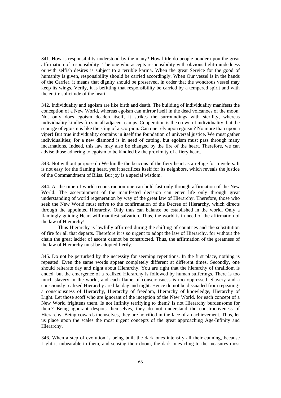341. How is responsibility understood by the many? How little do people ponder upon the great affirmation of responsibility! The one who accepts responsibility with obvious light-mindedness or with selfish desires is subject to a terrible karma. When the great Service for the good of humanity is given, responsibility should be carried accordingly. When Our vessel is in the hands of the Carrier, it means that dignity should be preserved, in order that the wondrous vessel may keep its wings. Verily, it is befitting that responsibility be carried by a tempered spirit and with the entire solicitude of the heart.

342. Individuality and egoism are like birth and death. The building of individuality manifests the conception of a New World, whereas egoism can mirror itself in the dead volcanoes of the moon. Not only does egoism deaden itself, it strikes the surroundings with sterility, whereas individuality kindles fires in all adjacent camps. Cooperation is the crown of individuality, but the scourge of egoism is like the sting of a scorpion. Can one rely upon egoism? No more than upon a viper! But true individuality contains in itself the foundation of universal justice. We must gather individualities; for a new diamond is in need of cutting, but egoism must pass through many incarnations. Indeed, this law may also be changed by the fire of the heart. Therefore, we can advise those adhering to egoism to be kindled by the proximity of a fiery heart.

343. Not without purpose do We kindle the beacons of the fiery heart as a refuge for travelers. It is not easy for the flaming heart, yet it sacrifices itself for its neighbors, which reveals the justice of the Commandment of Bliss. But joy is a special wisdom.

344. At the time of world reconstruction one can hold fast only through affirmation of the New World. The ascertainment of the manifested decision can enter life only through great understanding of world regeneration by way of the great law of Hierarchy. Therefore, those who seek the New World must strive to the confirmation of the Decree of Hierarchy, which directs through the appointed Hierarchy. Only thus can balance be established in the world. Only a flamingly guiding Heart will manifest salvation. Thus, the world is in need of the affirmation of the law of Hierarchy!

 Thus Hierarchy is lawfully affirmed during the shifting of countries and the substitution of fire for all that departs. Therefore it is so urgent to adopt the law of Hierarchy, for without the chain the great ladder of ascent cannot be constructed. Thus, the affirmation of the greatness of the law of Hierarchy must be adopted fierily.

345. Do not be perturbed by the necessity for seeming repetitions. In the first place, nothing is repeated. Even the same words appear completely different at different times. Secondly, one should reiterate day and night about Hierarchy. You are right that the hierarchy of thralldom is ended, but the emergence of a realized Hierarchy is followed by human sufferings. There is too much slavery in the world, and each flame of consciousness is too oppressed. Slavery and a consciously realized Hierarchy are like day and night. Hence do not be dissuaded from repeatinga consciousness of Hierarchy, Hierarchy of freedom, Hierarchy of knowledge, Hierarchy of Light. Let those scoff who are ignorant of the inception of the New World, for each concept of a New World frightens them. Is not Infinity terrifying to them? Is not Hierarchy burdensome for them? Being ignorant despots themselves, they do not understand the constructiveness of Hierarchy. Being cowards themselves, they are horrified in the face of an achievement. Thus, let us place upon the scales the most urgent concepts of the great approaching Age-Infinity and Hierarchy.

346. When a step of evolution is being built the dark ones intensify all their cunning, because Light is unbearable to them, and sensing their doom, the dark ones cling to the measures most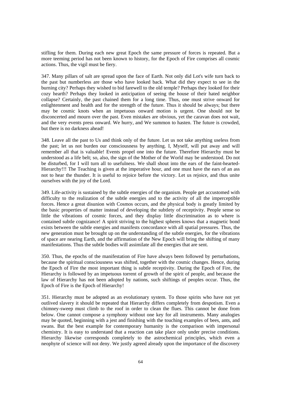stifling for them. During each new great Epoch the same pressure of forces is repeated. But a more teeming period has not been known to history, for the Epoch of Fire comprises all cosmic actions. Thus, the vigil must be fiery.

347. Many pillars of salt are spread upon the face of Earth. Not only did Lot's wife turn back to the past but numberless are those who have looked back. What did they expect to see in the burning city? Perhaps they wished to bid farewell to the old temple? Perhaps they looked for their cozy hearth? Perhaps they looked in anticipation of seeing the house of their hated neighbor collapse? Certainly, the past chained them for a long time. Thus, one must strive onward for enlightenment and health and for the strength of the future. Thus it should be always; but there may be cosmic knots when an impetuous onward motion is urgent. One should not be disconcerted and mourn over the past. Even mistakes are obvious, yet the caravan does not wait, and the very events press onward. We hurry, and We summon to hasten. The future is crowded, but there is no darkness ahead!

348. Leave all the past to Us and think only of the future. Let us not take anything useless from the past; let us not burden our consciousness by anything. I, Myself, will put away and will remember all that is valuable! Events propel one into the future. Therefore Hierarchy must be understood as a life belt; so, also, the sign of the Mother of the World may be understood. Do not be disturbed, for I will turn all to usefulness. We shall shout into the ears of the faint-hearted-Hierarchy!!! The Teaching is given at the imperative hour, and one must have the ears of an ass not to hear the thunder. It is useful to rejoice before the victory. Let us rejoice, and thus unite ourselves with the joy of the Lord.

349. Life-activity is sustained by the subtle energies of the organism. People get accustomed with difficulty to the realization of the subtle energies and to the activity of all the imperceptible forces. Hence a great disunion with Cosmos occurs, and the physical body is greatly limited by the basic properties of matter instead of developing the subtlety of receptivity. People sense so little the vibrations of cosmic forces, and they display little discrimination as to where is contained subtle cognizance! A spirit striving to the highest spheres knows that a magnetic bond exists between the subtle energies and manifests concordance with all spatial pressures. Thus, the new generation must be brought up on the understanding of the subtle energies, for the vibrations of space are nearing Earth, and the affirmation of the New Epoch will bring the shifting of many manifestations. Thus the subtle bodies will assimilate all the energies that are sent.

350. Thus, the epochs of the manifestation of Fire have always been followed by perturbations, because the spiritual consciousness was shifted, together with the cosmic changes. Hence, during the Epoch of Fire the most important thing is subtle receptivity. During the Epoch of Fire, the Hierarchy is followed by an impetuous torrent of growth of the spirit of people, and because the law of Hierarchy has not been adopted by nations, such shiftings of peoples occur. Thus, the Epoch of Fire is the Epoch of Hierarchy!

351. Hierarchy must be adopted as an evolutionary system. To those spirits who have not yet outlived slavery it should be repeated that Hierarchy differs completely from despotism. Even a chimney-sweep must climb to the roof in order to clean the flues. This cannot be done from below. One cannot compose a symphony without one key for all instruments. Many analogies may be quoted, beginning with a jest and finishing with the touching examples of bees, ants, and swans. But the best example for contemporary humanity is the comparison with impersonal chemistry. It is easy to understand that a reaction can take place only under precise conditions. Hierarchy likewise corresponds completely to the astrochemical principles, which even a neophyte of science will not deny. We justly agreed already upon the importance of the discovery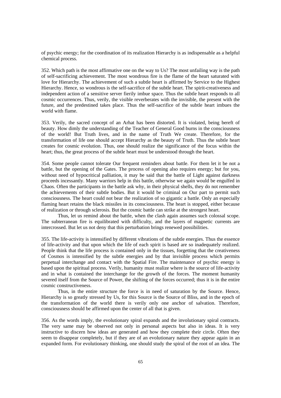of psychic energy; for the coordination of its realization Hierarchy is as indispensable as a helpful chemical process.

352. Which path is the most affirmative one on the way to Us? The most unfailing way is the path of self-sacrificing achievement. The most wondrous fire is the flame of the heart saturated with love for Hierarchy. The achievement of such a subtle heart is affirmed by Service to the Highest Hierarchy. Hence, so wondrous is the self-sacrifice of the subtle heart. The spirit-creativeness and independent action of a sensitive server fierily imbue space. Thus the subtle heart responds to all cosmic occurrences. Thus, verily, the visible reverberates with the invisible, the present with the future, and the predestined takes place. Thus the self-sacrifice of the subtle heart imbues the world with flame.

353. Verily, the sacred concept of an Arhat has been distorted. It is violated, being bereft of beauty. How dimly the understanding of the Teacher of General Good burns in the consciousness of the world! But Truth lives, and in the name of Truth We create. Therefore, for the transformation of life one should accept Hierarchy as the beauty of Truth. Thus the subtle heart creates for cosmic evolution. Thus, one should realize the significance of the focus within the heart; thus, the great process of the subtle heart must be understood through the heart.

354. Some people cannot tolerate Our frequent reminders about battle. For them let it be not a battle, but the opening of the Gates. The process of opening also requires energy; but for you, without need of hypocritical palliation, it may be said that the battle of Light against darkness proceeds incessantly. Many warriors help in this battle, otherwise we again would be engulfed in Chaos. Often the participants in the battle ask why, in their physical shells, they do not remember the achievements of their subtle bodies. But it would be criminal on Our part to permit such consciousness. The heart could not bear the realization of so gigantic a battle. Only an especially flaming heart retains the black missiles in its consciousness. The heart is stopped, either because of realization or through sclerosis. But the cosmic battle can strike at the strongest heart.

 Thus, let us remind about the battle, when the clash again assumes such colossal scope. The subterranean fire is equilibrated with difficulty, and the layers of magnetic currents are intercrossed. But let us not deny that this perturbation brings renewed possibilities.

355. The life-activity is intensified by different vibrations of the subtle energies. Thus the essence of life-activity and that upon which the life of each spirit is based are so inadequately realized. People think that the life process is contained only in the tissues, forgetting that the creativeness of Cosmos is intensified by the subtle energies and by that invisible process which permits perpetual interchange and contact with the Spatial Fire. The maintenance of psychic energy is based upon the spiritual process. Verily, humanity must realize where is the source of life-activity and in what is contained the interchange for the growth of the forces. The moment humanity severed itself from the Source of Power, the shifting of the forces occurred; thus it is in the entire cosmic constructiveness.

 Thus, in the entire structure the force is in need of saturation by the Source. Hence, Hierarchy is so greatly stressed by Us, for this Source is the Source of Bliss, and in the epoch of the transformation of the world there is verily only one anchor of salvation. Therefore, consciousness should be affirmed upon the center of all that is given.

356. As the words imply, the evolutionary spiral expands and the involutionary spiral contracts. The very same may be observed not only in personal aspects but also in ideas. It is very instructive to discern how ideas are generated and how they complete their circle. Often they seem to disappear completely, but if they are of an evolutionary nature they appear again in an expanded form. For evolutionary thinking, one should study the spiral of the root of an idea. The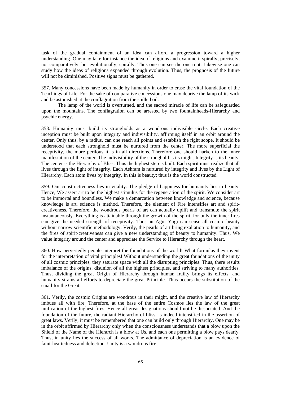task of the gradual containment of an idea can afford a progression toward a higher understanding. One may take for instance the idea of religions and examine it spirally; precisely, not comparatively, but evolutionally, spirally. Thus one can see the one root. Likewise one can study how the ideas of religions expanded through evolution. Thus, the prognosis of the future will not be diminished. Positive signs must be gathered.

357. Many concessions have been made by humanity in order to erase the vital foundation of the Teachings of Life. For the sake of comparative concessions one may deprive the lamp of its wick and be astonished at the conflagration from the spilled oil.

 The lamp of the world is overturned, and the sacred miracle of life can be safeguarded upon the mountains. The conflagration can be arrested by two fountainheads-Hierarchy and psychic energy.

358. Humanity must build its strongholds as a wondrous indivisible circle. Each creative inception must be built upon integrity and indivisibility, affirming itself in an orbit around the center. Only thus, by a radius, can one reach all points and establish the right scope. It should be understood that each stronghold must be nurtured from the center. The more superficial the receptivity, the more perilous it is in all directions. Therefore one should harken to the inner manifestation of the center. The indivisibility of the stronghold is its might. Integrity is its beauty. The center is the Hierarchy of Bliss. Thus the highest step is built. Each spirit must realize that all lives through the light of integrity. Each Ashram is nurtured by integrity and lives by the Light of Hierarchy. Each atom lives by integrity. In this is beauty; thus is the world constructed.

359. Our constructiveness lies in vitality. The pledge of happiness for humanity lies in beauty. Hence, We assert art to be the highest stimulus for the regeneration of the spirit. We consider art to be immortal and boundless. We make a demarcation between knowledge and science, because knowledge is art, science is method. Therefore, the element of Fire intensifies art and spiritcreativeness. Therefore, the wondrous pearls of art can actually uplift and transmute the spirit instantaneously. Everything is attainable through the growth of the spirit, for only the inner fires can give the needed strength of receptivity. Thus an Agni Yogi can sense all cosmic beauty without narrow scientific methodology. Verily, the pearls of art bring exaltation to humanity, and the fires of spirit-creativeness can give a new understanding of beauty to humanity. Thus, We value integrity around the center and appreciate the Service to Hierarchy through the heart.

360. How pervertedly people interpret the foundations of the world! What formulas they invent for the interpretation of vital principles! Without understanding the great foundations of the unity of all cosmic principles, they saturate space with all the disrupting principles. Thus, there results imbalance of the origins, disunion of all the highest principles, and striving to many authorities. Thus, dividing the great Origin of Hierarchy through human frailty brings its effects, and humanity strains all efforts to depreciate the great Principle. Thus occurs the substitution of the small for the Great.

361. Verily, the cosmic Origins are wondrous in their might, and the creative law of Hierarchy imbues all with fire. Therefore, at the base of the entire Cosmos lies the law of the great unification of the highest fires. Hence all great designations should not be dissociated. And the foundation of the future, the radiant Hierarchy of bliss, is indeed intensified in the assertion of great laws. Verily, it must be remembered that one can build only through Hierarchy. One may be in the orbit affirmed by Hierarchy only when the consciousness understands that a blow upon the Shield of the Name of the Hierarch is a blow at Us, and each one permitting a blow pays dearly. Thus, in unity lies the success of all works. The admittance of depreciation is an evidence of faint-heartedness and defection. Unity is a wondrous fire!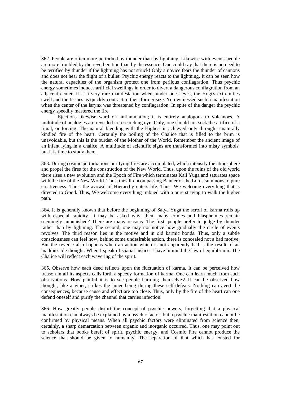362. People are often more perturbed by thunder than by lightning. Likewise with events-people are more troubled by the reverberation than by the essence. One could say that there is no need to be terrified by thunder if the lightning has not struck! Only a novice fears the thunder of cannons and does not hear the flight of a bullet. Psychic energy reacts to the lightning. It can be seen how the natural capacities of the organism protect one from perilous conflagration. Thus psychic energy sometimes induces artificial swellings in order to divert a dangerous conflagration from an adjacent center. It is a very rare manifestation when, under one's eyes, the Yogi's extremities swell and the tissues as quickly contract to their former size. You witnessed such a manifestation when the center of the larynx was threatened by conflagration. In spite of the danger the psychic energy speedily mastered the fire.

 Ejections likewise ward off inflammation; it is entirely analogous to volcanoes. A multitude of analogies are revealed to a searching eye. Only, one should not seek the artifice of a ritual, or forcing. The natural blending with the Highest is achieved only through a naturally kindled fire of the heart. Certainly the boiling of the Chalice that is filled to the brim is unavoidable, but this is the burden of the Mother of the World. Remember the ancient image of an infant lying in a chalice. A multitude of scientific signs are transformed into misty symbols, but it is time to study them.

363. During cosmic perturbations purifying fires are accumulated, which intensify the atmosphere and propel the fires for the construction of the New World. Thus, upon the ruins of the old world there rises a new evolution and the Epoch of Fire which terminates Kali Yuga and saturates space with the fire of the New World. Thus, the all-encompassing Banner of the Lords summons to pure creativeness. Thus, the avowal of Hierarchy enters life. Thus, We welcome everything that is directed to Good. Thus, We welcome everything imbued with a pure striving to walk the higher path.

364. It is generally known that before the beginning of Satya Yuga the scroll of karma rolls up with especial rapidity. It may be asked why, then, many crimes and blasphemies remain seemingly unpunished? There are many reasons. The first, people prefer to judge by thunder rather than by lightning. The second, one may not notice how gradually the circle of events revolves. The third reason lies in the motive and in old karmic bonds. Thus, only a subtle consciousness can feel how, behind some undesirable action, there is concealed not a bad motive. But the reverse also happens when an action which is not apparently bad is the result of an inadmissible thought. When I speak of spatial justice, I have in mind the law of equilibrium. The Chalice will reflect each wavering of the spirit.

365. Observe how each deed reflects upon the fluctuation of karma. It can be perceived how treason in all its aspects calls forth a speedy formation of karma. One can learn much from such observations. How painful it is to see people harming themselves! It can be observed how thought, like a viper, strikes the inner being during these self-defeats. Nothing can avert the consequences, because cause and effect are too close. Thus, only by the fire of the heart can one defend oneself and purify the channel that carries infection.

366. How greatly people distort the concept of psychic powers, forgetting that a physical manifestation can always be explained by a psychic factor, but a psychic manifestation cannot be confirmed by physical means. When all psychic factors were eliminated from science then, certainly, a sharp demarcation between organic and inorganic occurred. Thus, one may point out to scholars that books bereft of spirit, psychic energy, and Cosmic Fire cannot produce the science that should be given to humanity. The separation of that which has existed for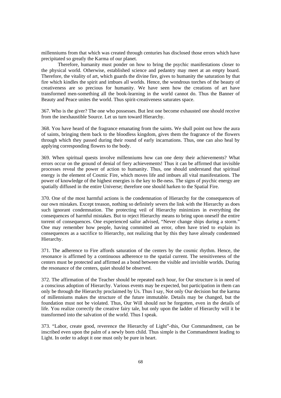millenniums from that which was created through centuries has disclosed those errors which have precipitated so greatly the Karma of our planet.

 Therefore, humanity must ponder on how to bring the psychic manifestations closer to the physical world. Otherwise, established science and pedantry may meet at an empty board. Therefore, the vitality of art, which guards the divine fire, gives to humanity the saturation by that fire which kindles the spirit and imbues all worlds. Hence, the wondrous torches of the beauty of creativeness are so precious for humanity. We have seen how the creations of art have transformed men-something all the book-learning in the world cannot do. Thus the Banner of Beauty and Peace unites the world. Thus spirit-creativeness saturates space.

367. Who is the giver? The one who possesses. But lest one become exhausted one should receive from the inexhaustible Source. Let us turn toward Hierarchy.

368. You have heard of the fragrance emanating from the saints. We shall point out how the aura of saints, bringing them back to the bloodless kingdom, gives them the fragrance of the flowers through which they passed during their round of early incarnations. Thus, one can also heal by applying corresponding flowers to the body.

369. When spiritual quests involve millenniums how can one deny their achievements? What errors occur on the ground of denial of fiery achievements! Thus it can be affirmed that invisible processes reveal the power of action to humanity. Thus, one should understand that spiritual energy is the element of Cosmic Fire, which moves life and imbues all vital manifestations. The power of knowledge of the highest energies is the key to Be-ness. The signs of psychic energy are spatially diffused in the entire Universe; therefore one should harken to the Spatial Fire.

370. One of the most harmful actions is the condemnation of Hierarchy for the consequences of our own mistakes. Except treason, nothing so definitely severs the link with the Hierarchy as does such ignorant condemnation. The protecting veil of Hierarchy minimizes in everything the consequences of harmful mistakes. But to reject Hierarchy means to bring upon oneself the entire torrent of consequences. One experienced sailor advised, "Never change ships during a storm." One may remember how people, having committed an error, often have tried to explain its consequences as a sacrifice to Hierarchy, not realizing that by this they have already condemned Hierarchy.

371. The adherence to Fire affords saturation of the centers by the cosmic rhythm. Hence, the resonance is affirmed by a continuous adherence to the spatial current. The sensitiveness of the centers must be protected and affirmed as a bond between the visible and invisible worlds. During the resonance of the centers, quiet should be observed.

372. The affirmation of the Teacher should be repeated each hour, for Our structure is in need of a conscious adoption of Hierarchy. Various events may be expected, but participation in them can only be through the Hierarchy proclaimed by Us. Thus I say, Not only Our decision but the karma of millenniums makes the structure of the future immutable. Details may be changed, but the foundation must not be violated. Thus, Our Will should not be forgotten, even in the details of life. You realize correctly the creative fairy tale, but only upon the ladder of Hierarchy will it be transformed into the salvation of the world. Thus I speak.

373. "Labor, create good, reverence the Hierarchy of Light"-this, Our Commandment, can be inscribed even upon the palm of a newly born child. Thus simple is the Commandment leading to Light. In order to adopt it one must only be pure in heart.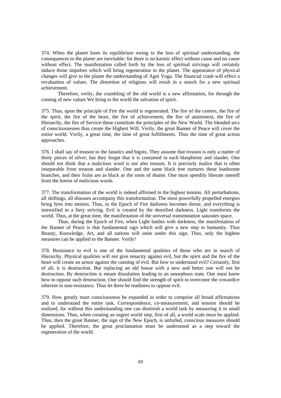374. When the planet loses its equilibrium owing to the loss of spiritual understanding, the consequences to the planet are inevitable; for there is no karmic effect without cause and no cause without effect. The manifestation called forth by the loss of spiritual strivings will certainly induce those impulses which will bring regeneration to the planet. The appearance of physical changes will give to the planet the understanding of Agni Yoga. The financial crash will effect a revaluation of values. The distortion of religions will result in a search for a new spiritual achievement.

 Therefore, verily, the crumbling of the old world is a new affirmation, for through the coming of new values We bring to the world the salvation of spirit.

375. Thus, upon the principle of Fire the world is regenerated. The fire of the centers, the fire of the spirit, the fire of the heart, the fire of achievement, the fire of attainment, the fire of Hierarchy, the fire of Service-these constitute the principles of the New World. The blended arcs of consciousnesses thus create the Highest Will. Verily, the great Banner of Peace will cover the entire world. Verily, a great time, the time of great fulfillments. Thus the time of great action approaches.

376. I shall say of treason to the fanatics and bigots, They assume that treason is only a matter of thirty pieces of silver, but they forget that it is contained in each blasphemy and slander. One should not think that a malicious word is not also treason. It is precisely malice that is often inseparable from treason and slander. One and the same black tree nurtures these loathsome branches, and their fruits are as black as the roots of shame. One must speedily liberate oneself from the horror of malicious words.

377. The transformation of the world is indeed affirmed in the highest tension. All perturbations, all shiftings, all diseases accompany this transformation. The most powerfully propelled energies bring fires into motion. Thus, in the Epoch of Fire darkness becomes dense, and everything is intensified in a fiery striving. Evil is created by the densified darkness. Light transforms the world. Thus, at the great time, the manifestation of the universal transmutation saturates space.

 Thus, during the Epoch of Fire, when Light battles with darkness, the manifestation of the Banner of Peace is that fundamental sign which will give a new step to humanity. Thus Beauty, Knowledge, Art, and all nations will unite under this sign. Thus, only the highest measures can be applied to the Banner. Verily!

378. Resistance to evil is one of the fundamental qualities of those who are in search of Hierarchy. Physical qualities will not give tenacity against evil, but the spirit and the fire of the heart will create an armor against the cunning of evil. But how to understand evil? Certainly, first of all, it is destruction. But replacing an old house with a new and better one will not be destruction. By destruction is meant dissolution leading to an amorphous state. One must know how to oppose such destruction. One should find the strength of spirit to overcome the cowardice inherent in non-resistance. Thus let there be readiness to oppose evil.

379. How greatly must consciousness be expanded in order to comprise all broad affirmations and to understand the entire task. Correspondence, co-measurement, and tension should be realized, for without this understanding one can diminish a world task by measuring it in small dimensions. Thus, when creating an urgent world step, first of all, a world scale must be applied. Thus, then the great Banner, the sign of the New Epoch, is unfurled, conscious measures should be applied. Therefore, the great proclamation must be understood as a step toward the regeneration of the world.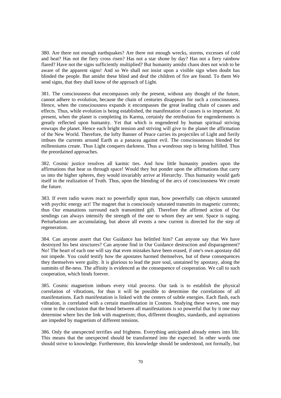380. Are there not enough earthquakes? Are there not enough wrecks, storms, excesses of cold and heat? Has not the fiery cross risen? Has not a star shone by day? Has not a fiery rainbow flared? Have not the signs sufficiently multiplied? But humanity amidst chaos does not wish to be aware of the apparent signs! And so We shall not insist upon a visible sign when doubt has blinded the people. But amidst these blind and deaf the children of fire are found. To them We send signs, that they shall know of the approach of Light.

381. The consciousness that encompasses only the present, without any thought of the future, cannot adhere to evolution, because the chain of centuries disappears for such a consciousness. Hence, when the consciousness expands it encompasses the great leading chain of causes and effects. Thus, while evolution is being established, the manifestation of causes is so important. At present, when the planet is completing its Karma, certainly the retribution for engenderments is greatly reflected upon humanity. Yet that which is engendered by human spiritual striving enwraps the planet. Hence each bright tension and striving will give to the planet the affirmation of the New World. Therefore, the lofty Banner of Peace carries its projectiles of Light and fierily imbues the currents around Earth as a panacea against evil. The consciousnesses blended for millenniums create. Thus Light conquers darkness. Thus a wondrous step is being fulfilled. Thus the preordained approaches.

382. Cosmic justice resolves all karmic ties. And how little humanity ponders upon the affirmations that bear us through space! Would they but ponder upon the affirmations that carry us into the higher spheres, they would invariably arrive at Hierarchy. Thus humanity would garb itself in the realization of Truth. Thus, upon the blending of the arcs of consciousness We create the future.

383. If even radio waves react so powerfully upon man, how powerfully can objects saturated with psychic energy act! The magnet that is consciously saturated transmits its magnetic currents; thus Our emanations surround each transmitted gift. Therefore the affirmed action of Our sendings can always intensify the strength of the one to whom they are sent. Space is raging. Perturbations are accumulating, but above all events a new current is directed for the step of regeneration.

384. Can anyone assert that Our Guidance has belittled him? Can anyone say that We have destroyed his best structures? Can anyone find in Our Guidance destruction and disparagement? No! The heart of each one will say that even mistakes have been erased, if one's own apostasy did not impede. You could testify how the apostates harmed themselves, but of these consequences they themselves were guilty. It is glorious to lead the pure soul, unstained by apostasy, along the summits of Be-ness. The affinity is evidenced as the consequence of cooperation. We call to such cooperation, which binds forever.

385. Cosmic magnetism imbues every vital process. Our task is to establish the physical correlation of vibrations, for thus it will be possible to determine the correlations of all manifestations. Each manifestation is linked with the centers of subtle energies. Each flash, each vibration, is correlated with a certain manifestation in Cosmos. Studying these waves, one may come to the conclusion that the bond between all manifestations is so powerful that by it one may determine where lies the link with magnetism; thus, different thoughts, standards, and aspirations are impeded by magnetism of different tensions.

386. Only the unexpected terrifies and frightens. Everything anticipated already enters into life. This means that the unexpected should be transformed into the expected. In other words one should strive to knowledge. Furthermore, this knowledge should be understood, not formally, but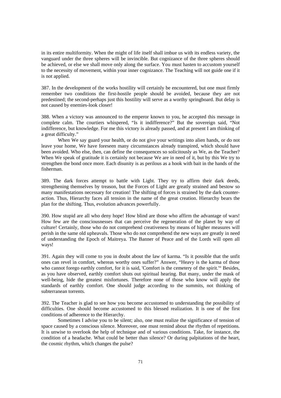in its entire multiformity. When the might of life itself shall imbue us with its endless variety, the vanguard under the three spheres will be invincible. But cognizance of the three spheres should be achieved, or else we shall move only along the surface. You must hasten to accustom yourself to the necessity of movement, within your inner cognizance. The Teaching will not guide one if it is not applied.

387. In the development of the works hostility will certainly be encountered, but one must firmly remember two conditions the first-hostile people should be avoided, because they are not predestined; the second-perhaps just this hostility will serve as a worthy springboard. But delay is not caused by enemies-look closer!

388. When a victory was announced to the emperor known to you, he accepted this message in complete calm. The courtiers whispered, "Is it indifference?" But the sovereign said, "Not indifference, but knowledge. For me this victory is already passed, and at present I am thinking of a great difficulty."

 When We say guard your health, or do not give your writings into alien hands, or do not leave your home, We have foreseen many circumstances already transpired, which should have been avoided. Who else, then, can define the consequences so solicitously as We, as the Teacher? When We speak of gratitude it is certainly not because We are in need of it, but by this We try to strengthen the bond once more. Each disunity is as perilous as a hook with bait in the hands of the fisherman.

389. The dark forces attempt to battle with Light. They try to affirm their dark deeds, strengthening themselves by treason, but the Forces of Light are greatly strained and bestow so many manifestations necessary for creation! The shifting of forces is strained by the dark counteraction. Thus, Hierarchy faces all tension in the name of the great creation. Hierarchy bears the plan for the shifting. Thus, evolution advances powerfully.

390. How stupid are all who deny hope! How blind are those who affirm the advantage of wars! How few are the consciousnesses that can perceive the regeneration of the planet by way of culture! Certainly, those who do not comprehend creativeness by means of higher measures will perish in the same old upheavals. Those who do not comprehend the new ways are greatly in need of understanding the Epoch of Maitreya. The Banner of Peace and of the Lords will open all ways!

391. Again they will come to you in doubt about the law of karma. "Is it possible that the unfit ones can revel in comfort, whereas worthy ones suffer?" Answer, "Heavy is the karma of those who cannot forego earthly comfort, for it is said, 'Comfort is the cemetery of the spirit.'" Besides, as you have observed, earthly comfort shuts out spiritual hearing. But many, under the mask of well-being, hide the greatest misfortunes. Therefore none of those who know will apply the standards of earthly comfort. One should judge according to the summits, not thinking of subterranean torrents.

392. The Teacher is glad to see how you become accustomed to understanding the possibility of difficulties. One should become accustomed to this blessed realization. It is one of the first conditions of adherence to the Hierarchy.

 Sometimes I advise you to be silent; also, one must realize the significance of tension of space caused by a conscious silence. Moreover, one must remind about the rhythm of repetitions. It is unwise to overlook the help of technique and of various conditions. Take, for instance, the condition of a headache. What could be better than silence? Or during palpitations of the heart, the cosmic rhythm, which changes the pulse?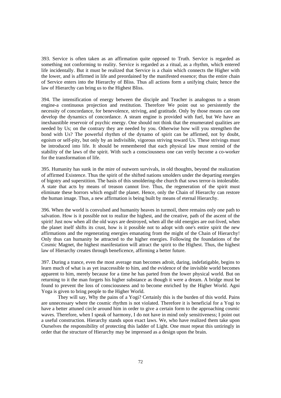393. Service is often taken as an affirmation quite opposed to Truth. Service is regarded as something not conforming to reality. Service is regarded as a ritual, as a rhythm, which entered life incidentally. But it must be realized that Service is a chain which connects the Higher with the lower, and is affirmed in life and preordained by the manifested essence; thus the entire chain of Service enters into the Hierarchy of Bliss. Thus all actions form a unifying chain; hence the law of Hierarchy can bring us to the Highest Bliss.

394. The intensification of energy between the disciple and Teacher is analogous to a steam engine-a continuous projection and restitution. Therefore We point out so persistently the necessity of concordance, for benevolence, striving, and gratitude. Only by those means can one develop the dynamics of concordance. A steam engine is provided with fuel, but We have an inexhaustible reservoir of psychic energy. One should not think that the enumerated qualities are needed by Us; on the contrary they are needed by you. Otherwise how will you strengthen the bond with Us? The powerful rhythm of the dynamo of spirit can be affirmed, not by doubt, egoism or self-pity, but only by an indivisible, vigorous striving toward Us. These strivings must be introduced into life. It should be remembered that each physical law must remind of the stability of the laws of the spirit. With such a consciousness one can verily become a co-worker for the transformation of life.

395. Humanity has sunk in the mire of outworn survivals, in old thoughts, beyond the realization of affirmed Existence. Thus the spirit of the shifted nations smolders under the departing energies of bigotry and superstition. The basis of this smoldering-the church that sows terror-is intolerable. A state that acts by means of treason cannot live. Thus, the regeneration of the spirit must eliminate these horrors which engulf the planet. Hence, only the Chain of Hierarchy can restore the human image. Thus, a new affirmation is being built by means of eternal Hierarchy.

396. When the world is convulsed and humanity heaves in turmoil, there remains only one path to salvation. How is it possible not to realize the highest, and the creative, path of the ascent of the spirit! Just now when all the old ways are destroyed, when all the old energies are out-lived, when the planet itself shifts its crust, how is it possible not to adopt with one's entire spirit the new affirmations and the regenerating energies emanating from the might of the Chain of Hierarchy! Only thus can humanity be attracted to the higher energies. Following the foundations of the Cosmic Magnet, the highest manifestation will attract the spirit to the Highest. Thus, the highest law of Hierarchy creates through beneficence, affirming a better future.

397. During a trance, even the most average man becomes adroit, daring, indefatigable, begins to learn much of what is as yet inaccessible to him, and the evidence of the invisible world becomes apparent to him, merely because for a time he has parted from the lower physical world. But on returning to it the man forgets his higher substance as though it were a dream. A bridge must be found to prevent the loss of consciousness and to become enriched by the Higher World. Agni Yoga is given to bring people to the Higher World.

 They will say, Why the pains of a Yogi? Certainly this is the burden of this world. Pains are unnecessary where the cosmic rhythm is not violated. Therefore it is beneficial for a Yogi to have a better attuned circle around him in order to give a certain form to the approaching cosmic waves. Therefore, when I speak of harmony, I do not have in mind only sensitiveness; I point out a useful construction. Hierarchy stands upon exact laws. We, who have realized them take upon Ourselves the responsibility of protecting this ladder of Light. One must repeat this untiringly in order that the structure of Hierarchy may be impressed as a design upon the brain.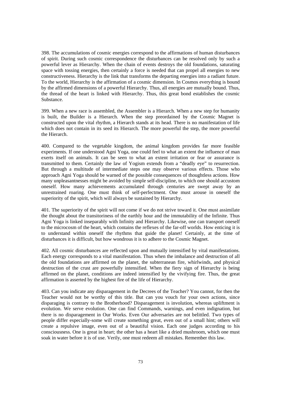398. The accumulations of cosmic energies correspond to the affirmations of human disturbances of spirit. During such cosmic correspondence the disturbances can be resolved only by such a powerful lever as Hierarchy. When the chain of events destroys the old foundations, saturating space with tossing energies, then certainly a force is needed that can propel all energies to new constructiveness. Hierarchy is the link that transforms the departing energies into a radiant future. To the world, Hierarchy is the affirmation of a cosmic dimension. In Cosmos everything is bound by the affirmed dimensions of a powerful Hierarchy. Thus, all energies are mutually bound. Thus, the thread of the heart is linked with Hierarchy. Thus, this great bond establishes the cosmic Substance.

399. When a new race is assembled, the Assembler is a Hierarch. When a new step for humanity is built, the Builder is a Hierarch. When the step preordained by the Cosmic Magnet is constructed upon the vital rhythm, a Hierarch stands at its head. There is no manifestation of life which does not contain in its seed its Hierarch. The more powerful the step, the more powerful the Hierarch.

400. Compared to the vegetable kingdom, the animal kingdom provides far more feasible experiments. If one understood Agni Yoga, one could feel to what an extent the influence of man exerts itself on animals. It can be seen to what an extent irritation or fear or assurance is transmitted to them. Certainly the law of Yogism extends from a "deadly eye" to resurrection. But through a multitude of intermediate steps one may observe various effects. Those who approach Agni Yoga should be warned of the possible consequences of thoughtless actions. How many unpleasantnesses might be avoided by simple self-discipline, to which one should accustom oneself. How many achievements accumulated through centuries are swept away by an unrestrained roaring. One must think of self-perfectment. One must arouse in oneself the superiority of the spirit, which will always be sustained by Hierarchy.

401. The superiority of the spirit will not come if we do not strive toward it. One must assimilate the thought about the transitoriness of the earthly hour and the immutability of the Infinite. Thus Agni Yoga is linked inseparably with Infinity and Hierarchy. Likewise, one can transport oneself to the microcosm of the heart, which contains the reflexes of the far-off worlds. How enticing it is to understand within oneself the rhythms that guide the planet! Certainly, at the time of disturbances it is difficult, but how wondrous it is to adhere to the Cosmic Magnet.

402. All cosmic disturbances are reflected upon and mutually intensified by vital manifestations. Each energy corresponds to a vital manifestation. Thus when the imbalance and destruction of all the old foundations are affirmed on the planet, the subterranean fire, whirlwinds, and physical destruction of the crust are powerfully intensified. When the fiery sign of Hierarchy is being affirmed on the planet, conditions are indeed intensified by the vivifying fire. Thus, the great affirmation is asserted by the highest fire of the life of Hierarchy.

403. Can you indicate any disparagement in the Decrees of the Teacher? You cannot, for then the Teacher would not be worthy of this title. But can you vouch for your own actions, since disparaging is contrary to the Brotherhood? Disparagement is involution, whereas upliftment is evolution. We serve evolution. One can find Commands, warnings, and even indignation, but there is no disparagement in Our Works. Even Our adversaries are not belittled. Two types of people differ especially-some will create something great, even out of a small hint; others will create a repulsive image, even out of a beautiful vision. Each one judges according to his consciousness. One is great in heart; the other has a heart like a dried mushroom, which one must soak in water before it is of use. Verily, one must redeem all mistakes. Remember this law.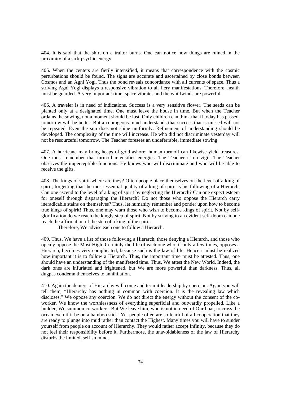404. It is said that the shirt on a traitor burns. One can notice how things are ruined in the proximity of a sick psychic energy.

405. When the centers are fierily intensified, it means that correspondence with the cosmic perturbations should be found. The signs are accurate and ascertained by close bonds between Cosmos and an Agni Yogi. Thus the bond reveals concordance with all currents of space. Thus a striving Agni Yogi displays a responsive vibration to all fiery manifestations. Therefore, health must be guarded. A very important time; space vibrates and the whirlwinds are powerful.

406. A traveler is in need of indications. Success is a very sensitive flower. The seeds can be planted only at a designated time. One must leave the house in time. But when the Teacher ordains the sowing, not a moment should be lost. Only children can think that if today has passed, tomorrow will be better. But a courageous mind understands that success that is missed will not be repeated. Even the sun does not shine uniformly. Refinement of understanding should be developed. The complexity of the time will increase. He who did not discriminate yesterday will not be resourceful tomorrow. The Teacher foresees an undeferrable, immediate sowing.

407. A hurricane may bring heaps of gold ashore; human turmoil can likewise yield treasures. One must remember that turmoil intensifies energies. The Teacher is on vigil. The Teacher observes the imperceptible functions. He knows who will discriminate and who will be able to receive the gifts.

408. The kings of spirit-where are they? Often people place themselves on the level of a king of spirit, forgetting that the most essential quality of a king of spirit is his following of a Hierarch. Can one ascend to the level of a king of spirit by neglecting the Hierarch? Can one expect esteem for oneself through disparaging the Hierarch? Do not those who oppose the Hierarch carry ineradicable stains on themselves? Thus, let humanity remember and ponder upon how to become true kings of spirit! Thus, one may warn those who wish to become kings of spirit. Not by selfglorification do we reach the kingly step of spirit. Not by striving to an evident self-doom can one reach the affirmation of the step of a king of the spirit.

Therefore, We advise each one to follow a Hierarch.

409. Thus, We have a list of those following a Hierarch, those denying a Hierarch, and those who openly oppose the Most High. Certainly the life of each one who, if only a few times, opposes a Hierarch, becomes very complicated, because such is the law of life. Hence it must be realized how important it is to follow a Hierarch. Thus, the important time must be attested. Thus, one should have an understanding of the manifested time. Thus, We attest the New World. Indeed, the dark ones are infuriated and frightened, but We are more powerful than darkness. Thus, all dugpas condemn themselves to annihilation.

410. Again the deniers of Hierarchy will come and term it leadership by coercion. Again you will tell them, "Hierarchy has nothing in common with coercion. It is the revealing law which discloses." We oppose any coercion. We do not direct the energy without the consent of the coworker. We know the worthlessness of everything superficial and outwardly propelled. Like a builder, We summon co-workers. But We leave him, who is not in need of Our boat, to cross the ocean even if it be on a bamboo stick. Yet people often are so fearful of all cooperation that they are ready to plunge into mud rather than contact the Highest. Many times you will have to sunder yourself from people on account of Hierarchy. They would rather accept Infinity, because they do not feel their responsibility before it. Furthermore, the unavoidableness of the law of Hierarchy disturbs the limited, selfish mind.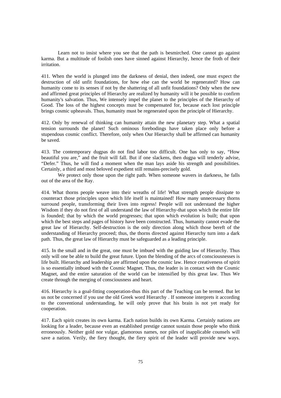Learn not to insist where you see that the path is besmirched. One cannot go against karma. But a multitude of foolish ones have sinned against Hierarchy, hence the froth of their irritation.

411. When the world is plunged into the darkness of denial, then indeed, one must expect the destruction of old unfit foundations, for how else can the world be regenerated? How can humanity come to its senses if not by the shattering of all unfit foundations? Only when the new and affirmed great principles of Hierarchy are realized by humanity will it be possible to confirm humanity's salvation. Thus, We intensely impel the planet to the principles of the Hierarchy of Good. The loss of the highest concepts must be compensated for, because each lost principle brings cosmic upheavals. Thus, humanity must be regenerated upon the principle of Hierarchy.

412. Only by renewal of thinking can humanity attain the new planetary step. What a spatial tension surrounds the planet! Such ominous forebodings have taken place only before a stupendous cosmic conflict. Therefore, only when Our Hierarchy shall be affirmed can humanity be saved.

413. The contemporary dugpas do not find labor too difficult. One has only to say, "How beautiful you are," and the fruit will fall. But if one slackens, then dugpa will tenderly advise, "Defer." Thus, he will find a moment when the man lays aside his strength and possibilities. Certainly, a third and most beloved expedient still remains-precisely gold.

We protect only those upon the right path. When someone wavers in darkness, he falls out of the area of the Ray.

414. What thorns people weave into their wreaths of life! What strength people dissipate to counteract those principles upon which life itself is maintained! How many unnecessary thorns surround people, transforming their lives into regress! People will not understand the higher Wisdom if they do not first of all understand the law of Hierarchy-that upon which the entire life is founded; that by which the world progresses; that upon which evolution is built; that upon which the best steps and pages of history have been constructed. Thus, humanity cannot evade the great law of Hierarchy. Self-destruction is the only direction along which those bereft of the understanding of Hierarchy proceed; thus, the thorns directed against Hierarchy turn into a dark path. Thus, the great law of Hierarchy must be safeguarded as a leading principle.

415. In the small and in the great, one must be imbued with the guiding law of Hierarchy. Thus only will one be able to build the great future. Upon the blending of the arcs of consciousnesses is life built. Hierarchy and leadership are affirmed upon the cosmic law. Hence creativeness of spirit is so essentially imbued with the Cosmic Magnet. Thus, the leader is in contact with the Cosmic Magnet, and the entire saturation of the world can be intensified by this great law. Thus We create through the merging of consciousness and heart.

416. Hierarchy is a goal-fitting cooperation-thus this part of the Teaching can be termed. But let us not be concerned if you use the old Greek word Hierarchy . If someone interprets it according to the conventional understanding, he will only prove that his brain is not yet ready for cooperation.

417. Each spirit creates its own karma. Each nation builds its own Karma. Certainly nations are looking for a leader, because even an established prestige cannot sustain those people who think erroneously. Neither gold nor vulgar, glamorous names, nor piles of inapplicable counsels will save a nation. Verily, the fiery thought, the fiery spirit of the leader will provide new ways.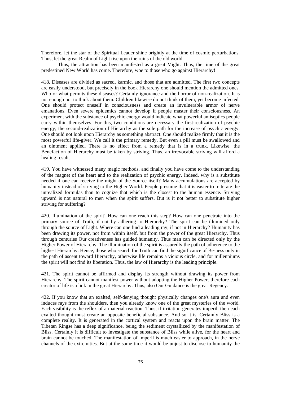Therefore, let the star of the Spiritual Leader shine brightly at the time of cosmic perturbations. Thus, let the great Realm of Light rise upon the ruins of the old world.

 Thus, the attraction has been manifested as a great Might. Thus, the time of the great predestined New World has come. Therefore, woe to those who go against Hierarchy!

418. Diseases are divided as sacred, karmic, and those that are admitted. The first two concepts are easily understood, but precisely in the book Hierarchy one should mention the admitted ones. Who or what permits these diseases? Certainly ignorance and the horror of non-realization. It is not enough not to think about them. Children likewise do not think of them, yet become infected. One should protect oneself in consciousness and create an invulnerable armor of nerve emanations. Even severe epidemics cannot develop if people master their consciousness. An experiment with the substance of psychic energy would indicate what powerful antiseptics people carry within themselves. For this, two conditions are necessary the first-realization of psychic energy; the second-realization of Hierarchy as the sole path for the increase of psychic energy. One should not look upon Hierarchy as something abstract. One should realize firmly that it is the most powerful life-giver. We call it the primary remedy. But even a pill must be swallowed and an ointment applied. There is no effect from a remedy that is in a trunk. Likewise, the Benefaction of Hierarchy must be taken by striving. Thus, an irrevocable striving will afford a healing result.

419. You have witnessed many magic methods, and finally you have come to the understanding of the magnet of the heart and to the realization of psychic energy. Indeed, why is a substitute needed if one can receive the might of the Source itself? Many accumulations are accepted by humanity instead of striving to the Higher World. People presume that it is easier to reiterate the unrealized formulas than to cognize that which is the closest to the human essence. Striving upward is not natural to men when the spirit suffers. But is it not better to substitute higher striving for suffering?

420. Illumination of the spirit! How can one reach this step? How can one penetrate into the primary source of Truth, if not by adhering to Hierarchy? The spirit can be illumined only through the source of Light. Where can one find a leading ray, if not in Hierarchy? Humanity has been drawing its power, not from within itself, but from the power of the great Hierarchy. Thus through centuries Our creativeness has guided humanity. Thus man can be directed only by the Higher Power of Hierarchy. The illumination of the spirit is assuredly the path of adherence to the highest Hierarchy. Hence, those who search for Truth can find the significance of Be-ness only in the path of ascent toward Hierarchy, otherwise life remains a vicious circle, and for millenniums the spirit will not find its liberation. Thus, the law of Hierarchy is the leading principle.

421. The spirit cannot be affirmed and display its strength without drawing its power from Hierarchy. The spirit cannot manifest power without adopting the Higher Power; therefore each creator of life is a link in the great Hierarchy. Thus, also Our Guidance is the great Regency.

422. If you know that an exalted, self-denying thought physically changes one's aura and even induces rays from the shoulders, then you already know one of the great mysteries of the world. Each visibility is the reflex of a material reaction. Thus, if irritation generates imperil, then each exalted thought must create an opposite beneficial substance. And so it is. Certainly Bliss is a complete reality. It is generated in the cortical system and reacts upon the brain matter. The Tibetan Ringse has a deep significance, being the sediment crystallized by the manifestation of Bliss. Certainly it is difficult to investigate the substance of Bliss while alive, for the heart and brain cannot be touched. The manifestation of imperil is much easier to approach, in the nerve channels of the extremities. But at the same time it would be unjust to disclose to humanity the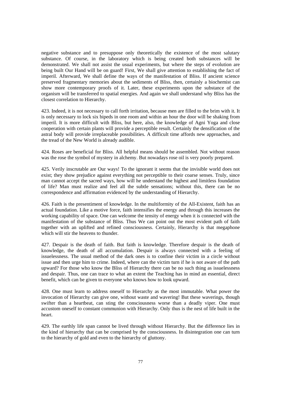negative substance and to presuppose only theoretically the existence of the most salutary substance. Of course, in the laboratory which is being created both substances will be demonstrated. We shall not assist the usual experiments, but where the steps of evolution are being built Our Hand will be on guard! First, We shall give attention to establishing the fact of imperil. Afterward, We shall define the ways of the manifestation of Bliss. If ancient science preserved fragmentary memories about the sediments of Bliss, then, certainly a biochemist can show more contemporary proofs of it. Later, these experiments upon the substance of the organism will be transferred to spatial energies. And again we shall understand why Bliss has the closest correlation to Hierarchy.

423. Indeed, it is not necessary to call forth irritation, because men are filled to the brim with it. It is only necessary to lock six bipeds in one room and within an hour the door will be shaking from imperil. It is more difficult with Bliss, but here, also, the knowledge of Agni Yoga and close cooperation with certain plants will provide a perceptible result. Certainly the densification of the astral body will provide irreplaceable possibilities. A difficult time affords new approaches, and the tread of the New World is already audible.

424. Roses are beneficial for Bliss. All helpful means should be assembled. Not without reason was the rose the symbol of mystery in alchemy. But nowadays rose oil is very poorly prepared.

425. Verily inscrutable are Our ways! To the ignorant it seems that the invisible world does not exist; they show prejudice against everything not perceptible to their coarse senses. Truly, since man cannot accept the sacred ways, how will he understand the highest and limitless foundation of life? Man must realize and feel all the subtle sensations; without this, there can be no correspondence and affirmation evidenced by the understanding of Hierarchy.

426. Faith is the presentiment of knowledge. In the multiformity of the All-Existent, faith has an actual foundation. Like a motive force, faith intensifies the energy and through this increases the working capability of space. One can welcome the tensity of energy when it is connected with the manifestation of the substance of Bliss. Thus We can point out the most evident path of faith together with an uplifted and refined consciousness. Certainly, Hierarchy is that megaphone which will stir the heavens to thunder.

427. Despair is the death of faith. But faith is knowledge. Therefore despair is the death of knowledge, the death of all accumulation. Despair is always connected with a feeling of issuelessness. The usual method of the dark ones is to confine their victim in a circle without issue and then urge him to crime. Indeed, where can the victim turn if he is not aware of the path upward? For those who know the Bliss of Hierarchy there can be no such thing as issuelessness and despair. Thus, one can trace to what an extent the Teaching has in mind an essential, direct benefit, which can be given to everyone who knows how to look upward.

428. One must learn to address oneself to Hierarchy as the most immutable. What power the invocation of Hierarchy can give one, without waste and wavering! But these waverings, though swifter than a heartbeat, can sting the consciousness worse than a deadly viper. One must accustom oneself to constant communion with Hierarchy. Only thus is the nest of life built in the heart.

429. The earthly life span cannot be lived through without Hierarchy. But the difference lies in the kind of hierarchy that can be comprised by the consciousness. In disintegration one can turn to the hierarchy of gold and even to the hierarchy of gluttony.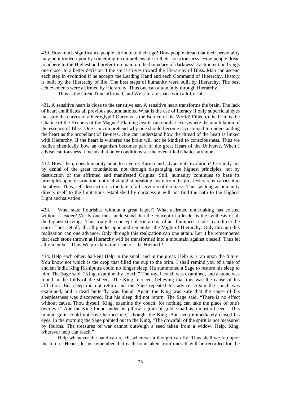430. How much significance people attribute to their ego! How people dread that their personality may be intruded upon by something incomprehensible to their consciousness! How people dread to adhere to the Highest and prefer to remain on the boundary of darkness! Each intention brings one closer to a better decision if the spirit strives toward the Hierarchy of Bliss. Man can ascend each step in evolution if he accepts the Leading Hand and each Command of Hierarchy. History is built by the Hierarchy of life. The best steps of humanity were built by Hierarchy. The best achievements were affirmed by Hierarchy. Thus one can attain only through Hierarchy.

Thus is the Great Time affirmed, and We saturate space with a lofty call.

431. A sensitive heart is close to the sensitive ear. A sensitive heart transforms the brain. The lack of heart annihilates all previous accumulations. What is the use of literacy if only superficial eyes measure the curves of a hieroglyph! Onerous is the Burden of the World! Filled to the brim is the Chalice of the Keepers of the Magnet! Flaming hearts can combat everywhere the annihilation of the essence of Bliss. One can comprehend why one should become accustomed to understanding the heart as the propellant of Be-ness. One can understand how the thread of the heart is linked with Hierarchy. If the heart is withered the brain will not be kindled to consciousness. Thus we realize chemically how an organism becomes part of the great Heart of the Universe. When I advise cautiousness it means that outer conditions set the over-filled Chalice atremor.

432. How, then, does humanity hope to save its Karma and advance its evolution? Certainly not by denial of the great foundations, not through disparaging the highest principles, not by destruction of the affirmed and manifested Origins! Still, humanity continues to base its principles upon destruction, not realizing that breaking away from the great Hierarchy carries it to the abyss. Thus, self-destruction is the fate of all servitors of darkness. Thus, as long as humanity directs itself to the limitations established by darkness it will not find the path to the Highest Light and salvation.

433. What state flourishes without a great leader? What affirmed undertaking has existed without a leader? Verily one must understand that the concept of a leader is the synthesis of all the highest strivings. Thus, only the concept of Hierarchy, of an Illumined Leader, can direct the spirit. Thus, let all, all, all ponder upon and remember the Might of Hierarchy. Only through this realization can one advance. Only through this realization can one attain. Let it be remembered that each stone thrown at Hierarchy will be transformed into a mountain against oneself. Thus let all remember! Thus We proclaim the Leader—the Hierarch!

434. Help each other, harken! Help in the small and in the great. Help is a rap upon the future. You know not which is the drop that filled the cup to the brim. I shall remind you of a tale of ancient India King Rishiputra could no longer sleep. He summoned a Sage to restore his sleep to him. The Sage said, "King, examine thy couch." The royal couch was examined, and a stone was found in the folds of the sheets. The King rejoiced, believing that this was the cause of his affliction. But sleep did not return and the Sage repeated his advice. Again the couch was examined, and a dead butterfly was found. Again the King was sure that the cause of his sleeplessness was discovered. But his sleep did not return. The Sage said, "There is no effect without cause. Thou thyself, King, examine thy couch; for nothing can take the place of one's own eye." And the King found under his pillow a grain of gold, small as a mustard seed. "This minute grain could not have harmed me," thought the King. But sleep immediately closed his eyes. In the morning the Sage pointed out to the King, "The downfall of the spirit is not measured by fourths. The treasures of war cannot outweigh a seed taken from a widow. Help, King, wherever help can reach."

 Help whenever the hand can reach, wherever a thought can fly. Thus shall we rap upon the future. Hence, let us remember that each hour taken from oneself will be recorded for the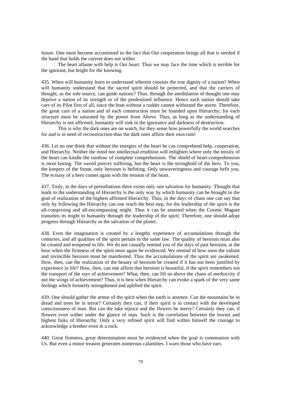future. One must become accustomed to the fact that Our cooperation brings all that is needed if the hand that holds the current does not wither.

 The heart aflame with help is Our heart. Thus we may face the time which is terrible for the ignorant, but bright for the knowing.

435. When will humanity learn to understand wherein consists the true dignity of a nation? When will humanity understand that the sacred spirit should be protected, and that the carriers of thought, as the sole source, can guide nations? Thus, through the annihilation of thought one may deprive a nation of its strength or of the predestined influence. Hence each nation should take care of its Pilot first of all, since the boat without a rudder cannot withstand the storm. Therefore, the great care of a nation and of each construction must be founded upon Hierarchy; for each structure must be saturated by the power from Above. Thus, as long as the understanding of Hierarchy is not affirmed, humanity will sink in the ignorance and darkness of destruction.

 This is why the dark ones are on watch, for they sense how powerfully the world searches for and is in need of reconstruction-thus the dark ones affirm their own ruin!

436. Let no one think that without the energies of the heart he can comprehend help, cooperation, and Hierarchy. Neither the mind nor intellectual erudition will enlighten where only the tensity of the heart can kindle the rainbow of complete comprehension. The shield of heart-comprehension is most lasting. The sword pierces suffering, but the heart is the stronghold of the hero. To you, the keepers of the Stone, only heroism is befitting. Only unwaveringness and courage befit you. The ecstasy of a hero comes again with the tension of the heart.

437. Truly, in the days of perturbations there exists only one salvation for humanity. Thought that leads to the understanding of Hierarchy is the only way by which humanity can be brought to the goal of realization of the highest affirmed Hierarchy. Thus, in the days of chaos one can say that only by following the Hierarchy can one reach the best step, for the leadership of the spirit is the all-comprising and all-encompassing might. Thus it can be asserted when the Cosmic Magnet transmits its might to humanity through the leadership of the spirit. Therefore, one should adopt progress through Hierarchy as the salvation of the planet.

438. Even the imagination is created by a lengthy experience of accumulations through the centuries, and all qualities of the spirit pertain to the same law. The quality of heroism must also be created and tempered in life. We do not casually remind you of the days of past heroism, at the hour when the firmness of the spirit must again be evidenced. We remind of how soon the valiant and invincible heroism must be manifested. Thus the accumulations of the spirit are awakened. How, then, can the realization of the beauty of heroism be created if it has not been justified by experience in life? How, then, can one affirm that heroism is beautiful, if the spirit remembers not the transport of the rays of achievement? What, then, can lift us above the chaos of mediocrity if not the wings of achievement? Thus, it is best when Hierarchy can evoke a spark of the very same feelings which formerly strengthened and uplifted the spirit.

439. One should gather the armor of the spirit when the earth is atremor. Can the mountains be in dread and trees be in terror? Certainly they can, if their spirit is in contact with the developed consciousness of man. But can the lake rejoice and the flowers be merry? Certainly they can, if flowers even wither under the glance of man. Such is the correlation between the lowest and highest links of Hierarchy. Only a very refined spirit will find within himself the courage to acknowledge a brother even in a rock.

440. Great firmness, great determination must be evidenced when the goal is communion with Us. But even a minor treason generates numerous calamities. I warn those who have ears.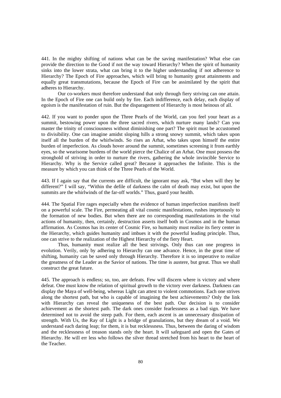441. In the mighty shifting of nations what can be the saving manifestation? What else can provide the direction to the Good if not the way toward Hierarchy? When the spirit of humanity sinks into the lower strata, what can bring it to the higher understanding if not adherence to Hierarchy? The Epoch of Fire approaches, which will bring to humanity great attainments and equally great transmutations, because the Epoch of Fire can be assimilated by the spirit that adheres to Hierarchy.

 Our co-workers must therefore understand that only through fiery striving can one attain. In the Epoch of Fire one can build only by fire. Each indifference, each delay, each display of egoism is the manifestation of ruin. But the disparagement of Hierarchy is most heinous of all.

442. If you want to ponder upon the Three Pearls of the World, can you feel your heart as a summit, bestowing power upon the three sacred rivers, which nurture many lands? Can you master the trinity of consciousness without diminishing one part? The spirit must be accustomed to divisibility. One can imagine amidst sloping hills a strong snowy summit, which takes upon itself all the burden of the whirlwinds. So rises an Arhat, who takes upon himself the entire burden of imperfection. As clouds hover around the summit, sometimes screening it from earthly eyes, so the wearisome burdens of the world pierce the Chalice of an Arhat. One must possess the stronghold of striving in order to nurture the rivers, gathering the whole invincible Service to Hierarchy. Why is the Service called great? Because it approaches the Infinite. This is the measure by which you can think of the Three Pearls of the World.

443. If I again say that the currents are difficult, the ignorant may ask, "But when will they be different?" I will say, "Within the defile of darkness the calm of death may exist, but upon the summits are the whirlwinds of the far-off worlds." Thus, guard your health.

444. The Spatial Fire rages especially when the evidence of human imperfection manifests itself on a powerful scale. The Fire, permeating all vital cosmic manifestations, rushes impetuously to the formation of new bodies. But when there are no corresponding manifestations in the vital actions of humanity, then, certainly, destruction asserts itself both in Cosmos and in the human affirmation. As Cosmos has its center of Cosmic Fire, so humanity must realize its fiery center in the Hierarchy, which guides humanity and imbues it with the powerful leading principle. Thus, one can strive to the realization of the Highest Hierarchy of the fiery Heart.

 Thus, humanity must realize all the best strivings. Only thus can one progress in evolution. Verily, only by adhering to Hierarchy can one advance. Hence, in the great time of shifting, humanity can be saved only through Hierarchy. Therefore it is so imperative to realize the greatness of the Leader as the Savior of nations. The time is austere, but great. Thus we shall construct the great future.

445. The approach is endless; so, too, are defeats. Few will discern where is victory and where defeat. One must know the relation of spiritual growth to the victory over darkness. Darkness can display the Maya of well-being, whereas Light can attest to violent commotions. Each one strives along the shortest path, but who is capable of imagining the best achievements? Only the link with Hierarchy can reveal the uniqueness of the best path. Our decision is to consider achievement as the shortest path. The dark ones consider fearlessness as a bad sign. We have determined not to avoid the steep path. For them, each ascent is an unnecessary dissipation of strength. With Us, the Ray of Light is a bridge of granulations, but they dream of a void. We understand each daring leap; for them, it is but recklessness. Thus, between the daring of wisdom and the recklessness of treason stands only the heart. It will safeguard and open the Gates of Hierarchy. He will err less who follows the silver thread stretched from his heart to the heart of the Teacher.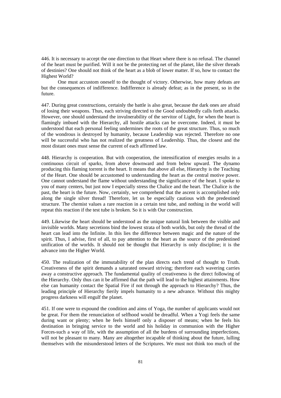446. It is necessary to accept the one direction to that Heart where there is no refusal. The channel of the heart must be purified. Will it not be the protecting net of the planet, like the silver threads of destinies? One should not think of the heart as a blob of lower matter. If so, how to contact the Highest World?

 One must accustom oneself to the thought of victory. Otherwise, how many defeats are but the consequences of indifference. Indifference is already defeat; as in the present, so in the future.

447. During great constructions, certainly the battle is also great, because the dark ones are afraid of losing their weapons. Thus, each striving directed to the Good undoubtedly calls forth attacks. However, one should understand the invulnerability of the servitor of Light, for when the heart is flamingly imbued with the Hierarchy, all hostile attacks can be overcome. Indeed, it must be understood that each personal feeling undermines the roots of the great structure. Thus, so much of the wondrous is destroyed by humanity, because Leadership was rejected. Therefore no one will be successful who has not realized the greatness of Leadership. Thus, the closest and the most distant ones must sense the current of each affirmed law.

448. Hierarchy is cooperation. But with cooperation, the intensification of energies results in a continuous circuit of sparks, from above downward and from below upward. The dynamo producing this flaming torrent is the heart. It means that above all else, Hierarchy is the Teaching of the Heart. One should be accustomed to understanding the heart as the central motive power. One cannot understand the flame without understanding the significance of the heart. I spoke to you of many centers, but just now I especially stress the Chalice and the heart. The Chalice is the past, the heart is the future. Now, certainly, we comprehend that the ascent is accomplished only along the single silver thread! Therefore, let us be especially cautious with the predestined structure. The chemist values a rare reaction in a certain test tube, and nothing in the world will repeat this reaction if the test tube is broken. So it is with Our construction.

449. Likewise the heart should be understood as the unique natural link between the visible and invisible worlds. Many secretions bind the lowest strata of both worlds, but only the thread of the heart can lead into the Infinite. In this lies the difference between magic and the nature of the spirit. Thus, I advise, first of all, to pay attention to the heart as the source of the predestined unification of the worlds. It should not be thought that Hierarchy is only discipline; it is the advance into the Higher World.

450. The realization of the immutability of the plan directs each trend of thought to Truth. Creativeness of the spirit demands a saturated onward striving; therefore each wavering carries away a constructive approach. The fundamental quality of creativeness is the direct following of the Hierarchy. Only thus can it be affirmed that the path will lead to the highest attainments. How else can humanity contact the Spatial Fire if not through the approach to Hierarchy? Thus, the leading principle of Hierarchy fierily impels humanity to a new advance. Without this mighty progress darkness will engulf the planet.

451. If one were to expound the condition and aims of Yoga, the number of applicants would not be great. For them the renunciation of selfhood would be dreadful. When a Yogi feels the same during want or plenty; when he feels himself only a disposer of means; when he feels his destination in bringing service to the world and his holiday in communion with the Higher Forces-such a way of life, with the assumption of all the burdens of surrounding imperfections, will not be pleasant to many. Many are altogether incapable of thinking about the future, lulling themselves with the misunderstood letters of the Scriptures. We must not think too much of the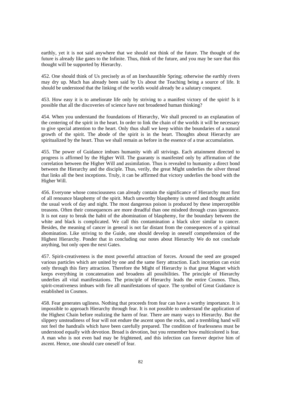earthly, yet it is not said anywhere that we should not think of the future. The thought of the future is already like gates to the Infinite. Thus, think of the future, and you may be sure that this thought will be supported by Hierarchy.

452. One should think of Us precisely as of an Inexhaustible Spring; otherwise the earthly rivers may dry up. Much has already been said by Us about the Teaching being a source of life. It should be understood that the linking of the worlds would already be a salutary conquest.

453. How easy it is to ameliorate life only by striving to a manifest victory of the spirit! Is it possible that all the discoveries of science have not broadened human thinking?

454. When you understand the foundations of Hierarchy, We shall proceed to an explanation of the centering of the spirit in the heart. In order to link the chain of the worlds it will be necessary to give special attention to the heart. Only thus shall we keep within the boundaries of a natural growth of the spirit. The abode of the spirit is in the heart. Thoughts about Hierarchy are spiritualized by the heart. Thus we shall remain as before in the essence of a true accumulation.

455. The power of Guidance imbues humanity with all strivings. Each attainment directed to progress is affirmed by the Higher Will. The guaranty is manifested only by affirmation of the correlation between the Higher Will and assimilation. Thus is revealed to humanity a direct bond between the Hierarchy and the disciple. Thus, verily, the great Might underlies the silver thread that links all the best inceptions. Truly, it can be affirmed that victory underlies the bond with the Higher Will.

456. Everyone whose consciousness can already contain the significance of Hierarchy must first of all renounce blasphemy of the spirit. Much unworthy blasphemy is uttered and thought amidst the usual work of day and night. The most dangerous poison is produced by these imperceptible treasons. Often their consequences are more dreadful than one misdeed through crass ignorance. It is not easy to break the habit of the abomination of blasphemy, for the boundary between the white and black is complicated. We call this contamination a black ulcer similar to cancer. Besides, the meaning of cancer in general is not far distant from the consequences of a spiritual abomination. Like striving to the Guide, one should develop in oneself comprehension of the Highest Hierarchy. Ponder that in concluding our notes about Hierarchy We do not conclude anything, but only open the next Gates.

457. Spirit-creativeness is the most powerful attraction of forces. Around the seed are grouped various particles which are united by one and the same fiery attraction. Each inception can exist only through this fiery attraction. Therefore the Might of Hierarchy is that great Magnet which keeps everything in concatenation and broadens all possibilities. The principle of Hierarchy underlies all vital manifestations. The principle of Hierarchy leads the entire Cosmos. Thus, spirit-creativeness imbues with fire all manifestations of space. The symbol of Great Guidance is established in Cosmos.

458. Fear generates ugliness. Nothing that proceeds from fear can have a worthy importance. It is impossible to approach Hierarchy through fear. It is not possible to understand the application of the Highest Chain before realizing the harm of fear. There are many ways to Hierarchy. But the slippery unsteadiness of fear will not endure the ascent upon the rocks, and a trembling hand will not feel the handrails which have been carefully prepared. The condition of fearlessness must be understood equally with devotion. Broad is devotion, but you remember how multicolored is fear. A man who is not even bad may be frightened, and this infection can forever deprive him of ascent. Hence, one should cure oneself of fear.